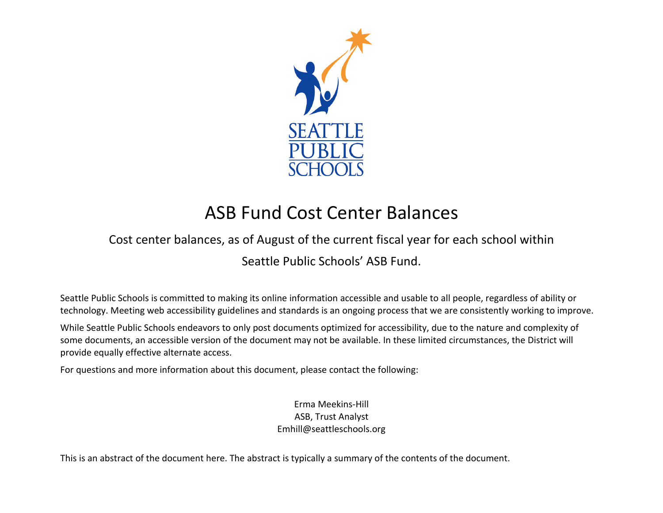

# ASB Fund Cost Center Balances

## Cost center balances, as of August of the current fiscal year for each school within

#### Seattle Public Schools' ASB Fund.

Seattle Public Schools is committed to making its online information accessible and usable to all people, regardless of ability or technology. Meeting web accessibility guidelines and standards is an ongoing process that we are consistently working to improve.

While Seattle Public Schools endeavors to only post documents optimized for accessibility, due to the nature and complexity of some documents, an accessible version of the document may not be available. In these limited circumstances, the District will provide equally effective alternate access.

For questions and more information about this document, please contact the following:

Erma Meekins-Hill ASB, Trust Analyst Emhill@seattleschools.org

This is an abstract of the document here. The abstract is typically a summary of the contents of the document.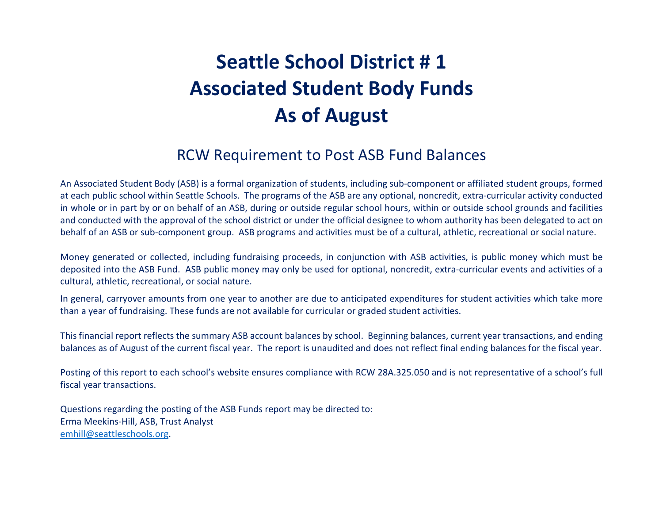# **Seattle School District # 1 Associated Student Body Funds As of August**

## RCW Requirement to Post ASB Fund Balances

An Associated Student Body (ASB) is a formal organization of students, including sub-component or affiliated student groups, formed at each public school within Seattle Schools. The programs of the ASB are any optional, noncredit, extra-curricular activity conducted in whole or in part by or on behalf of an ASB, during or outside regular school hours, within or outside school grounds and facilities and conducted with the approval of the school district or under the official designee to whom authority has been delegated to act on behalf of an ASB or sub-component group. ASB programs and activities must be of a cultural, athletic, recreational or social nature.

Money generated or collected, including fundraising proceeds, in conjunction with ASB activities, is public money which must be deposited into the ASB Fund. ASB public money may only be used for optional, noncredit, extra-curricular events and activities of a cultural, athletic, recreational, or social nature.

In general, carryover amounts from one year to another are due to anticipated expenditures for student activities which take more than a year of fundraising. These funds are not available for curricular or graded student activities.

This financial report reflects the summary ASB account balances by school. Beginning balances, current year transactions, and ending balances as of August of the current fiscal year. The report is unaudited and does not reflect final ending balances for the fiscal year.

Posting of this report to each school's website ensures compliance with RCW 28A.325.050 and is not representative of a school's full fiscal year transactions.

Questions regarding the posting of the ASB Funds report may be directed to: Erma Meekins-Hill, ASB, Trust Analyst [emhill@seattleschools.org.](mailto:emhill@seattleschools.org)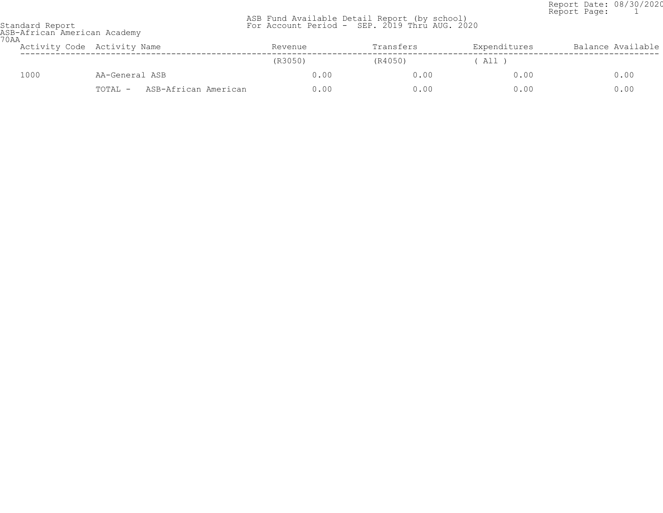Report Date: 08/30/2020 Report Page: 1

|                 |  | ASB Fund Available Detail Report (by school)  |  |  |  |  |
|-----------------|--|-----------------------------------------------|--|--|--|--|
| Standard Report |  | For Account Period - SEP. 2019 Thru AUG. 2020 |  |  |  |  |

| pranuaru keport             |  |
|-----------------------------|--|
| ASB-African American Academ |  |

| 70AA | ASB-African American Academy |                                 |         |           |              |                   |  |  |  |
|------|------------------------------|---------------------------------|---------|-----------|--------------|-------------------|--|--|--|
|      |                              | Activity Code Activity Name     | Revenue | Transfers | Expenditures | Balance Available |  |  |  |
|      |                              |                                 | (R3050) | (R4050)   | All )        |                   |  |  |  |
|      | 1000                         | AA-General ASB                  | 0.00    | 0.00      | 0.00         | 0.00              |  |  |  |
|      |                              | ASB-African American<br>TOTAL - | 0.00    | 0.00      | 0.00         | 0.00              |  |  |  |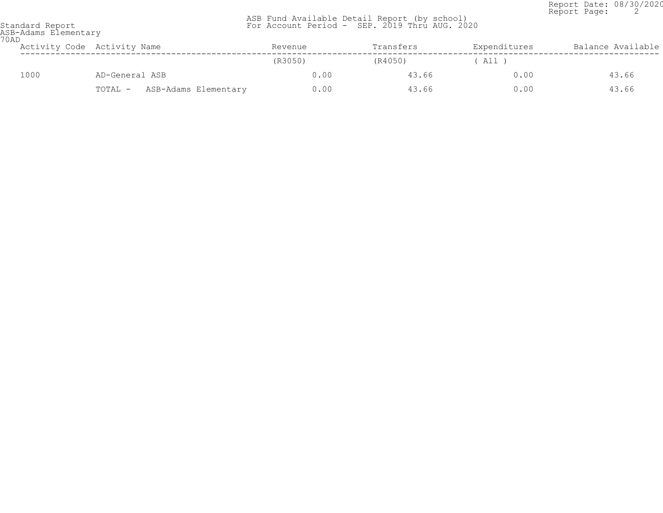Report Date: 08/30/2020 Report Page: 2

|                 |  |  | ASB Fund Available Detail Report (by school)  |  |
|-----------------|--|--|-----------------------------------------------|--|
| Standard Report |  |  | For Account Period - SEP. 2019 Thru AUG. 2020 |  |

| Standard Report |                      |
|-----------------|----------------------|
|                 | ASR-Adame Flamantary |

| 70AD | ASB-Adams Elementary |                                 |         |           |              |                   |  |  |
|------|----------------------|---------------------------------|---------|-----------|--------------|-------------------|--|--|
|      |                      | Activity Code Activity Name     | Revenue | Transfers | Expenditures | Balance Available |  |  |
|      |                      |                                 | (R3050) | (R4050)   | ( All )      |                   |  |  |
|      | 1000                 | AD-General ASB                  | 0.00    | 43.66     | 0.00         | 43.66             |  |  |
|      |                      | ASB-Adams Elementary<br>TOTAL - | 0.00    | 43.66     | 0.00         | 43.66             |  |  |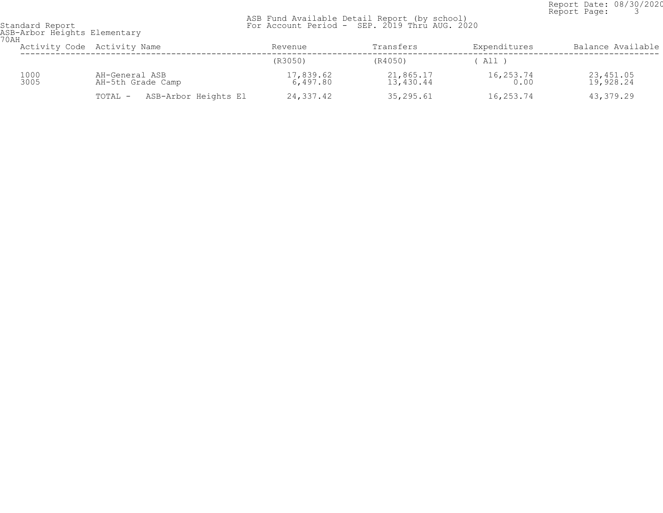Report Date: 08/30/2020<br>Report Page: 3 Report Page: 3

| standard keport |                             |
|-----------------|-----------------------------|
|                 | ASR-Arbor Heights Elementar |

| ASB-Arbor Heights Elementary<br>70AH |              |                                     |                       |                        |                   |                        |  |  |
|--------------------------------------|--------------|-------------------------------------|-----------------------|------------------------|-------------------|------------------------|--|--|
|                                      |              | Activity Code Activity Name         | Revenue               | Transfers              | Expenditures      | Balance Available      |  |  |
|                                      |              |                                     | (R3050)               | (R4050)                | All 1             |                        |  |  |
|                                      | 1000<br>3005 | AH-General ASB<br>AH-5th Grade Camp | 17,839.62<br>6,497.80 | 21,865.17<br>13,430.44 | 16,253.74<br>0.00 | 23,451.05<br>19,928.24 |  |  |
|                                      |              | ASB-Arbor Heights El<br>TOTAL -     | 24,337.42             | 35,295.61              | 16,253.74         | 43,379.29              |  |  |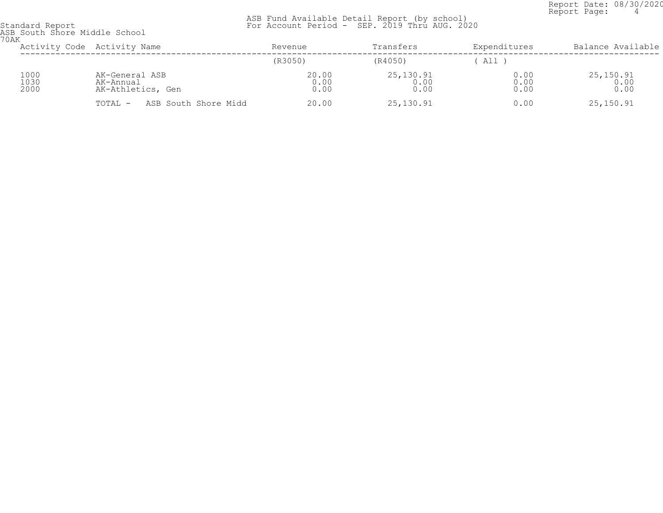Report Date: 08/30/2020<br>Report Page: 4 Report Page: 4

 ASB Fund Available Detail Report (by school) Standard Report For Account Period - SEP. 2019 Thru AUG. 2020

ASB South Shore Middle School 70AK

| UAN                  | Activity Code Activity Name                      | Revenue               | Transfers                 | Expenditures         | Balance Available            |
|----------------------|--------------------------------------------------|-----------------------|---------------------------|----------------------|------------------------------|
|                      |                                                  | (R3050)               | (R4050)                   | All )                |                              |
| 1000<br>1030<br>2000 | AK-General ASB<br>AK-Annual<br>AK-Athletics, Gen | 20.00<br>0.00<br>0.00 | 25,130.91<br>0.00<br>0.00 | 0.00<br>0.00<br>0.00 | $25, 150.91$<br>0.00<br>0.00 |
|                      | ASB South Shore Midd<br>TOTAL -                  | 20.00                 | 25,130.91                 | 0.00                 | 25,150.91                    |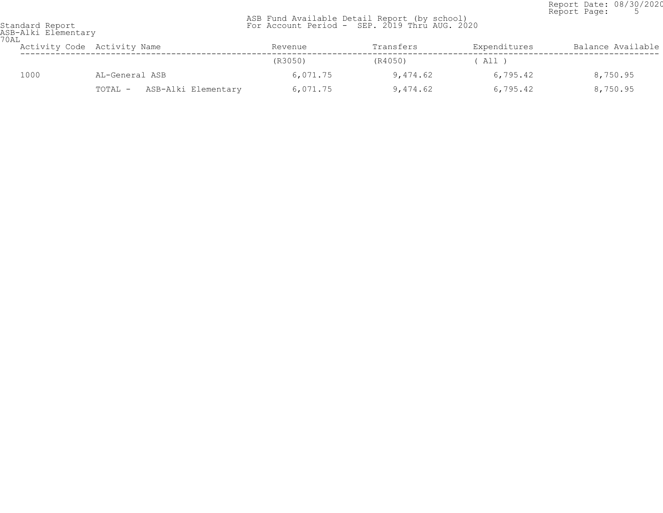Report Date: 08/30/2020<br>Report Page: 5 Report Page: 5

| Standard Report<br>ASB-Alki Elementary |
|----------------------------------------|
|                                        |
|                                        |

| UAL  | Activity Code Activity Name    | Revenue  | Transfers | Expenditures | Balance Available |
|------|--------------------------------|----------|-----------|--------------|-------------------|
|      |                                | (R3050)  | (R4050)   | All )        |                   |
| 1000 | AL-General ASB                 | 6,071.75 | 9,474.62  | 6,795.42     | 8,750.95          |
|      | ASB-Alki Elementary<br>TOTAL - | 6,071.75 | 9,474.62  | 6,795.42     | 8,750.95          |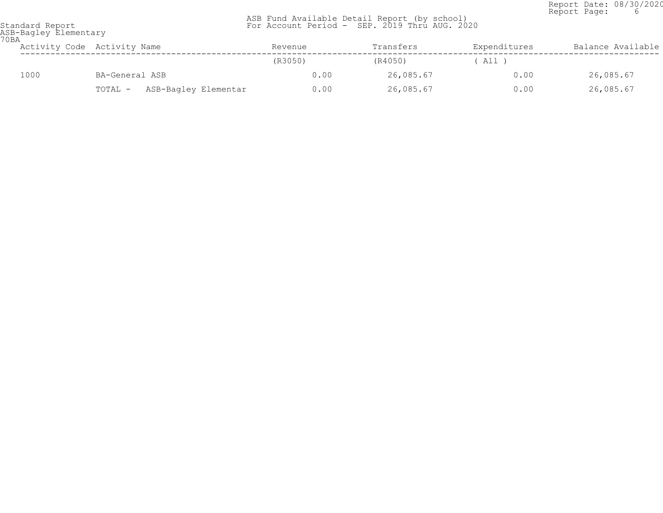Report Date: 08/30/2020<br>Report Page: 6 Report Page: 6

| ASB-Bagley Elementary<br><b>70BA</b> |                                 |         |           |              |                   |  |  |  |
|--------------------------------------|---------------------------------|---------|-----------|--------------|-------------------|--|--|--|
|                                      | Activity Code Activity Name     | Revenue | Transfers | Expenditures | Balance Available |  |  |  |
|                                      |                                 | (R3050) | (R4050)   | All )        |                   |  |  |  |
| 1000                                 | BA-General ASB                  | 0.00    | 26,085.67 | 0.00         | 26,085.67         |  |  |  |
|                                      | ASB-Bagley Elementar<br>TOTAL - | 0.00    | 26,085.67 | 0.00         | 26,085.67         |  |  |  |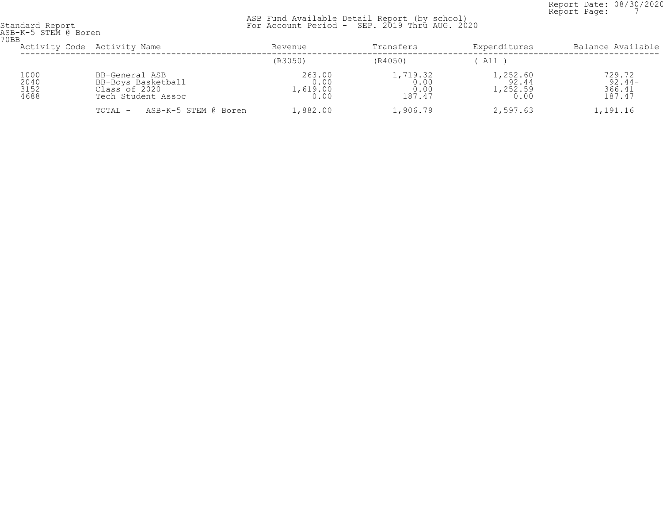Report Date: 08/30/2020<br>Report Page: 7 Report Page: 7

| 70BB                         | ASB-K-5 STEM @ Boren                                                        |                                    |                                    |                                       |                                        |  |  |  |  |
|------------------------------|-----------------------------------------------------------------------------|------------------------------------|------------------------------------|---------------------------------------|----------------------------------------|--|--|--|--|
|                              | Activity Code Activity Name                                                 |                                    | Transfers                          | Expenditures                          | Balance Available                      |  |  |  |  |
|                              |                                                                             | (R3050)                            | (R4050)                            | All                                   |                                        |  |  |  |  |
| 1000<br>2040<br>3152<br>4688 | BB-General ASB<br>BB-Boys Basketball<br>Class of 2020<br>Tech Student Assoc | 263.00<br>0.00<br>1,619.00<br>0.00 | 1,719.32<br>0.00<br>0.00<br>187.47 | 1,252.60<br>92.44<br>1,252.59<br>0.00 | 729.72<br>$92.44-$<br>366.41<br>187.47 |  |  |  |  |
|                              | ASB-K-5 STEM @ Boren<br>TOTAL -                                             | 1,882.00                           | 1,906.79                           | 2,597.63                              | 1,191.16                               |  |  |  |  |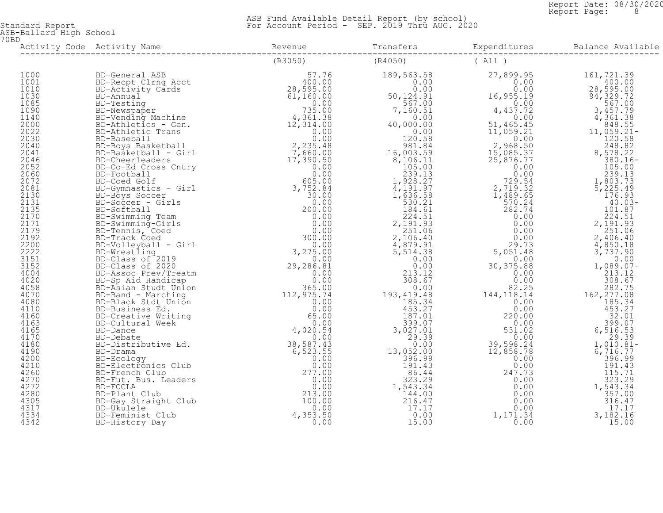Report Date: 08/30/2020<br>Report Page: 8 Report Page: 8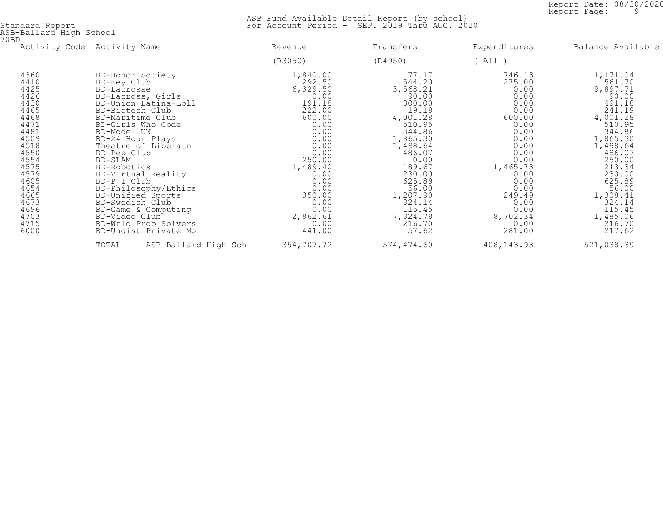Report Date: 08/30/2020<br>Report Page: 9 Report Page: 9

| 70BD                                                                                                                                                                                 | ASB-Ballard High School                                                                                                                                                                                                                                                                                                                                                                                                                                 |                                                                                                                                                                                                                        |                                                                                                                                                                                                                                         |                                                                                                                                                                                        |                                                                                                                                                                                                                                                |  |  |  |
|--------------------------------------------------------------------------------------------------------------------------------------------------------------------------------------|---------------------------------------------------------------------------------------------------------------------------------------------------------------------------------------------------------------------------------------------------------------------------------------------------------------------------------------------------------------------------------------------------------------------------------------------------------|------------------------------------------------------------------------------------------------------------------------------------------------------------------------------------------------------------------------|-----------------------------------------------------------------------------------------------------------------------------------------------------------------------------------------------------------------------------------------|----------------------------------------------------------------------------------------------------------------------------------------------------------------------------------------|------------------------------------------------------------------------------------------------------------------------------------------------------------------------------------------------------------------------------------------------|--|--|--|
|                                                                                                                                                                                      | Activity Code Activity Name                                                                                                                                                                                                                                                                                                                                                                                                                             | Revenue                                                                                                                                                                                                                | Transfers                                                                                                                                                                                                                               | Expenditures                                                                                                                                                                           | Balance Available                                                                                                                                                                                                                              |  |  |  |
|                                                                                                                                                                                      |                                                                                                                                                                                                                                                                                                                                                                                                                                                         | (R3050)                                                                                                                                                                                                                | (R4050)                                                                                                                                                                                                                                 | (A11)                                                                                                                                                                                  |                                                                                                                                                                                                                                                |  |  |  |
| 4360<br>4410<br>4425<br>4426<br>4430<br>4465<br>4468<br>4471<br>4481<br>4509<br>4518<br>4550<br>4554<br>4575<br>4579<br>4605<br>4654<br>4665<br>4673<br>4696<br>4703<br>4715<br>6000 | BD-Honor Society<br>BD-Key Club<br>BD-Lacrosse<br>BD-Lacross, Girls<br>BD-Union Latina-Loll<br>BD-Biotech Club<br>BD-Maritime Club<br>BD-Girls Who Code<br>BD-Model UN<br>BD-24 Hour Plays<br>Theatre of Liberatn<br>BD-Pep Club<br>BD-SLAM<br>BD-Robotics<br>BD-Virtual Reality<br>BD-P I Club<br>BD-Philosophy/Ethics<br>BD-Unified Sports<br>BD-Swedish Club<br>BD-Game & Computing<br>BD-Video Club<br>BD-Wrld Prob Solvers<br>BD-Undist Private Mo | 1,840.00<br>292.50<br>6,329.50<br>$0.00$<br>$191.18$<br>222.00<br>600.00<br>0.00<br>0.00<br>0.00<br>0.00<br>0.00<br>250.00<br>1,489.40<br>0.00<br>0.00<br>0.00<br>350.00<br>0.00<br>0.00<br>2,862.61<br>0.00<br>441.00 | 77.17<br>544.20<br>3,568.21<br>90.00<br>300.00<br>19.19<br>4,001.28<br>510.95<br>344.86<br>1,865.30<br>1,498.64<br>486.07<br>0.00<br>189.67<br>230.00<br>625.89<br>56.00<br>1,207.90<br>324.14<br>115.45<br>7,324.79<br>216.70<br>57.62 | 746.13<br>275.00<br>0.00<br>0.00<br>600.00<br>0.00<br>0.00<br>0.00<br>0.00<br>0.00<br>0.00<br>1,465.73<br>0.00<br>0.00<br>0.00<br>249.49<br>0.00<br>0.00<br>8,702.34<br>0.00<br>281.00 | 1,171.04<br>561.70<br>9,897.71<br>90.00<br>491.18<br>241.19<br>4,001.28<br>510.95<br>344.86<br>1,865.30<br>1,498.64<br>486.07<br>250.00<br>213.34<br>230.00<br>625.89<br>56.00<br>1,308.41<br>324.14<br>115.45<br>1,485.06<br>216.70<br>217.62 |  |  |  |
|                                                                                                                                                                                      | TOTAL - ASB-Ballard High Sch                                                                                                                                                                                                                                                                                                                                                                                                                            | 354,707.72                                                                                                                                                                                                             | 574,474.60                                                                                                                                                                                                                              | 408,143.93                                                                                                                                                                             | 521,038.39                                                                                                                                                                                                                                     |  |  |  |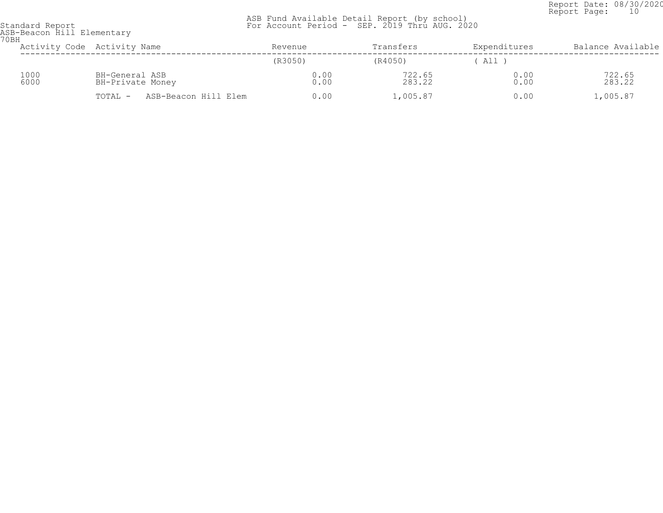Report Date: 08/30/2020<br>Report Page: 10 Report Page: 10

| Standard Report |                            |
|-----------------|----------------------------|
|                 | ASB-Beacon Hill Elementary |
| 70 BH           |                            |

| UBH | Activity Code Activity Name |                                    |                      | Revenue      | Transfers        | Expenditures | Balance Available |
|-----|-----------------------------|------------------------------------|----------------------|--------------|------------------|--------------|-------------------|
|     |                             |                                    |                      | (R3050)      | (R4050)          | All          |                   |
|     | 1000<br>6000                | BH-General ASB<br>BH-Private Money |                      | 0.00<br>0.00 | 722.65<br>283.22 | 0.00<br>0.00 | 722.65<br>283.22  |
|     |                             | TOTAL -                            | ASB-Beacon Hill Elem | 0.00         | 1,005.87         | 0.00         | 1,005.87          |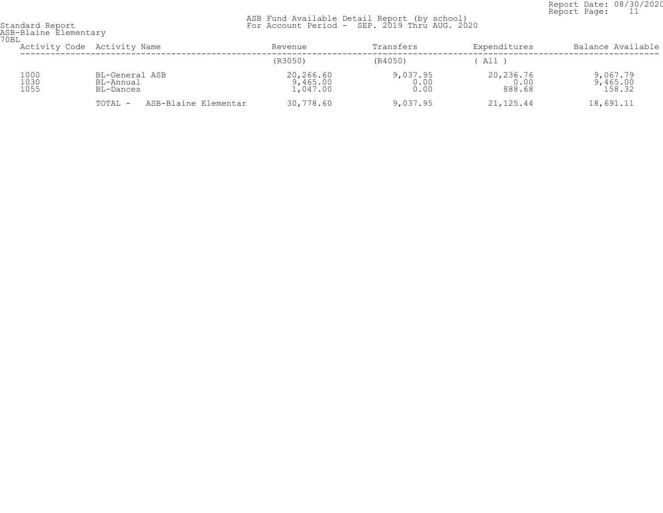Report Date: 08/30/2020<br>Report Page: 11 Report Page: 11

| 70BL                 | ASB-Blaine Elementary                    |                                   |                          |                             |                                |  |  |  |  |
|----------------------|------------------------------------------|-----------------------------------|--------------------------|-----------------------------|--------------------------------|--|--|--|--|
|                      | Activity Code Activity Name              | Revenue                           | Transfers                | Expenditures                | Balance Available              |  |  |  |  |
|                      |                                          | (R3050)                           | (R4050)                  | All T                       |                                |  |  |  |  |
| 1000<br>1030<br>1055 | BL-General ASB<br>BL-Annual<br>BL-Dances | 20,266.60<br>9,465.00<br>1,047.00 | 9,037.95<br>0.00<br>0.00 | 20,236.76<br>0.00<br>888.68 | 9,067.79<br>9,465.00<br>158.32 |  |  |  |  |
|                      | ASB-Blaine Elementar<br>TOTAL -          | 30,778.60                         | 9,037.95                 | 21,125.44                   | 18,691.11                      |  |  |  |  |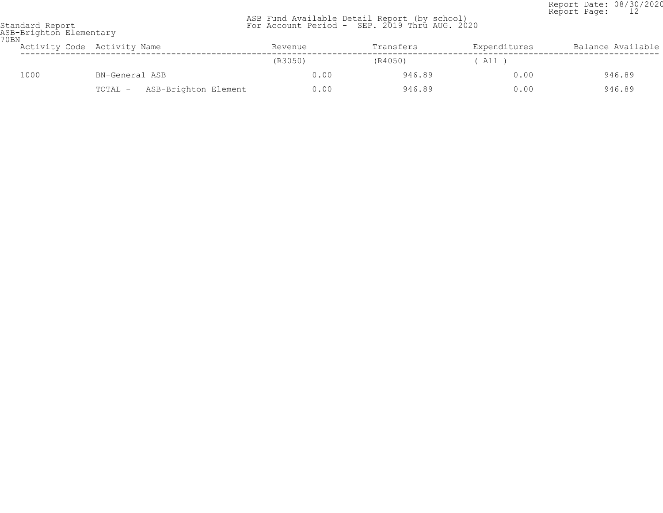Report Date: 08/30/2020<br>Report Page: 12 Report Page: 12

| 70 BN | ASB-Brighton Elementary |                                 |         |           |              |                   |
|-------|-------------------------|---------------------------------|---------|-----------|--------------|-------------------|
|       |                         | Activity Code Activity Name     | Revenue | Transfers | Expenditures | Balance Available |
|       |                         |                                 | (R3050) | (R4050)   | A11 )        |                   |
|       | 1000                    | BN-General ASB                  | 0.00    | 946.89    | 0.00         | 946.89            |
|       |                         | ASB-Brighton Element<br>TOTAL - | 0.00    | 946.89    | 0.00         | 946.89            |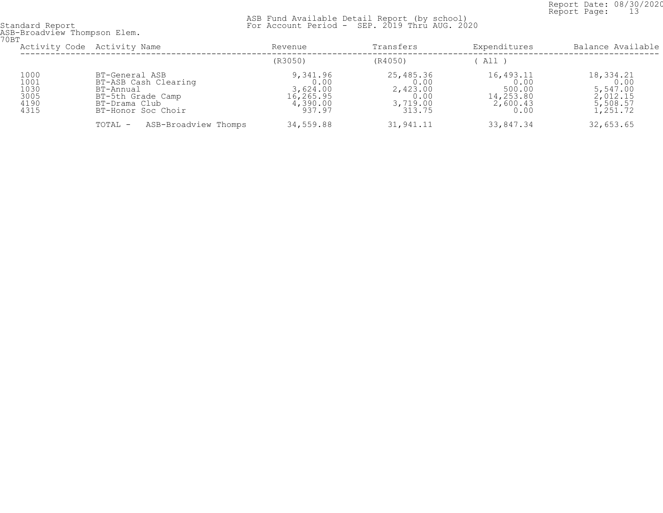Report Date: 08/30/2020<br>Report Page: 13 Report Page: 13

| 70BT                                         | ASB-Broadview Thompson Elem.                                                                                    |                                                                 |                                                             |                                                              |                                                                   |  |  |  |
|----------------------------------------------|-----------------------------------------------------------------------------------------------------------------|-----------------------------------------------------------------|-------------------------------------------------------------|--------------------------------------------------------------|-------------------------------------------------------------------|--|--|--|
|                                              | Activity Code Activity Name                                                                                     | Revenue                                                         | Transfers                                                   | Expenditures                                                 | Balance Available                                                 |  |  |  |
|                                              |                                                                                                                 | (R3050)                                                         | (R4050)                                                     | All )                                                        |                                                                   |  |  |  |
| 1000<br>1001<br>1030<br>3005<br>4190<br>4315 | BT-General ASB<br>BT-ASB Cash Clearing<br>BT-Annual<br>BT-5th Grade Camp<br>BT-Drama Club<br>BT-Honor Soc Choir | 9,341.96<br>0.00<br>3,624.00<br>16,265.95<br>4,390.00<br>937.97 | 25,485.36<br>0.00<br>2,423.00<br>0.00<br>3,719.00<br>313.75 | 16,493.11<br>0.00<br>500.00<br>14,253.80<br>2,600.43<br>0.00 | 18,334.21<br>0.00<br>5,547.00<br>2,012.15<br>5,508.57<br>1,251.72 |  |  |  |
|                                              | ASB-Broadview Thomps<br>TOTAL -                                                                                 | 34,559.88                                                       | 31,941.11                                                   | 33,847.34                                                    | 32,653.65                                                         |  |  |  |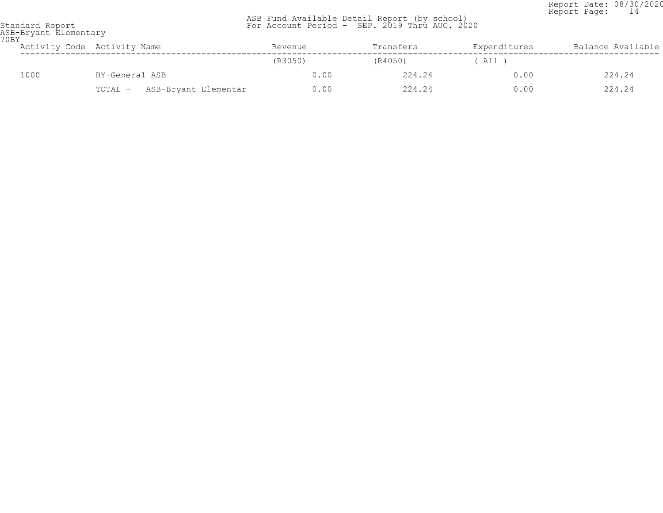Report Date: 08/30/2020<br>Report Page: 14 Report Page: 14

| 70BY | ASB-Bryant Elementary |                                 |         |           |              |                   |  |  |
|------|-----------------------|---------------------------------|---------|-----------|--------------|-------------------|--|--|
|      |                       | Activity Code Activity Name     | Revenue | Transfers | Expenditures | Balance Available |  |  |
|      |                       |                                 | (R3050) | (R4050)   | ( All )      |                   |  |  |
|      | 1000                  | BY-General ASB                  | 0.00    | 224.24    | 0.00         | 224.24            |  |  |
|      |                       | ASB-Bryant Elementar<br>TOTAL - | 0.00    | 224.24    | 0.00         | 224.24            |  |  |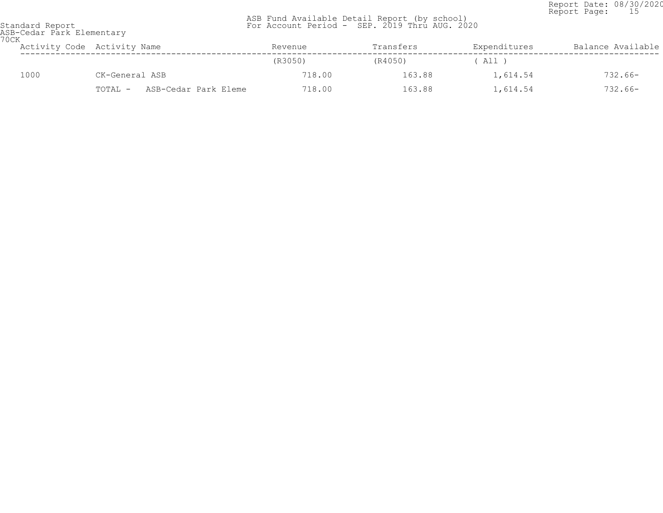Report Date: 08/30/2020<br>Report Page: 15 Report Page: 15

| 70CK | ASB-Cedar Park Elementary |                                 |         |           |              |                   |  |  |  |
|------|---------------------------|---------------------------------|---------|-----------|--------------|-------------------|--|--|--|
|      |                           | Activity Code Activity Name     | Revenue | Transfers | Expenditures | Balance Available |  |  |  |
|      |                           |                                 | (R3050) | (R4050)   | ( All )      |                   |  |  |  |
|      | 1000                      | CK-General ASB                  | 718.00  | 163.88    | 1,614.54     | $732.66-$         |  |  |  |
|      |                           | ASB-Cedar Park Eleme<br>TOTAL - | 718.00  | 163.88    | 1,614.54     | $732.66-$         |  |  |  |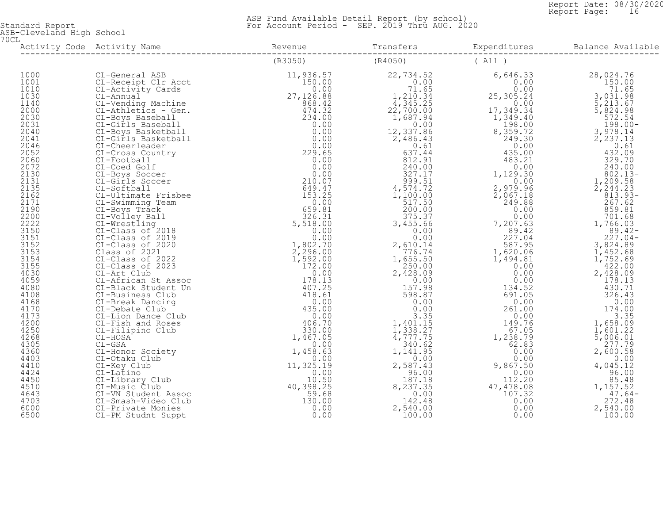Report Date: 08/30/2020<br>Report Page: 16 Report Page: 16

 ASB Fund Available Detail Report (by school) Standard Report For Account Period - SEP. 2019 Thru AUG. 2020

ASB-Cleveland High School 70CL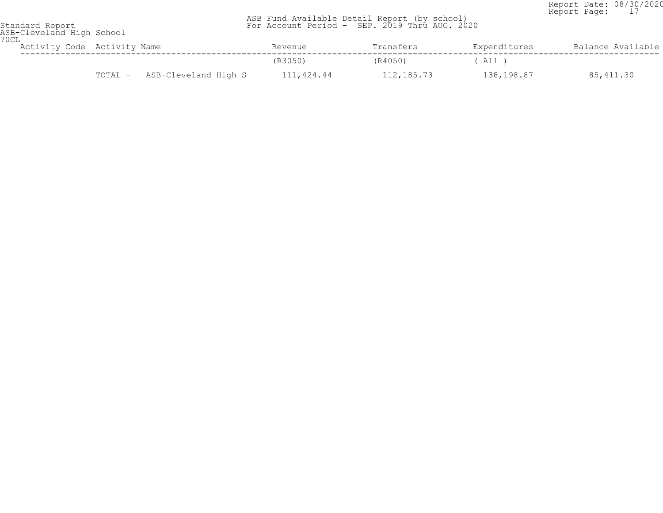Report Date: 08/30/2020 Report Page: 17

| Standard Report<br>ASB-Cleveland High School<br>70CL |                                 | ASB Fund Available Detail Report (by school)<br>For Account Period - SEP. 2019 Thru AUG. 2020 |            |              | $2.99922$ $2.999$ |
|------------------------------------------------------|---------------------------------|-----------------------------------------------------------------------------------------------|------------|--------------|-------------------|
|                                                      | Activity Code Activity Name     | Revenue                                                                                       | Transfers  | Expenditures | Balance Available |
|                                                      |                                 | (R3050)                                                                                       | (R4050)    | ( All )      |                   |
|                                                      | ASB-Cleveland High S<br>TOTAL - | 111,424.44                                                                                    | 112,185.73 | 138,198.87   | 85,411.30         |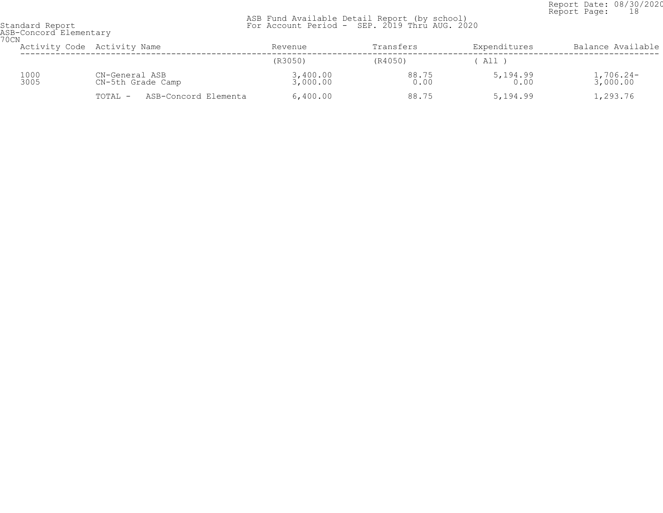Report Date: 08/30/2020<br>Report Page: 18 Report Page: 18

| 70CN | ASB-Concord Elementary |                                     |                      |               |                  |                         |  |  |  |
|------|------------------------|-------------------------------------|----------------------|---------------|------------------|-------------------------|--|--|--|
|      |                        | Activity Code Activity Name         | Revenue              | Transfers     | Expenditures     | Balance Available       |  |  |  |
|      |                        |                                     | (R3050)              | (R4050)       | All T            |                         |  |  |  |
|      | 1000<br>3005           | CN-General ASB<br>CN-5th Grade Camp | 3,400.00<br>3,000.00 | 88.75<br>0.00 | 5,194.99<br>0.00 | $1,706.24-$<br>3,000.00 |  |  |  |
|      |                        | ASB-Concord Elementa<br>TOTAL -     | 6,400.00             | 88.75         | 5,194.99         | 1,293.76                |  |  |  |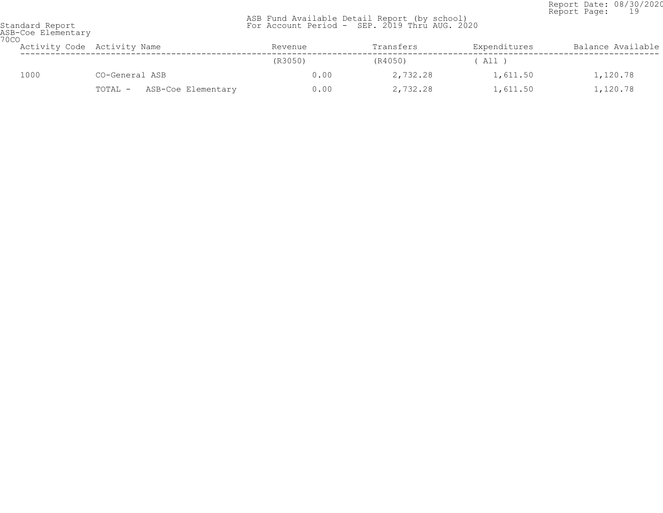Report Date: 08/30/2020<br>Report Page: 19 Report Page: 19

| <b>70CO</b> | ASB-Coe Elementary |                               |         |           |              |                   |  |  |  |
|-------------|--------------------|-------------------------------|---------|-----------|--------------|-------------------|--|--|--|
|             |                    | Activity Code Activity Name   | Revenue | Transfers | Expenditures | Balance Available |  |  |  |
|             |                    |                               | (R3050) | (R4050)   | ( All )      |                   |  |  |  |
|             | 1000               | CO-General ASB                | 0.00    | 2,732.28  | 1,611.50     | 1,120.78          |  |  |  |
|             |                    | ASB-Coe Elementary<br>TOTAL - | 0.00    | 2,732.28  | 1,611.50     | 1,120.78          |  |  |  |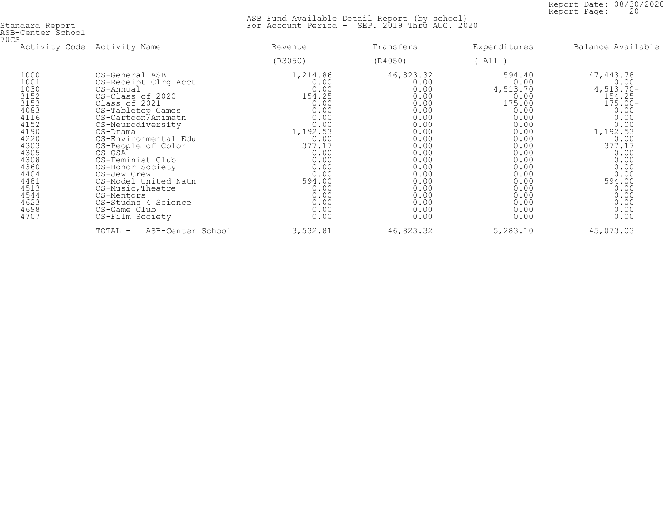Report Date: 08/30/2020<br>Report Page: 20 Report Page: 20

| ASB-Center School<br>70CS                                                                                                                                            |                                                                                                                                                                                                                                                                                                                                                                                                            |                                                                                                                                                                                    |                                                                                                                                                                           |                                                                                                                                                                              |                                                                                                                                                                                                  |
|----------------------------------------------------------------------------------------------------------------------------------------------------------------------|------------------------------------------------------------------------------------------------------------------------------------------------------------------------------------------------------------------------------------------------------------------------------------------------------------------------------------------------------------------------------------------------------------|------------------------------------------------------------------------------------------------------------------------------------------------------------------------------------|---------------------------------------------------------------------------------------------------------------------------------------------------------------------------|------------------------------------------------------------------------------------------------------------------------------------------------------------------------------|--------------------------------------------------------------------------------------------------------------------------------------------------------------------------------------------------|
|                                                                                                                                                                      | Activity Code Activity Name                                                                                                                                                                                                                                                                                                                                                                                | Revenue                                                                                                                                                                            | Transfers                                                                                                                                                                 | Expenditures                                                                                                                                                                 | Balance Available                                                                                                                                                                                |
|                                                                                                                                                                      |                                                                                                                                                                                                                                                                                                                                                                                                            | (R3050)                                                                                                                                                                            | (R4050)                                                                                                                                                                   | (A11)                                                                                                                                                                        |                                                                                                                                                                                                  |
| 1000<br>1001<br>1030<br>3152<br>3153<br>4083<br>4116<br>4152<br>4190<br>4220<br>4303<br>4305<br>4308<br>4360<br>4404<br>4481<br>4513<br>4544<br>4623<br>4698<br>4707 | CS-General ASB<br>CS-Receipt Clrg Acct<br>CS-Annual<br>CS-Class of 2020<br>Class of 2021<br>CS-Tabletop Games<br>CS-Cartoon/Animatn<br>CS-Neurodiversity<br>CS-Drama<br>CS-Environmental Edu<br>CS-People of Color<br>$CS-GSA$<br>CS-Feminist Club<br>CS-Honor Society<br>CS-Jew Crew<br>CS-Model United Natn<br>CS-Music, Theatre<br>CS-Mentors<br>CS-Studns 4 Science<br>CS-Game Club<br>CS-Film Society | 1,214.86<br>0.00<br>0.00<br>154.25<br>0.00<br>0.00<br>0.00<br>0.00<br>1,192.53<br>0.00<br>377.17<br>0.00<br>0.00<br>0.00<br>0.00<br>594.00<br>0.00<br>0.00<br>0.00<br>0.00<br>0.00 | 46,823.32<br>0.00<br>0.00<br>0.00<br>0.00<br>0.00<br>0.00<br>0.00<br>0.00<br>0.00<br>0.00<br>0.00<br>0.00<br>0.00<br>0.00<br>0.00<br>0.00<br>0.00<br>0.00<br>0.00<br>0.00 | 594.40<br>0.00<br>4,513.70<br>0.00<br>175.00<br>0.00<br>0.00<br>0.00<br>0.00<br>0.00<br>0.00<br>0.00<br>0.00<br>0.00<br>0.00<br>0.00<br>0.00<br>0.00<br>0.00<br>0.00<br>0.00 | 47,443.78<br>0.00<br>$4,513.70-$<br>154.25<br>$175.00 -$<br>0.00<br>0.00<br>0.00<br>1,192.53<br>0.00<br>377.17<br>0.00<br>0.00<br>0.00<br>0.00<br>594.00<br>0.00<br>0.00<br>0.00<br>0.00<br>0.00 |
|                                                                                                                                                                      | TOTAL -<br>ASB-Center School                                                                                                                                                                                                                                                                                                                                                                               | 3,532.81                                                                                                                                                                           | 46,823.32                                                                                                                                                                 | 5,283.10                                                                                                                                                                     | 45,073.03                                                                                                                                                                                        |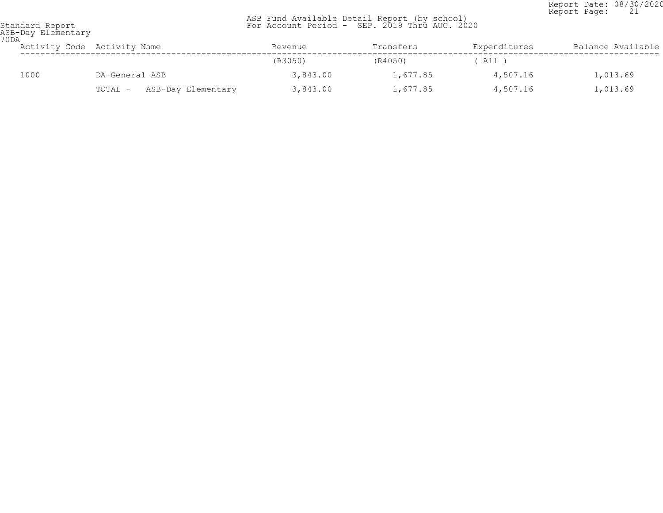Report Date: 08/30/2020<br>Report Page: 21 Report Page: 21

| ASB-Day Elementary<br>70DA |                               |          |           |              |                   |  |  |
|----------------------------|-------------------------------|----------|-----------|--------------|-------------------|--|--|
|                            | Activity Code Activity Name   | Revenue  | Transfers | Expenditures | Balance Available |  |  |
|                            |                               | (R3050)  | (R4050)   | All )        |                   |  |  |
| 1000                       | DA-General ASB                | 3,843.00 | 1,677.85  | 4,507.16     | 1,013.69          |  |  |
|                            | ASB-Day Elementary<br>TOTAL - | 3,843.00 | 1,677.85  | 4,507.16     | 1,013.69          |  |  |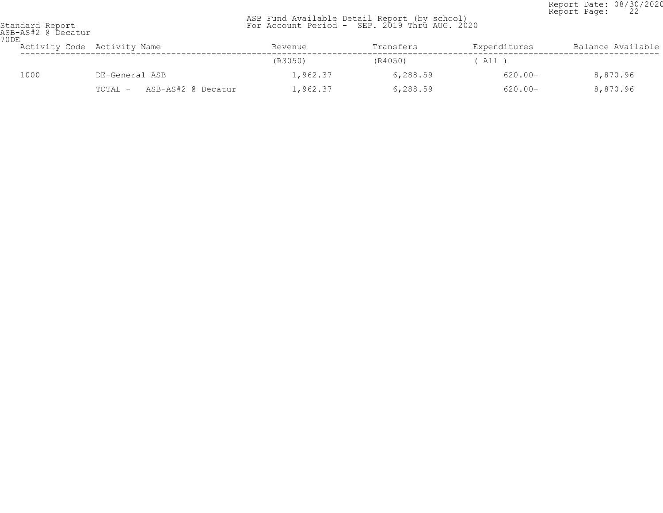Report Date: 08/30/2020<br>Report Page: 22 Report Page: 22

| Standard Report |                    |  |
|-----------------|--------------------|--|
|                 | ASB-AS#2 @ Decatur |  |
| 70 DE           |                    |  |
|                 |                    |  |

| U D Bi | Activity Code Activity Name   | Revenue  | Transfers | Expenditures | Balance Available |
|--------|-------------------------------|----------|-----------|--------------|-------------------|
|        |                               | (R3050)  | (R4050)   | All )        |                   |
| 1000   | DE-General ASB                | 1,962.37 | 6,288.59  | $620.00 -$   | 8,870.96          |
|        | ASB-AS#2 @ Decatur<br>TOTAL - | 1,962.37 | 6,288.59  | $620.00 -$   | 8,870.96          |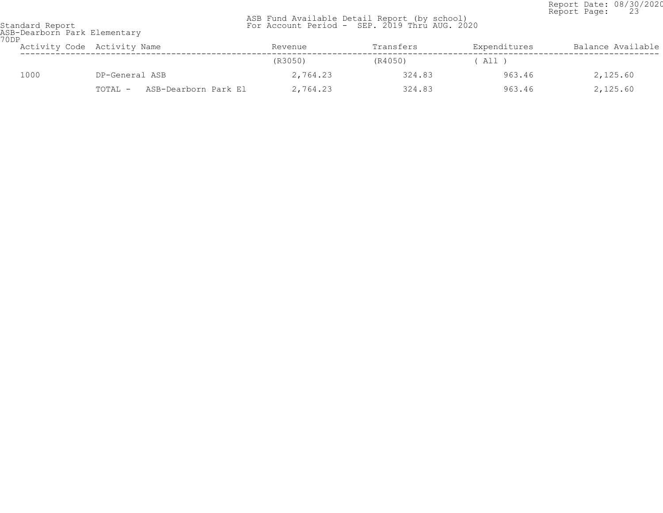Report Date: 08/30/2020<br>Report Page: 23 Report Page: 23

| ASB-Dearborn Park Elementary<br>70DP |                                 |          |           |              |                   |  |  |  |
|--------------------------------------|---------------------------------|----------|-----------|--------------|-------------------|--|--|--|
|                                      | Activity Code Activity Name     | Revenue  | Transfers | Expenditures | Balance Available |  |  |  |
|                                      |                                 | (R3050)  | (R4050)   | ( All )      |                   |  |  |  |
| 1000                                 | DP-General ASB                  | 2,764.23 | 324.83    | 963.46       | 2,125.60          |  |  |  |
|                                      | ASB-Dearborn Park El<br>TOTAL - | 2,764.23 | 324.83    | 963.46       | 2,125.60          |  |  |  |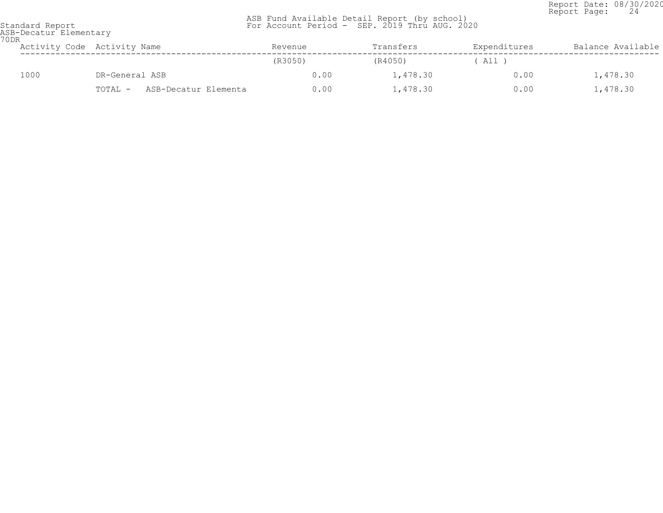Report Date: 08/30/2020<br>Report Page: 24 Report Page: 24

| ASB-Decatur Elementary<br>70DR |                                 |         |           |              |                   |  |  |  |
|--------------------------------|---------------------------------|---------|-----------|--------------|-------------------|--|--|--|
|                                | Activity Code Activity Name     | Revenue | Transfers | Expenditures | Balance Available |  |  |  |
|                                |                                 | (R3050) | (R4050)   | $'$ All $'$  |                   |  |  |  |
| 1000                           | DR-General ASB                  | 0.00    | 1,478.30  | 0.00         | 1,478.30          |  |  |  |
|                                | ASB-Decatur Elementa<br>TOTAL - | 0.00    | 1,478.30  | 0.00         | 1,478.30          |  |  |  |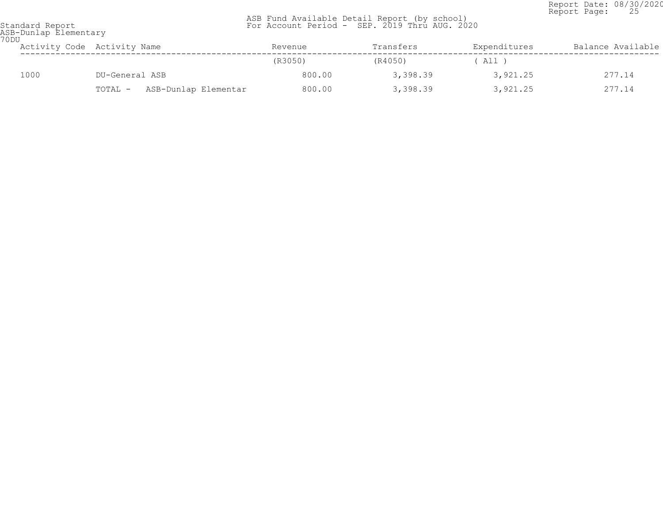Report Date: 08/30/2020<br>Report Page: 25 Report Page: 25

| 70 DU | ASB-Dunlap Elementary |                                 |         |           |              |                   |  |  |
|-------|-----------------------|---------------------------------|---------|-----------|--------------|-------------------|--|--|
|       |                       | Activity Code Activity Name     | Revenue | Transfers | Expenditures | Balance Available |  |  |
|       |                       |                                 | (R3050) | (R4050)   | ' All        |                   |  |  |
|       | 1000                  | DU-General ASB                  | 800.00  | 3,398.39  | 3,921.25     | 277.14            |  |  |
|       |                       | ASB-Dunlap Elementar<br>TOTAL - | 800.00  | 3,398.39  | 3,921.25     | 277.14            |  |  |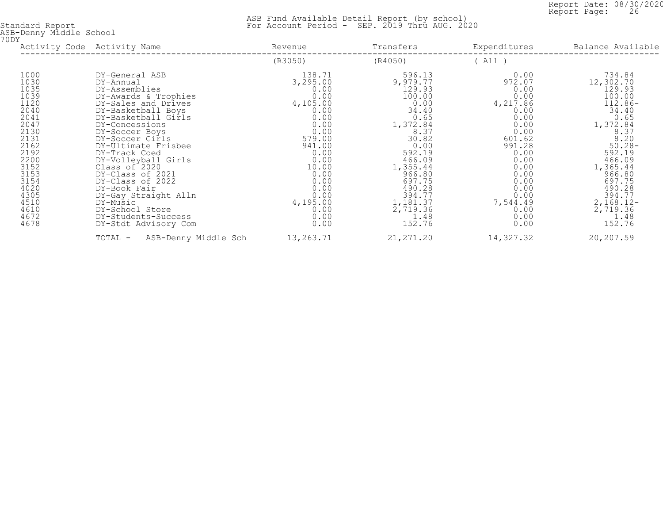Report Date: 08/30/2020<br>Report Page: 26 Report Page: 26

| ASB-Denny Middle School<br>70DY                                                                                                                                              | Activity Code Activity Name                                                                                                                                                                                                                                                                                                                                                                                                                   | Revenue                                                                                                                                                                                                             | Transfers                                                                                                                                                                                                              | Expenditures                                                                                                                                                                           | Balance Available                                                                                                                                                                                                               |
|------------------------------------------------------------------------------------------------------------------------------------------------------------------------------|-----------------------------------------------------------------------------------------------------------------------------------------------------------------------------------------------------------------------------------------------------------------------------------------------------------------------------------------------------------------------------------------------------------------------------------------------|---------------------------------------------------------------------------------------------------------------------------------------------------------------------------------------------------------------------|------------------------------------------------------------------------------------------------------------------------------------------------------------------------------------------------------------------------|----------------------------------------------------------------------------------------------------------------------------------------------------------------------------------------|---------------------------------------------------------------------------------------------------------------------------------------------------------------------------------------------------------------------------------|
|                                                                                                                                                                              |                                                                                                                                                                                                                                                                                                                                                                                                                                               | (R3050)                                                                                                                                                                                                             | (R4050)                                                                                                                                                                                                                | (A11)                                                                                                                                                                                  |                                                                                                                                                                                                                                 |
| 1000<br>1030<br>1035<br>1039<br>1120<br>2040<br>2041<br>2047<br>2130<br>2131<br>2162<br>2192<br>2200<br>3152<br>3153<br>3154<br>4020<br>4305<br>4510<br>4610<br>4672<br>4678 | DY-General ASB<br>DY-Annual<br>DY-Assemblies<br>DY-Awards & Trophies<br>DY-Sales and Drives<br>DY-Basketball Boys<br>DY-Basketball Girls<br>DY-Concessions<br>DY-Soccer Boys<br>DY-Soccer Girls<br>DY-Ultimate Frisbee<br>DY-Track Coed<br>DY-Volleyball Girls<br>Class of 2020<br>DY-Class of 2021<br>DY-Class of 2022<br>DY-Book Fair<br>DY-Gay Straight Alln<br>DY-Music<br>DY-School Store<br>DY-Students-Success<br>DY-Stdt Advisory Com | 138.71<br>3,295.00<br>$0.00$<br>$0.00$<br>4,105.00<br>0.00<br>0.00<br>$0.00$<br>$0.00$<br>579.00<br>941.00<br>0.00<br>$0.00$<br>$10.00$<br>$0.00$<br>$0.00$<br>$0.00$<br>$0.00$<br>4,195.00<br>0.00<br>0.00<br>0.00 | 596.13<br>9,979.77<br>129.93<br>100.00<br>0.00<br>34.40<br>0.65<br>1,372.84<br>8.37<br>30.82<br>0.00<br>592.19<br>466.09<br>1,355.44<br>966.80<br>697.75<br>490.28<br>394.77<br>1,181.37<br>2,719.36<br>1.48<br>152.76 | 0.00<br>972.07<br>0.00<br>0.00<br>4,217.86<br>0.00<br>0.00<br>0.00<br>0.00<br>601.62<br>991.28<br>0.00<br>$0.00$<br>$0.00$<br>0.000000<br>0.000000<br>7,544.49<br>0.00<br>0.00<br>0.00 | 734.84<br>12,302.70<br>129.93<br>100.00<br>112.86-<br>34.40<br>0.65<br>1, 372.84<br>8.37<br>8.20<br>50.28-<br>592.19<br>466.09<br>1,365.44<br>966.80<br>697.75<br>490.28<br>394.77<br>$2,168.12-$<br>2,719.36<br>1.48<br>152.76 |
|                                                                                                                                                                              | ASB-Denny Middle Sch<br>TOTAL -                                                                                                                                                                                                                                                                                                                                                                                                               | 13,263.71                                                                                                                                                                                                           | 21, 271.20                                                                                                                                                                                                             | 14,327.32                                                                                                                                                                              | 20,207.59                                                                                                                                                                                                                       |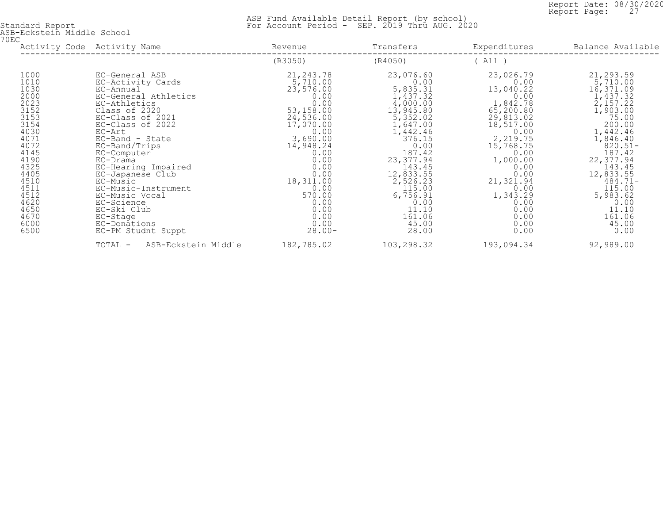Report Date: 08/30/2020<br>Report Page: 27 Report Page: 27

| ASB-Eckstein Middle School<br>70EC                                                                                                                                                       |                                                                                                                                                                                                                                                                                                                                                                                                           |                                                                                                                                                                                                                                       | Transfers                                                                                                                                                                                                                                                                           | Expenditures                                                                                                                                                                                                                             | Balance Available                                                                                                                                                                                                                                                            |
|------------------------------------------------------------------------------------------------------------------------------------------------------------------------------------------|-----------------------------------------------------------------------------------------------------------------------------------------------------------------------------------------------------------------------------------------------------------------------------------------------------------------------------------------------------------------------------------------------------------|---------------------------------------------------------------------------------------------------------------------------------------------------------------------------------------------------------------------------------------|-------------------------------------------------------------------------------------------------------------------------------------------------------------------------------------------------------------------------------------------------------------------------------------|------------------------------------------------------------------------------------------------------------------------------------------------------------------------------------------------------------------------------------------|------------------------------------------------------------------------------------------------------------------------------------------------------------------------------------------------------------------------------------------------------------------------------|
|                                                                                                                                                                                          | Activity Code Activity Name                                                                                                                                                                                                                                                                                                                                                                               | Revenue                                                                                                                                                                                                                               |                                                                                                                                                                                                                                                                                     |                                                                                                                                                                                                                                          |                                                                                                                                                                                                                                                                              |
|                                                                                                                                                                                          |                                                                                                                                                                                                                                                                                                                                                                                                           | (R3050)                                                                                                                                                                                                                               | (R4050)                                                                                                                                                                                                                                                                             | (A11)                                                                                                                                                                                                                                    |                                                                                                                                                                                                                                                                              |
| 1000<br>1010<br>1030<br>2000<br>2023<br>3152<br>$3153$<br>$3154$<br>4030<br>4071<br>4072<br>4145<br>4190<br>4325<br>4405<br>4510<br>4511<br>4512<br>4620<br>4650<br>4670<br>6000<br>6500 | EC-General ASB<br>EC-Activity Cards<br>EC-Annual<br>EC-General Athletics<br>EC-Athletics<br>Class of 2020<br>EC-Class of 2021<br>EC-Class of 2022<br>EC-Art<br>EC-Band - State<br>EC-Band/Trips<br>EC-Computer<br>EC-Drama<br>EC-Hearing Impaired<br>EC-Japanese Club<br>EC-Music<br>EC-Music-Instrument<br>EC-Music Vocal<br>EC-Science<br>EC-Ski Club<br>EC-Stage<br>EC-Donations<br>EC-PM Studnt Suppt | 21,243.78<br>5,710.00<br>23,576.00<br>0.00<br>0.00<br>53,158.00<br>24,536.00<br>17,070.00<br>0.00<br>3,690.00<br>14,948.24<br>0.00<br>0.00<br>0.00<br>0.00<br>18,311.00<br>0.00<br>570.00<br>0.00<br>0.00<br>0.00<br>$0.00$<br>28.00- | 23,076.60<br>0.00<br>5,835.31<br>$\frac{1}{4}$ , 437.32<br>4,000.00<br>13,945.80<br>5,352.02<br>1,647.00<br>1,442.46<br>376.15<br>0.00<br>187.42<br>23, 377.94<br>143.45<br>$\frac{12}{2}$ , 833.55<br>2, 526.23<br>115.00<br>6,756.91<br>0.00<br>11.10<br>161.06<br>45.00<br>28.00 | 23,026.79<br>0.00<br>13,040.22<br>0.00<br>1,842.78<br>65,200.80<br>29,813.02<br>18,517.00<br>0.00<br>2,219.75<br>15,768.75<br>0.00<br>1,000.00<br>0.00<br>0.00<br>21, 321.94<br>0.00<br>1,343.29<br>0.00<br>0.00<br>0.00<br>0.00<br>0.00 | 21,293.59<br>$\frac{5}{16}$ , 710.00<br>16, 371.09<br>1,437.32<br>2,157.22<br>1,903.00<br>75.00<br>200.00<br>1,442.46<br>1,846.40<br>$820.51 -$<br>187.42<br>22,377.94<br>143.45<br>$12,833.55$<br>484.71-<br>115.00<br>5,983.62<br>0.00<br>11.10<br>161.06<br>45.00<br>0.00 |
|                                                                                                                                                                                          | ASB-Eckstein Middle<br>TOTAL -                                                                                                                                                                                                                                                                                                                                                                            | 182,785.02                                                                                                                                                                                                                            | 103,298.32                                                                                                                                                                                                                                                                          | 193,094.34                                                                                                                                                                                                                               | 92,989.00                                                                                                                                                                                                                                                                    |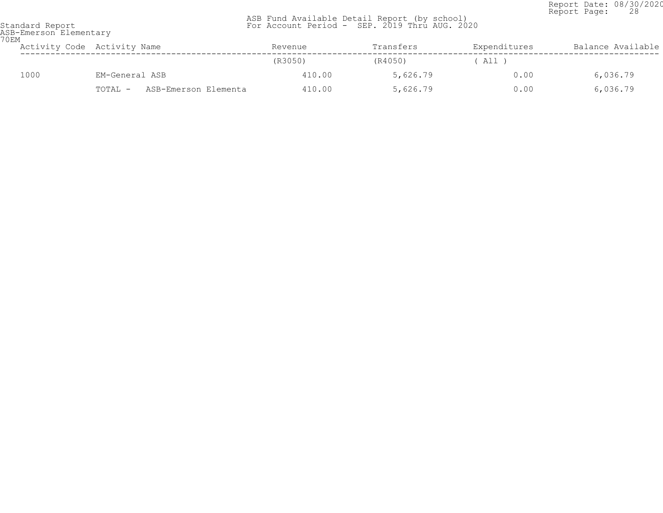Report Date: 08/30/2020<br>Report Page: 28 Report Page: 28

| 70EM | ASB-Emerson Elementary |                                 |         |           |              |                   |
|------|------------------------|---------------------------------|---------|-----------|--------------|-------------------|
|      |                        | Activity Code Activity Name     | Revenue | Transfers | Expenditures | Balance Available |
|      |                        |                                 | (R3050) | (R4050)   | ( All )      |                   |
|      | 1000                   | EM-General ASB                  | 410.00  | 5,626.79  | 0.00         | 6,036.79          |
|      |                        | ASB-Emerson Elementa<br>TOTAL - | 410.00  | 5,626.79  | 0.00         | 6,036.79          |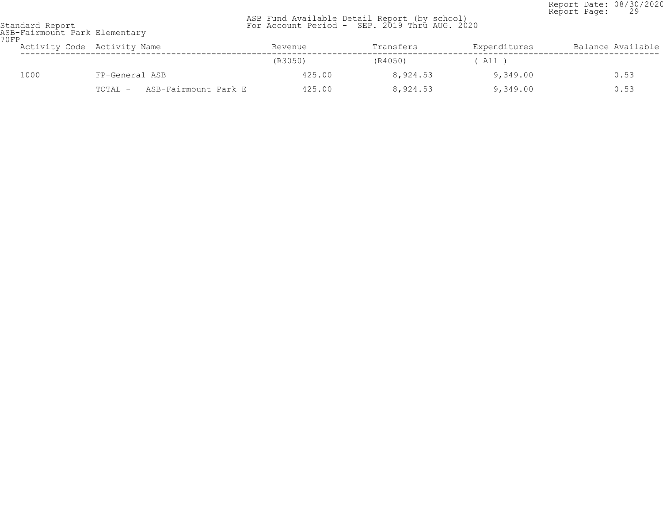Report Date: 08/30/2020<br>Report Page: 29 Report Page: 29

 ASB Fund Available Detail Report (by school) Standard Report For Account Period - SEP. 2019 Thru AUG. 2020

ASB-Fairmount Park Elementary 70FP

| <b>UFF</b> |      | Activity Code Activity Name     | Revenue | Transfers | Expenditures | Balance Available |
|------------|------|---------------------------------|---------|-----------|--------------|-------------------|
|            |      |                                 | (R3050) | (R4050)   | All C        |                   |
|            | 1000 | FP-General ASB                  | 425.00  | 8,924.53  | 9,349.00     | 0.53              |
|            |      | ASB-Fairmount Park E<br>TOTAL - | 425.00  | 8,924.53  | 9,349.00     | 0.53              |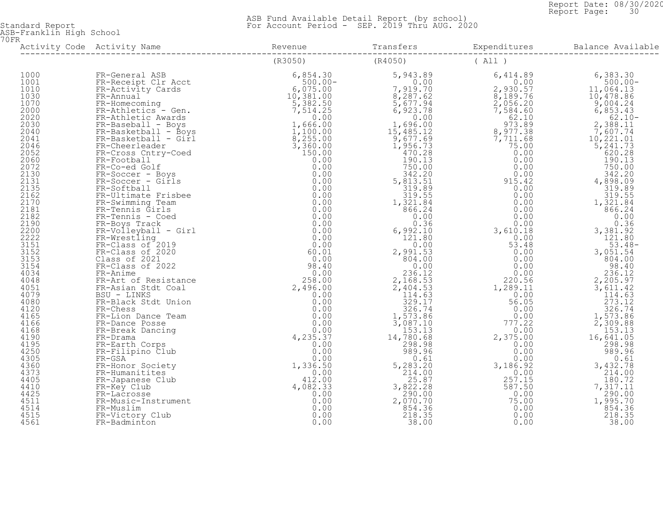Report Date: 08/30/2020<br>Report Page: 30 Report Page: 30

 ASB Fund Available Detail Report (by school) Standard Report For Account Period - SEP. 2019 Thru AUG. 2020

ASB-Franklin High School 70FR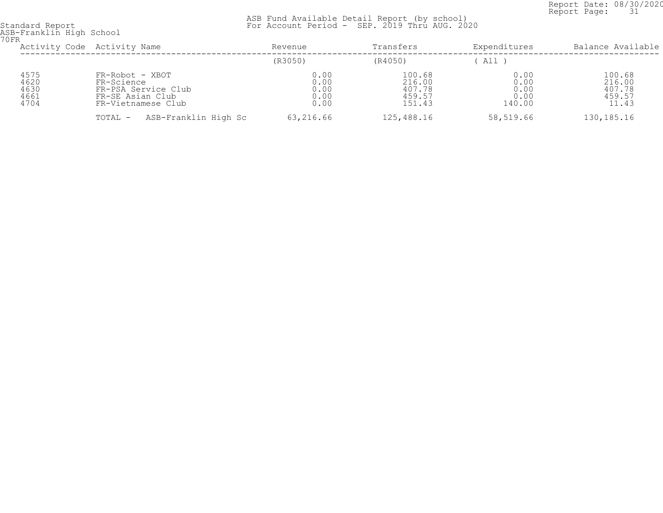Report Date: 08/30/2020<br>Report Page: 31 Report Page: 31

| 70FR                                 | ASB-Franklin High School                                                                       |                                      |                                                |                                        |                                               |  |  |
|--------------------------------------|------------------------------------------------------------------------------------------------|--------------------------------------|------------------------------------------------|----------------------------------------|-----------------------------------------------|--|--|
|                                      | Activity Code Activity Name                                                                    | Revenue                              | Transfers                                      | Expenditures                           | Balance Available                             |  |  |
|                                      |                                                                                                | (R3050)                              | (R4050)                                        | All)                                   |                                               |  |  |
| 4575<br>4620<br>4630<br>4661<br>4704 | FR-Robot - XBOT<br>FR-Science<br>FR-PSA Service Club<br>FR-SE Asian Club<br>FR-Vietnamese Club | 0.00<br>0.00<br>0.00<br>0.00<br>0.00 | 100.68<br>216.00<br>407.78<br>459.57<br>151.43 | 0.00<br>0.00<br>0.00<br>0.00<br>140.00 | 100.68<br>216.00<br>407.78<br>459.57<br>11.43 |  |  |
|                                      | ASB-Franklin High Sc<br>TOTAL -                                                                | 63,216.66                            | 125,488.16                                     | 58,519.66                              | 130, 185. 16                                  |  |  |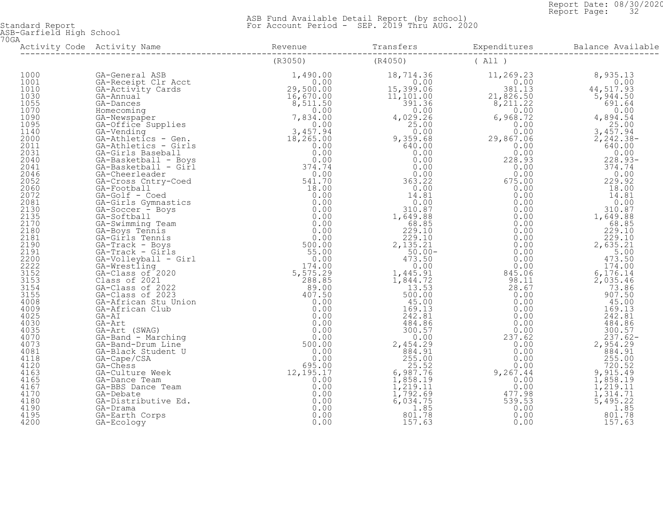Report Date: 08/30/2020<br>Report Page: 32 Report Page: 32

 ASB Fund Available Detail Report (by school) Standard Report For Account Period - SEP. 2019 Thru AUG. 2020

ASB-Garfield High School 70GA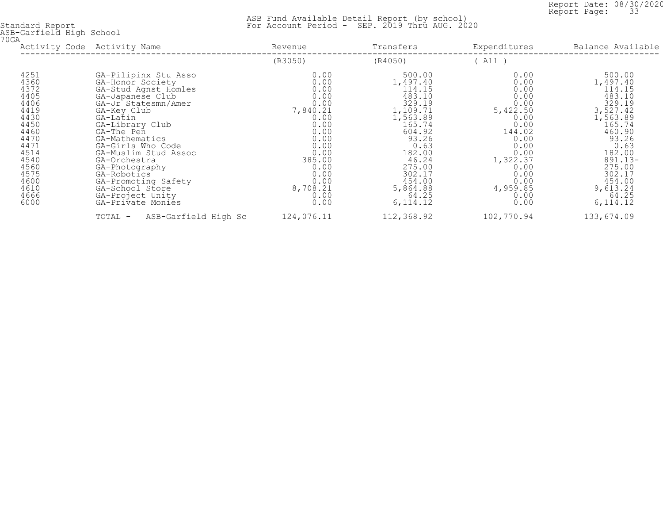Report Date: 08/30/2020<br>Report Page: 33 Report Page: 33

| 70GA | ASB-Garfield High School                                                                                                                             |                                                                                                                                                                                                                                                                                                                                                                            |                                                                                                                                                                |                                                                                                                                                                                                  |                                                                                                                                                                    |                                                                                                                                                                                                        |
|------|------------------------------------------------------------------------------------------------------------------------------------------------------|----------------------------------------------------------------------------------------------------------------------------------------------------------------------------------------------------------------------------------------------------------------------------------------------------------------------------------------------------------------------------|----------------------------------------------------------------------------------------------------------------------------------------------------------------|--------------------------------------------------------------------------------------------------------------------------------------------------------------------------------------------------|--------------------------------------------------------------------------------------------------------------------------------------------------------------------|--------------------------------------------------------------------------------------------------------------------------------------------------------------------------------------------------------|
|      | Activity Code Activity Name                                                                                                                          |                                                                                                                                                                                                                                                                                                                                                                            | Revenue                                                                                                                                                        | Transfers                                                                                                                                                                                        | Expenditures                                                                                                                                                       | Balance Available                                                                                                                                                                                      |
|      |                                                                                                                                                      |                                                                                                                                                                                                                                                                                                                                                                            | (R3050)                                                                                                                                                        | (R4050)                                                                                                                                                                                          | (A11)                                                                                                                                                              |                                                                                                                                                                                                        |
|      | 4251<br>4360<br>4372<br>4405<br>4406<br>4419<br>4430<br>4450<br>4460<br>4470<br>4471<br>4514<br>4540<br>4560<br>4575<br>4600<br>4610<br>4666<br>6000 | GA-Pilipinx Stu Asso<br>GA-Honor Society<br>GA-Stud Agnst Homles<br>GA-Japanese Club<br>GA-Jr Statesmn/Amer<br>GA-Key Club<br>GA-Latin<br>GA-Library Club<br>GA-The Pen<br>GA-Mathematics<br>GA-Girls Who Code<br>GA-Muslim Stud Assoc<br>GA-Orchestra<br>GA-Photography<br>GA-Robotics<br>GA-Promoting Safety<br>GA-School Store<br>GA-Project Unity<br>GA-Private Monies | 0.00<br>0.00<br>0.00<br>0.00<br>0.00<br>7,840.21<br>0.00<br>0.00<br>0.00<br>0.00<br>0.00<br>0.00<br>385.00<br>0.00<br>0.00<br>0.00<br>8,708.21<br>0.00<br>0.00 | 500.00<br>1,497.40<br>114.15<br>483.10<br>329.19<br>1,109.71<br>1,563.89<br>165.74<br>604.92<br>93.26<br>0.63<br>182.00<br>46.24<br>275.00<br>302.17<br>454.00<br>5,864.88<br>64.25<br>6, 114.12 | 0.00<br>0.00<br>0.00<br>0.00<br>0.00<br>5,422.50<br>0.00<br>0.00<br>144.02<br>0.00<br>0.00<br>0.00<br>1,322.37<br>0.00<br>0.00<br>0.00<br>4,959.85<br>0.00<br>0.00 | 500.00<br>1,497.40<br>114.15<br>483.10<br>329.19<br>3,527.42<br>1,563.89<br>165.74<br>460.90<br>93.26<br>0.63<br>182.00<br>$891.13 -$<br>275.00<br>302.17<br>454.00<br>9,613.24<br>64.25<br>6, 114. 12 |
|      |                                                                                                                                                      | ASB-Garfield High Sc<br>TOTAL -                                                                                                                                                                                                                                                                                                                                            | 124,076.11                                                                                                                                                     | 112,368.92                                                                                                                                                                                       | 102,770.94                                                                                                                                                         | 133,674.09                                                                                                                                                                                             |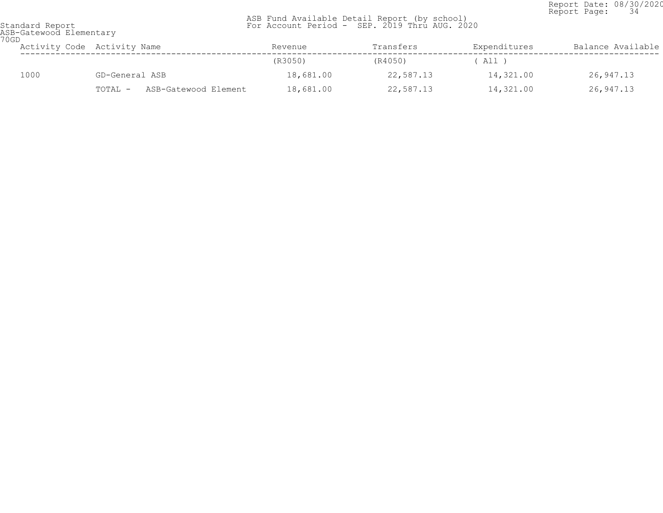Report Date: 08/30/2020<br>Report Page: 34 Report Page: 34

| ASB-Gatewood Elementary<br>70GD |      |                                 |           |           |              |                   |  |
|---------------------------------|------|---------------------------------|-----------|-----------|--------------|-------------------|--|
|                                 |      | Activity Code Activity Name     | Revenue   | Transfers | Expenditures | Balance Available |  |
|                                 |      |                                 | (R3050)   | (R4050)   | ( All )      |                   |  |
|                                 | 1000 | GD-General ASB                  | 18,681.00 | 22,587.13 | 14,321.00    | 26,947.13         |  |
|                                 |      | ASB-Gatewood Element<br>TOTAL - | 18,681.00 | 22,587.13 | 14,321.00    | 26,947.13         |  |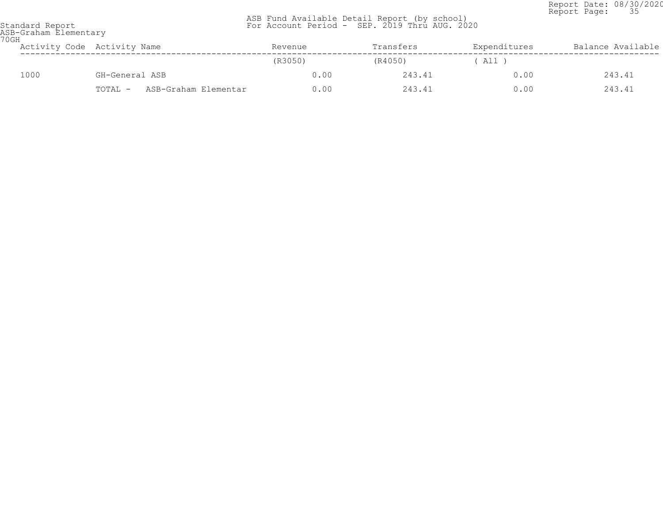Report Date: 08/30/2020<br>Report Page: 35 Report Page: 35

| ASB-Graham Elementary<br>70GH |                                 |         |           |              |                   |  |  |  |
|-------------------------------|---------------------------------|---------|-----------|--------------|-------------------|--|--|--|
|                               | Activity Code Activity Name     | Revenue | Transfers | Expenditures | Balance Available |  |  |  |
|                               |                                 | (R3050) | (R4050)   | $'$ All,     |                   |  |  |  |
| 1000                          | GH-General ASB                  | 0.00    | 243.41    | 0.00         | 243.41            |  |  |  |
|                               | ASB-Graham Elementar<br>TOTAL - | 0.00    | 243.41    | 0.00         | 243.41            |  |  |  |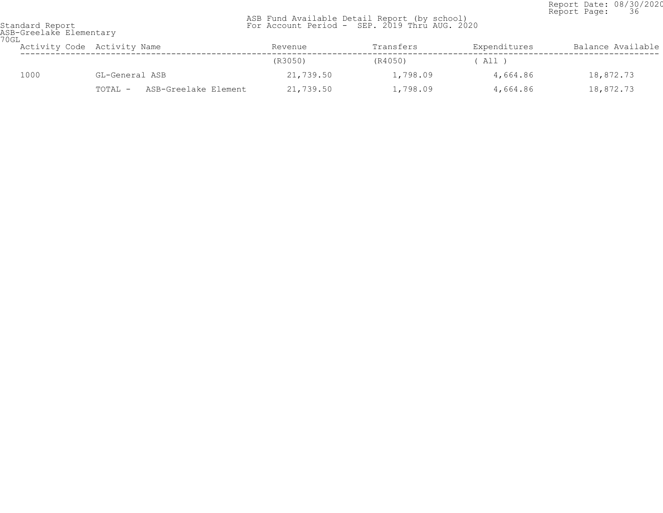Report Date: 08/30/2020<br>Report Page: 36 Report Page: 36

| 70GL | ASB-Greelake Elementary |                                 |           |           |              |                   |
|------|-------------------------|---------------------------------|-----------|-----------|--------------|-------------------|
|      |                         | Activity Code Activity Name     | Revenue   | Transfers | Expenditures | Balance Available |
|      |                         |                                 | (R3050)   | (R4050)   | ( All )      |                   |
|      | 1000                    | GL-General ASB                  | 21,739.50 | 1,798.09  | 4,664.86     | 18,872.73         |
|      |                         | ASB-Greelake Element<br>TOTAL - | 21,739.50 | 1,798.09  | 4,664.86     | 18,872.73         |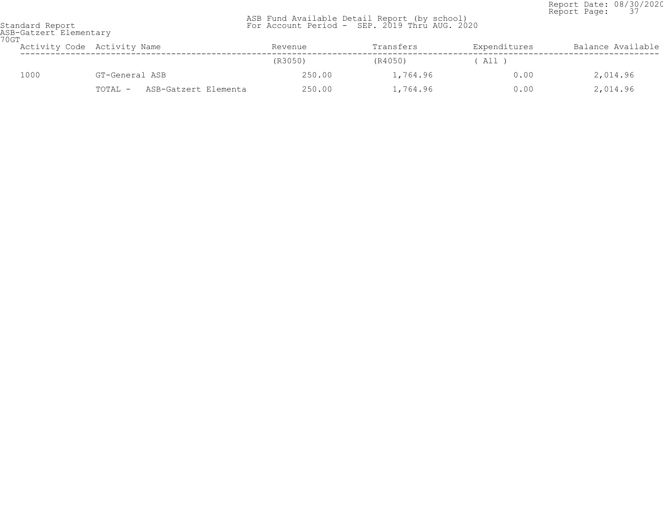Report Date: 08/30/2020<br>Report Page: 37 Report Page: 37

| 70GT | ASB-Gatzert Elementary |                                 |         |           |              |                   |  |  |  |
|------|------------------------|---------------------------------|---------|-----------|--------------|-------------------|--|--|--|
|      |                        | Activity Code Activity Name     | Revenue | Transfers | Expenditures | Balance Available |  |  |  |
|      |                        |                                 | (R3050) | (R4050)   | $'$ All $)$  |                   |  |  |  |
|      | 1000                   | GT-General ASB                  | 250.00  | 1,764.96  | 0.00         | 2,014.96          |  |  |  |
|      |                        | ASB-Gatzert Elementa<br>TOTAL - | 250.00  | 1,764.96  | 0.00         | 2,014.96          |  |  |  |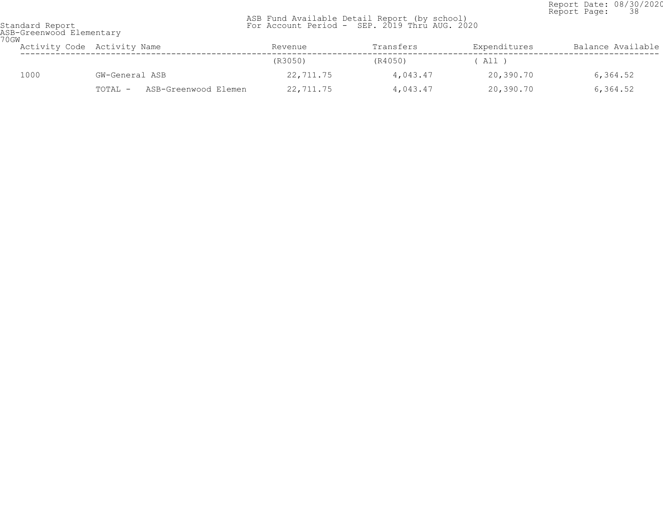Report Date: 08/30/2020<br>Report Page: 38 Report Page: 38

| ASB-Greenwood Elementary<br>70GW |                                 |           |           |              |                   |
|----------------------------------|---------------------------------|-----------|-----------|--------------|-------------------|
|                                  | Activity Code Activity Name     | Revenue   | Transfers | Expenditures | Balance Available |
|                                  |                                 | (R3050)   | (R4050)   | All )        |                   |
| 1000                             | GW-General ASB                  | 22,711.75 | 4,043.47  | 20,390.70    | 6,364.52          |
|                                  | ASB-Greenwood Elemen<br>TOTAL - | 22,711.75 | 4,043.47  | 20,390.70    | 6,364.52          |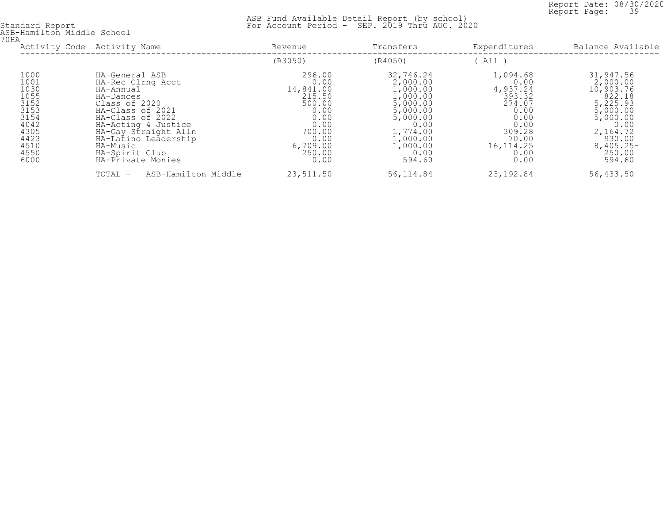Report Date: 08/30/2020<br>Report Page: 39 Report Page: 39

| ASB-Hamilton Middle School<br>70HA                                                                   |                                                                                                                                                                                                                                                  |                                                                                                                         |                                                                                                                                                 |                                                                                                                            |                                                                                                                                                    |
|------------------------------------------------------------------------------------------------------|--------------------------------------------------------------------------------------------------------------------------------------------------------------------------------------------------------------------------------------------------|-------------------------------------------------------------------------------------------------------------------------|-------------------------------------------------------------------------------------------------------------------------------------------------|----------------------------------------------------------------------------------------------------------------------------|----------------------------------------------------------------------------------------------------------------------------------------------------|
|                                                                                                      | Activity Code Activity Name                                                                                                                                                                                                                      | Revenue                                                                                                                 | Transfers                                                                                                                                       | Expenditures                                                                                                               | Balance Available                                                                                                                                  |
|                                                                                                      |                                                                                                                                                                                                                                                  | (R3050)                                                                                                                 | (R4050)                                                                                                                                         | All )                                                                                                                      |                                                                                                                                                    |
| 1000<br>1001<br>1030<br>1055<br>3152<br>3153<br>3154<br>4042<br>4305<br>4423<br>4510<br>4550<br>6000 | HA-General ASB<br>HA-Rec Clrng Acct<br>HA-Annual<br>HA-Dances<br>Class of 2020<br>HA-Class of 2021<br>HA-Class of 2022<br>HA-Acting 4 Justice<br>HA-Gay Straight Alln<br>HA-Latino Leadership<br>HA-Music<br>HA-Spirit Club<br>HA-Private Monies | 296.00<br>0.00<br>14,841.00<br>215.50<br>500.00<br>0.00<br>0.00<br>0.00<br>700.00<br>0.00<br>6,709.00<br>250.00<br>0.00 | 32,746.24<br>2,000.00<br>1,000.00<br>1,000.00<br>5,000.00<br>5,000.00<br>5,000.00<br>0.00<br>1,774.00<br>1,000.00<br>1,000.00<br>0.00<br>594.60 | 1,094.68<br>0.00<br>4,937.24<br>393.32<br>274.07<br>0.00<br>0.00<br>0.00<br>309.28<br>70.00<br>16, 114. 25<br>0.00<br>0.00 | 31,947.56<br>2,000.00<br>10,903.76<br>822.18<br>5,225.93<br>5,000.00<br>5,000.00<br>0.00<br>2,164.72<br>930.00<br>$8,405.25 -$<br>250.00<br>594.60 |
|                                                                                                      | ASB-Hamilton Middle<br>TOTAL -                                                                                                                                                                                                                   | 23,511.50                                                                                                               | 56, 114.84                                                                                                                                      | 23, 192.84                                                                                                                 | 56,433.50                                                                                                                                          |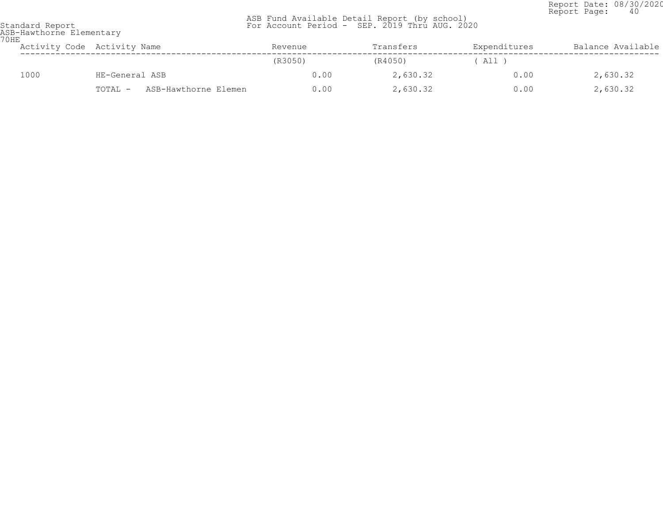Report Date: 08/30/2020<br>Report Page: 40 Report Page: 40

| 70HE | ASB-Hawthorne Elementary        |         |           |              |                   |  |  |  |  |  |
|------|---------------------------------|---------|-----------|--------------|-------------------|--|--|--|--|--|
|      | Activity Code Activity Name     | Revenue | Transfers | Expenditures | Balance Available |  |  |  |  |  |
|      |                                 | (R3050) | (R4050)   | All T        |                   |  |  |  |  |  |
| 1000 | HE-General ASB                  | 0.00    | 2,630.32  | 0.00         | 2,630.32          |  |  |  |  |  |
|      | ASB-Hawthorne Elemen<br>TOTAL - | 0.00    | 2,630.32  | 0.00         | 2,630.32          |  |  |  |  |  |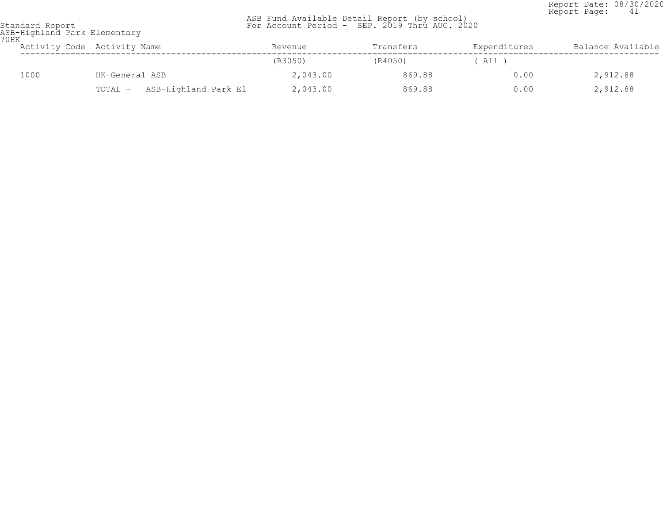Report Date: 08/30/2020<br>Report Page: 41 Report Page: 41

| Standard Report              |  |
|------------------------------|--|
| ASB-Highland Park Elementary |  |
| 70HK                         |  |

| UHN  | Activity Code Activity Name     | Revenue  | Transfers | Expenditures | Balance Available |
|------|---------------------------------|----------|-----------|--------------|-------------------|
|      |                                 | (R3050)  | (R4050)   | ( All )      |                   |
| 1000 | HK-General ASB                  | 2,043.00 | 869.88    | 0.00         | 2,912.88          |
|      | ASB-Highland Park El<br>TOTAL - | 2,043.00 | 869.88    | 0.00         | 2,912.88          |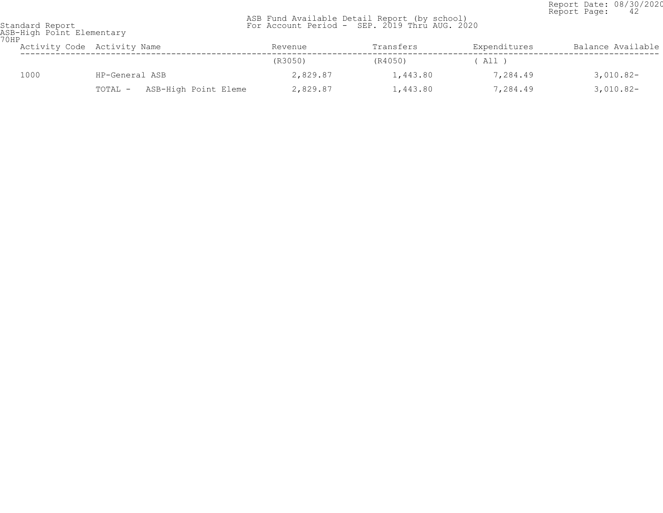Report Date: 08/30/2020<br>Report Page: 42 Report Page: 42

 ASB Fund Available Detail Report (by school) Standard Report For Account Period - SEP. 2019 Thru AUG. 2020

ASB-High Point Elementary 70HP

| UHP  | Activity Code Activity Name     | Revenue  | Transfers | Expenditures | Balance Available |
|------|---------------------------------|----------|-----------|--------------|-------------------|
|      |                                 | (R3050)  | (R4050)   | ( All )      |                   |
| 1000 | HP-General ASB                  | 2,829.87 | 1,443.80  | 7,284.49     | $3,010.82-$       |
|      | ASB-High Point Eleme<br>TOTAL - | 2,829.87 | 1,443.80  | 7,284.49     | $3,010.82-$       |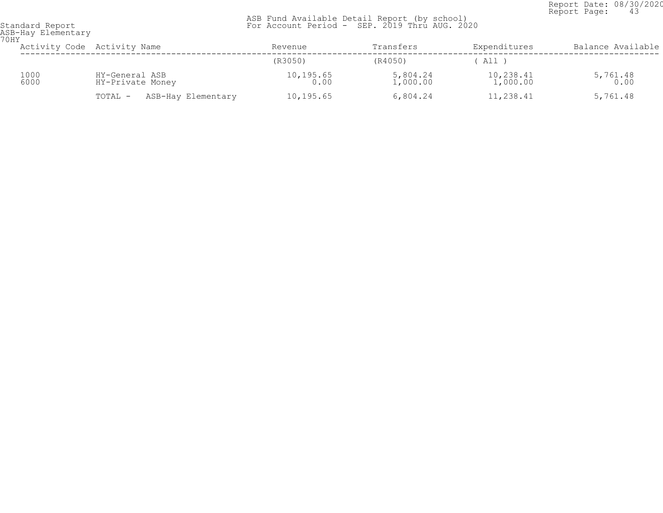Report Date: 08/30/2020<br>Report Page: 43 Report Page: 43

| 70HY | ASB-Hay Elementary |                                    |                      |                      |                          |                    |  |
|------|--------------------|------------------------------------|----------------------|----------------------|--------------------------|--------------------|--|
|      |                    | Activity Code Activity Name        | Revenue              | Transfers            | Expenditures             | Balance Available  |  |
|      |                    |                                    | (R3050)              | (R4050)              | All                      |                    |  |
|      | 1000<br>6000       | HY-General ASB<br>HY-Private Money | $10, 195.65$<br>0.00 | 5,804.24<br>1,000.00 | $10, 238.41$<br>1,000.00 | $5,761.48$<br>0.00 |  |
|      |                    | ASB-Hay Elementary<br>TOTAL -      | 10,195.65            | 6,804.24             | 11,238.41                | 5,761.48           |  |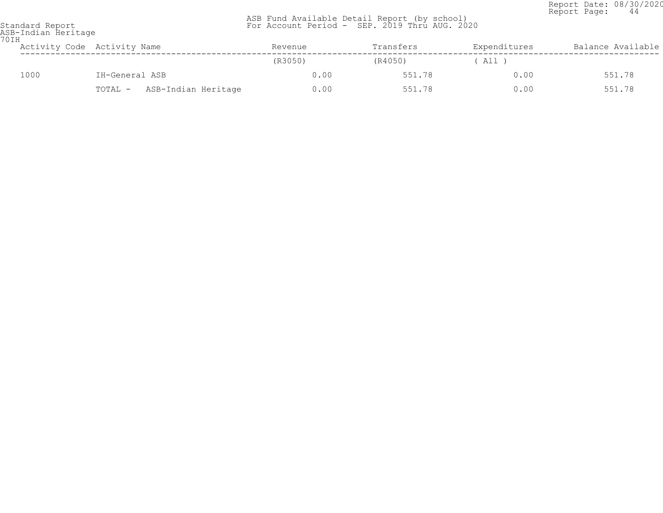Report Date: 08/30/2020<br>Report Page: 44 Report Page: 44

| 70IH | ASB-Indian Heritage |                                |         |           |              |                   |  |  |  |
|------|---------------------|--------------------------------|---------|-----------|--------------|-------------------|--|--|--|
|      |                     | Activity Code Activity Name    | Revenue | Transfers | Expenditures | Balance Available |  |  |  |
|      |                     |                                | (R3050) | (R4050)   | All )        |                   |  |  |  |
|      | 1000                | IH-General ASB                 | 0.00    | 551.78    | 0.00         | 551.78            |  |  |  |
|      |                     | ASB-Indian Heritage<br>TOTAL - | 0.00    | 551.78    | 0.00         | 551.78            |  |  |  |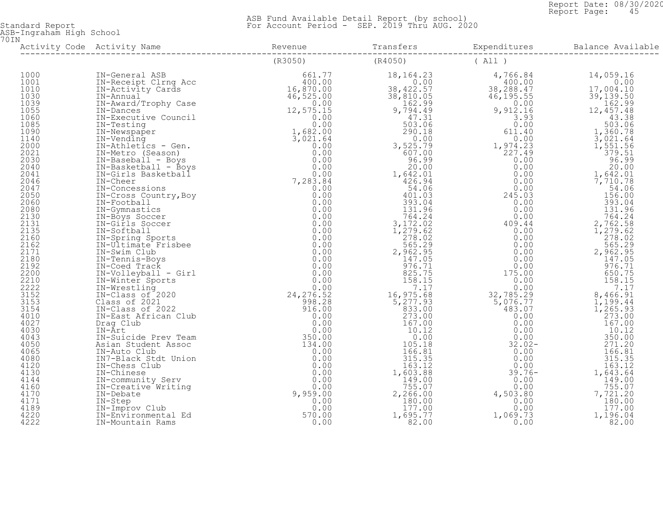Report Date: 08/30/2020<br>Report Page: 45 Report Page: 45

| ASB-Ingraham High School<br>70 I N |                  |                                 |  |  |
|------------------------------------|------------------|---------------------------------|--|--|
|                                    |                  |                                 |  |  |
|                                    |                  | $(R3050)$ $(R4050)$ $($ All $)$ |  |  |
| 1000                               |                  |                                 |  |  |
| 1001                               |                  |                                 |  |  |
| 1010                               |                  |                                 |  |  |
| 1030                               |                  |                                 |  |  |
| 1039                               |                  |                                 |  |  |
| 1055                               |                  |                                 |  |  |
| 1060                               |                  |                                 |  |  |
| 1085<br>1090                       |                  |                                 |  |  |
| 1140                               |                  |                                 |  |  |
| 2000                               |                  |                                 |  |  |
| 2021                               |                  |                                 |  |  |
| 2030                               |                  |                                 |  |  |
| 2040                               |                  |                                 |  |  |
| 2041                               |                  |                                 |  |  |
| 2046                               |                  |                                 |  |  |
| 2047                               |                  |                                 |  |  |
| 2050                               |                  |                                 |  |  |
| 2060                               |                  |                                 |  |  |
| 2080                               |                  |                                 |  |  |
| 2130                               |                  |                                 |  |  |
| 2131                               |                  |                                 |  |  |
| 2135                               |                  |                                 |  |  |
| 2160                               |                  |                                 |  |  |
| 2162                               |                  |                                 |  |  |
| 2171                               |                  |                                 |  |  |
| 2180                               |                  |                                 |  |  |
| 2192                               |                  |                                 |  |  |
| 2200                               |                  |                                 |  |  |
| 2210                               |                  |                                 |  |  |
| 2222<br>3152                       |                  |                                 |  |  |
| 3153                               |                  |                                 |  |  |
| 3154                               |                  |                                 |  |  |
| 4010                               |                  |                                 |  |  |
| 4027                               |                  |                                 |  |  |
| 4030                               |                  |                                 |  |  |
| 4043                               |                  |                                 |  |  |
| 4050                               |                  |                                 |  |  |
| 4065                               |                  |                                 |  |  |
| 4080                               |                  |                                 |  |  |
| 4120                               |                  |                                 |  |  |
| 4130                               |                  |                                 |  |  |
| 4144                               |                  |                                 |  |  |
| 4160                               |                  |                                 |  |  |
| 4170                               |                  |                                 |  |  |
| 4171                               |                  |                                 |  |  |
| 4189                               |                  |                                 |  |  |
| 4220                               |                  |                                 |  |  |
| 4222                               | IN-Mountain Rams |                                 |  |  |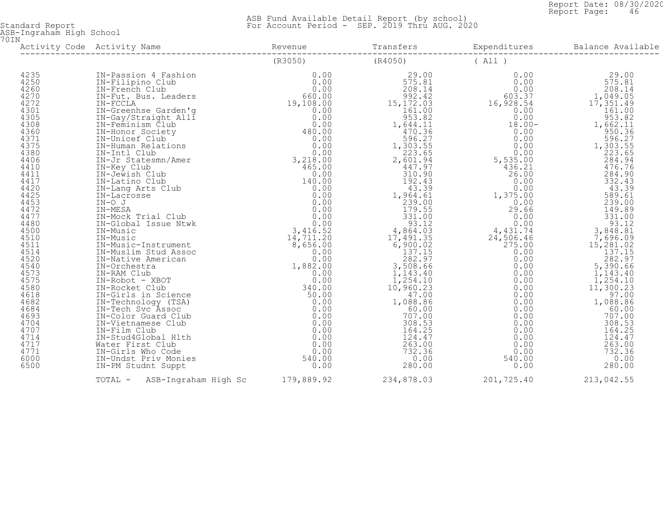Report Date: 08/30/2020<br>Report Page: 46 Report Page: 46

 ASB Fund Available Detail Report (by school) Standard Report For Account Period - SEP. 2019 Thru AUG. 2020

ASB-Ingraham High School 70IN

|                                                                                                                                                                                                                                                                                                      | Activity Code Activity Name             |         |            |            | Expenditures Balance Availa<br>Balance Available |  |
|------------------------------------------------------------------------------------------------------------------------------------------------------------------------------------------------------------------------------------------------------------------------------------------------------|-----------------------------------------|---------|------------|------------|--------------------------------------------------|--|
|                                                                                                                                                                                                                                                                                                      |                                         | (R3050) | (R4050)    | (All)      |                                                  |  |
| 4235<br>4250<br>4260<br>4270<br>4272<br>4301<br>4305<br>4308<br>4360<br>4371<br>4375<br>4380<br>4406<br>4410<br>4411<br>4417<br>4420<br>4425<br>4453<br>4472<br>4477<br>4480<br>4500<br>4510<br>4511<br>4514<br>4520<br>4540<br>4573<br>4575<br>4580<br>4618<br>4682<br>4684<br>4693<br>4704<br>4707 |                                         |         |            |            |                                                  |  |
| 4714<br>4717<br>4771<br>6000<br>6500                                                                                                                                                                                                                                                                 |                                         |         |            |            |                                                  |  |
|                                                                                                                                                                                                                                                                                                      | TOTAL - ASB-Ingraham High Sc 179,889.92 |         | 234,878.03 | 201,725.40 | 213,042.55                                       |  |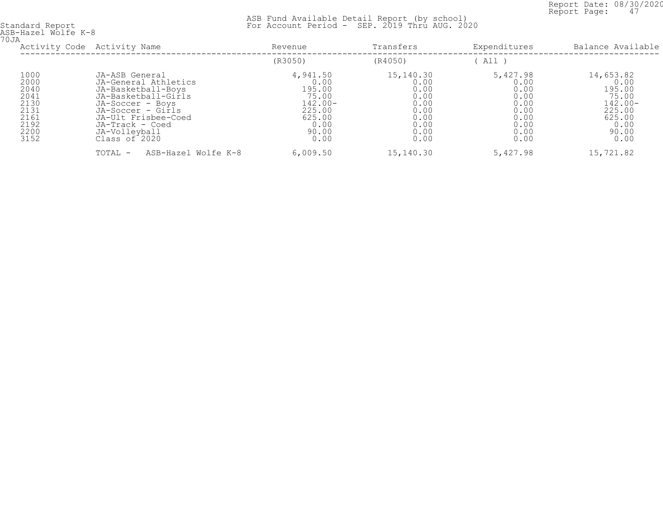Report Date: 08/30/2020<br>Report Page: 47 Report Page: 47

| ASB-Hazel Wolfe K-8<br>70JA                                                  |                                                                                                                                                                                                          |                                                                                                |                                                                                   |                                                                                  |                                                                                                 |
|------------------------------------------------------------------------------|----------------------------------------------------------------------------------------------------------------------------------------------------------------------------------------------------------|------------------------------------------------------------------------------------------------|-----------------------------------------------------------------------------------|----------------------------------------------------------------------------------|-------------------------------------------------------------------------------------------------|
|                                                                              | Activity Code Activity Name                                                                                                                                                                              | Revenue                                                                                        | Transfers                                                                         | Expenditures                                                                     | Balance Available                                                                               |
|                                                                              |                                                                                                                                                                                                          | (R3050)                                                                                        | (R4050)                                                                           | All )                                                                            |                                                                                                 |
| 1000<br>2000<br>2040<br>2041<br>2130<br>2131<br>2161<br>2192<br>2200<br>3152 | JA-ASB General<br>JA-General Athletics<br>JA-Basketball-Boys<br>JA-Basketball-Girls<br>JA-Soccer - Boys<br>JA-Soccer - Girls<br>JA-Ult Frisbee-Coed<br>JA-Track - Coed<br>JA-Volleyball<br>Class of 2020 | 4,941.50<br>0.00<br>195.00<br>75.00<br>$142.00 -$<br>225.00<br>625.00<br>0.00<br>90.00<br>0.00 | 15,140.30<br>0.00<br>0.00<br>0.00<br>0.00<br>0.00<br>0.00<br>0.00<br>0.00<br>0.00 | 5,427.98<br>0.00<br>0.00<br>0.00<br>0.00<br>0.00<br>0.00<br>0.00<br>0.00<br>0.00 | 14,653.82<br>0.00<br>195.00<br>75.00<br>$142.00 -$<br>225.00<br>625.00<br>0.00<br>90.00<br>0.00 |
|                                                                              | ASB-Hazel Wolfe K-8<br>TOTAL -                                                                                                                                                                           | 6,009.50                                                                                       | 15,140.30                                                                         | 5,427.98                                                                         | 15,721.82                                                                                       |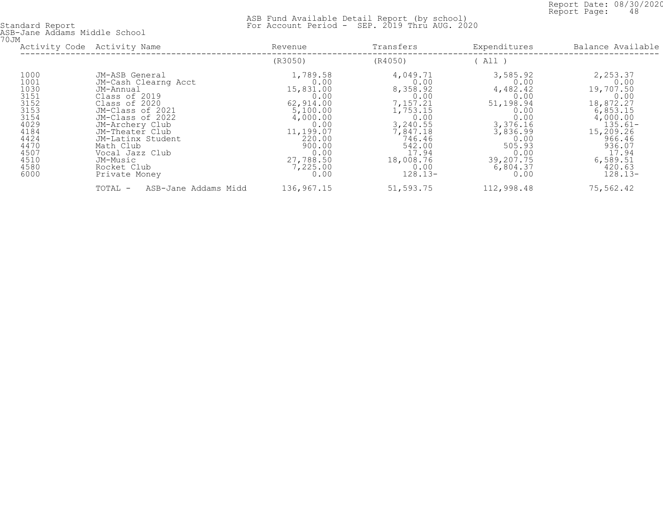Report Date: 08/30/2020<br>Report Page: 48 Report Page: 48

 ASB Fund Available Detail Report (by school) Standard Report For Account Period - SEP. 2019 Thru AUG. 2020

ASB-Jane Addams Middle School 70JM

| UUM                                                                                                                  | Activity Code Activity Name                                                                                                                                                                                                                                          | Transfers<br>Revenue                                                                                                                                         |                                                                                                                                                             | Expenditures                                                                                                                                         | Balance Available                                                                                                                                                    |  |
|----------------------------------------------------------------------------------------------------------------------|----------------------------------------------------------------------------------------------------------------------------------------------------------------------------------------------------------------------------------------------------------------------|--------------------------------------------------------------------------------------------------------------------------------------------------------------|-------------------------------------------------------------------------------------------------------------------------------------------------------------|------------------------------------------------------------------------------------------------------------------------------------------------------|----------------------------------------------------------------------------------------------------------------------------------------------------------------------|--|
|                                                                                                                      |                                                                                                                                                                                                                                                                      | (R3050)                                                                                                                                                      | (R4050)                                                                                                                                                     | All )                                                                                                                                                |                                                                                                                                                                      |  |
| 1000<br>1001<br>1030<br>3151<br>3152<br>3153<br>3154<br>4029<br>4184<br>4424<br>4470<br>4507<br>4510<br>4580<br>6000 | JM-ASB General<br>JM-Cash Clearng Acct<br>JM-Annual<br>Class of 2019<br>Class of 2020<br>JM-Class of 2021<br>JM-Class of 2022<br>JM-Archery Club<br>JM-Theater Club<br>JM-Latinx Student<br>Math Club<br>Vocal Jazz Club<br>JM-Music<br>Rocket Club<br>Private Money | 1,789.58<br>0.00<br>15,831.00<br>0.00<br>62,914.00<br>5,100.00<br>4,000.00<br>0.00<br>11,199.07<br>220.00<br>900.00<br>0.00<br>27,788.50<br>7,225.00<br>0.00 | 4,049.71<br>0.00<br>8,358.92<br>0.00<br>7,157.21<br>1,753.15<br>0.00<br>3,240.55<br>7,847.18<br>746.46<br>542.00<br>17.94<br>18,008.76<br>0.00<br>$128.13-$ | 3,585.92<br>0.00<br>4,482.42<br>0.00<br>51,198.94<br>0.00<br>0.00<br>3,376.16<br>3,836.99<br>0.00<br>505.93<br>0.00<br>39,207.75<br>6,804.37<br>0.00 | 2,253.37<br>0.00<br>19,707.50<br>0.00<br>18,872.27<br>6,853.15<br>4,000.00<br>$135.61-$<br>15,209.26<br>966.46<br>936.07<br>17.94<br>6,589.51<br>420.63<br>$128.13-$ |  |
|                                                                                                                      | TOTAL -<br>ASB-Jane Addams Midd                                                                                                                                                                                                                                      | 136,967.15                                                                                                                                                   | 51,593.75                                                                                                                                                   | 112,998.48                                                                                                                                           | 75,562.42                                                                                                                                                            |  |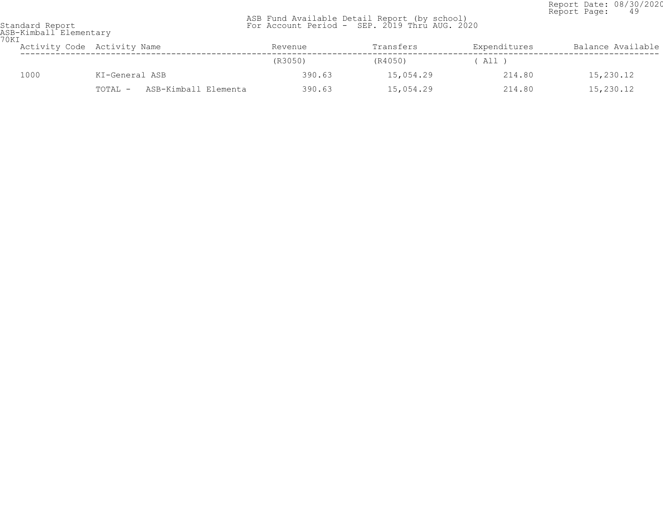Report Date: 08/30/2020<br>Report Page: 49 Report Page: 49

| Standard Report |                        |
|-----------------|------------------------|
|                 | ASR-Kimball Elementary |

| ASB-Kimball Elementary<br>70KI |                                 |         |           |              |                   |
|--------------------------------|---------------------------------|---------|-----------|--------------|-------------------|
|                                | Activity Code Activity Name     | Revenue | Transfers | Expenditures | Balance Available |
|                                |                                 | (R3050) | (R4050)   | All )        |                   |
| 1000                           | KI-General ASB                  | 390.63  | 15,054.29 | 214.80       | 15,230.12         |
|                                | ASB-Kimball Elementa<br>TOTAL - | 390.63  | 15,054.29 | 214.80       | 15,230.12         |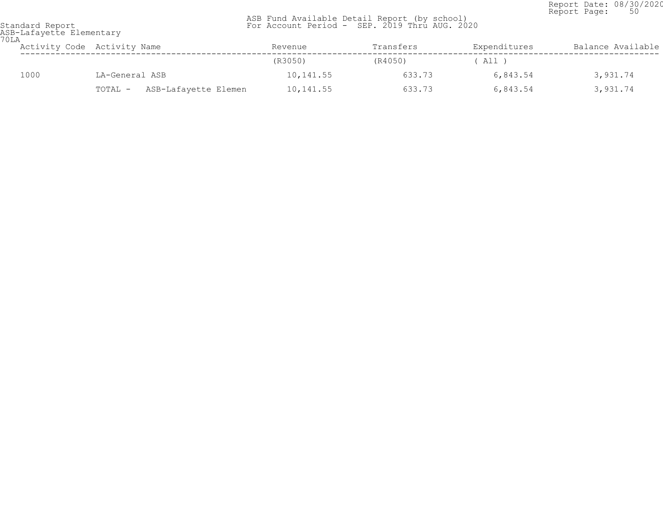Report Date: 08/30/2020<br>Report Page: 50 Report Page: 50

| 70LA | ASB-Lafayette Elementary |                                 |           |           |              |                   |  |  |  |
|------|--------------------------|---------------------------------|-----------|-----------|--------------|-------------------|--|--|--|
|      |                          | Activity Code Activity Name     | Revenue   | Transfers | Expenditures | Balance Available |  |  |  |
|      |                          |                                 | (R3050)   | (R4050)   | $'$ All,     |                   |  |  |  |
|      | 1000                     | LA-General ASB                  | 10,141.55 | 633.73    | 6,843.54     | 3,931.74          |  |  |  |
|      |                          | ASB-Lafayette Elemen<br>TOTAL - | 10,141.55 | 633.73    | 6,843.54     | 3,931.74          |  |  |  |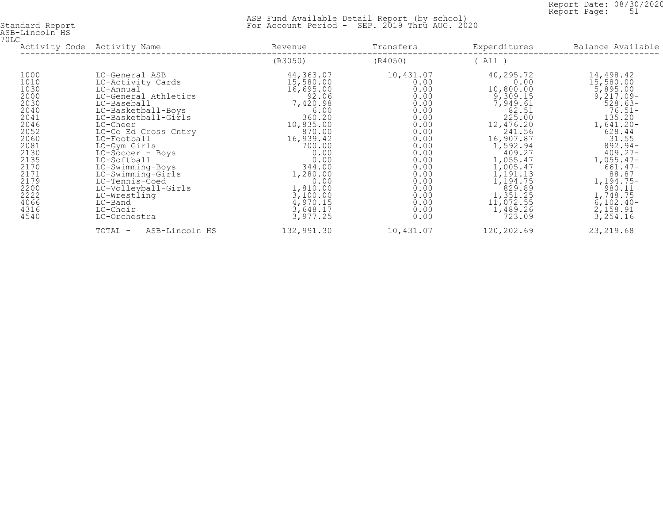Report Date: 08/30/2020<br>Report Page: 51 Report Page: 51

| ASB-Lincoln HS |  |
|----------------|--|
| 70LC           |  |

| しロし                                                                                  | Activity Code Activity Name                                                                                                                                                              | Revenue                                                                                                          | Transfers                                                                            | Expenditures                                                                                                                | Balance Available                                                                                                                        |  |
|--------------------------------------------------------------------------------------|------------------------------------------------------------------------------------------------------------------------------------------------------------------------------------------|------------------------------------------------------------------------------------------------------------------|--------------------------------------------------------------------------------------|-----------------------------------------------------------------------------------------------------------------------------|------------------------------------------------------------------------------------------------------------------------------------------|--|
|                                                                                      |                                                                                                                                                                                          | (R3050)                                                                                                          | (R4050)                                                                              | All )                                                                                                                       |                                                                                                                                          |  |
| 1000<br>1010<br>1030<br>2000<br>2030<br>2040<br>2041<br>2046<br>2052<br>2060         | LC-General ASB<br>LC-Activity Cards<br>LC-Annual<br>LC-General Athletics<br>LC-Baseball<br>LC-Basketball-Boys<br>LC-Basketball-Girls<br>LC-Cheer<br>LC-Co Ed Cross Cntry<br>LC-Football  | 44,363.07<br>15,580.00<br>16,695.00<br>92.06<br>7,420.98<br>6.00<br>360.20<br>10,835.00<br>870.00<br>16,939.42   | 10,431.07<br>0.00<br>0.00<br>0.00<br>0.00<br>0.00<br>0.00<br>0.00<br>0.00<br>0.00    | 40,295.72<br>0.00<br>10,800.00<br>9,309.15<br>7,949.61<br>82.51<br>225.00<br>12,476.20<br>241.56<br>16,907.87               | 14,498.42<br>15,580.00<br>5,895.00<br>$9,217.09-$<br>$528.63-$<br>$76.51 -$<br>135.20<br>$1,641.20 -$<br>628.44<br>31.55                 |  |
| 2081<br>2130<br>2135<br>2170<br>2171<br>2179<br>2200<br>2222<br>4066<br>4316<br>4540 | LC-Gym Girls<br>LC-Soccer - Boys<br>LC-Softball<br>LC-Swimming-Boys<br>LC-Swimming-Girls<br>LC-Tennis-Coed<br>LC-Volleyball-Girls<br>LC-Wrestling<br>LC-Band<br>LC-Choir<br>LC-Orchestra | 700.00<br>0.00<br>0.00<br>344.00<br>1,280.00<br>0.00<br>1,810.00<br>3,100.00<br>4,970.15<br>3,648.17<br>3,977.25 | 0.00<br>0.00<br>0.00<br>0.00<br>0.00<br>0.00<br>0.00<br>0.00<br>0.00<br>0.00<br>0.00 | 1,592.94<br>409.27<br>1,055.47<br>1,005.47<br>1,191.13<br>1,194.75<br>829.89<br>1,351.25<br>11,072.55<br>1,489.26<br>723.09 | $892.94-$<br>$409.27 -$<br>$1,055.47-$<br>$661.47-$<br>88.87<br>$1,194.75-$<br>980.11<br>1,748.75<br>$6,102.40-$<br>2,158.91<br>3,254.16 |  |
|                                                                                      | ASB-Lincoln HS<br>TOTAL -                                                                                                                                                                | 132,991.30                                                                                                       | 10,431.07                                                                            | 120,202.69                                                                                                                  | 23, 219.68                                                                                                                               |  |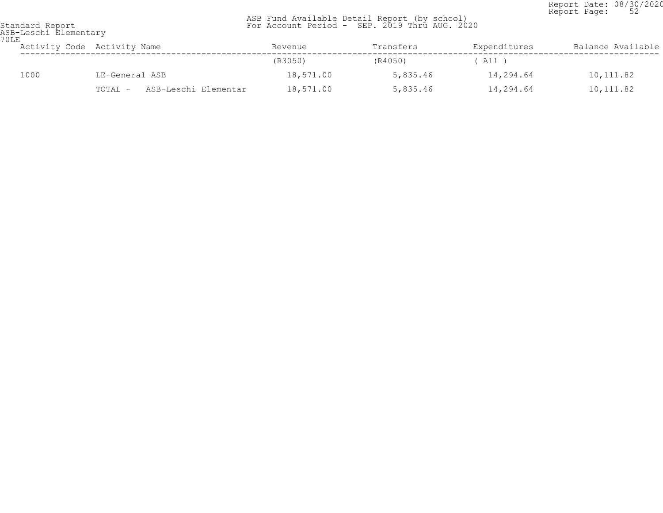Report Date: 08/30/2020<br>Report Page: 52 Report Page: 52

| 70LE | ASB-Leschi Elementary |                                 |           |           |              |                   |  |  |  |
|------|-----------------------|---------------------------------|-----------|-----------|--------------|-------------------|--|--|--|
|      |                       | Activity Code Activity Name     | Revenue   | Transfers | Expenditures | Balance Available |  |  |  |
|      |                       |                                 | (R3050)   | (R4050)   | ( All )      |                   |  |  |  |
|      | 1000                  | LE-General ASB                  | 18,571.00 | 5,835.46  | 14,294.64    | 10,111.82         |  |  |  |
|      |                       | ASB-Leschi Elementar<br>TOTAL - | 18,571.00 | 5,835.46  | 14,294.64    | 10,111.82         |  |  |  |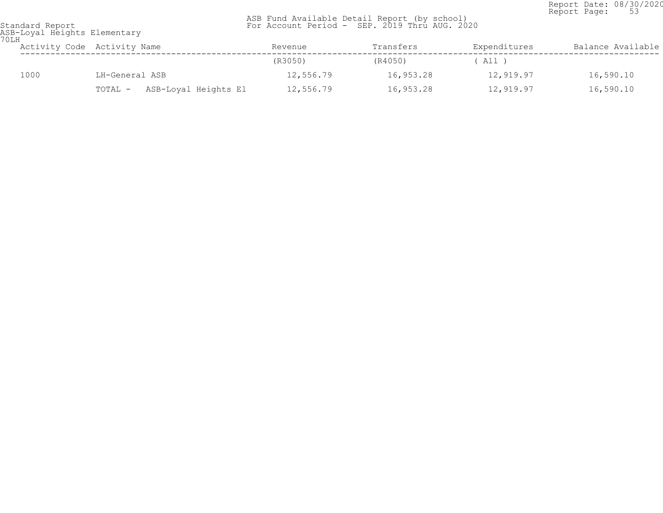Report Date: 08/30/2020<br>Report Page: 53 Report Page: 53

 ASB Fund Available Detail Report (by school) Standard Report For Account Period - SEP. 2019 Thru AUG. 2020

ASB-Loyal Heights Elementary 70LH

| ULH |      | Activity Code Activity Name     | Revenue   | Transfers | Expenditures | Balance Available |  |
|-----|------|---------------------------------|-----------|-----------|--------------|-------------------|--|
|     |      |                                 | (R3050)   | (R4050)   | ( All )      |                   |  |
|     | 1000 | LH-General ASB                  | 12,556.79 | 16,953.28 | 12,919.97    | 16,590.10         |  |
|     |      | ASB-Loyal Heights El<br>TOTAL - | 12,556.79 | 16,953.28 | 12,919.97    | 16,590.10         |  |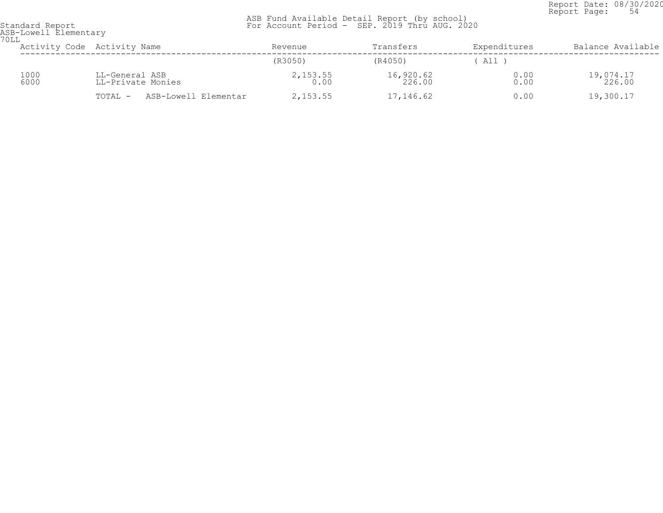Report Date: 08/30/2020<br>Report Page: 54 Report Page: 54

| ASB-Lowell Elementary<br>70LL |                                     |                    |                     |              |                     |
|-------------------------------|-------------------------------------|--------------------|---------------------|--------------|---------------------|
|                               | Activity Code Activity Name         | Revenue            | Transfers           | Expenditures | Balance Available   |
|                               |                                     | (R3050)            | (R4050)             | All          |                     |
| 1000<br>6000                  | LL-General ASB<br>LL-Private Monies | $2,153.55$<br>0.00 | 16,920.62<br>226.00 | 0.00<br>0.00 | 19,074.17<br>226.00 |
|                               | ASB-Lowell Elementar<br>TOTAL -     | 2,153.55           | 17,146.62           | 0.00         | 19,300.17           |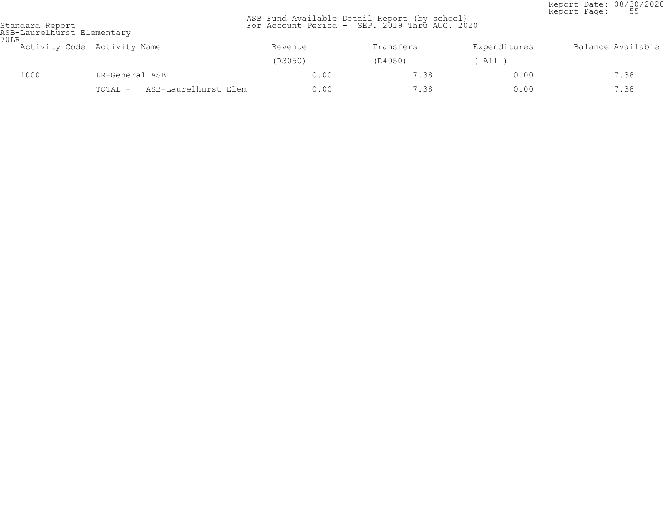Report Date: 08/30/2020 Report Page: 55

|                 |  |  | ASB Fund Available Detail Report (by school) |                                               |
|-----------------|--|--|----------------------------------------------|-----------------------------------------------|
| Standard Report |  |  |                                              | For Account Period - SEP. 2019 Thru AUG. 2020 |

| 70LR | ASB-Laurelhurst Elementary |                                 |         |           |              |                   |  |  |  |
|------|----------------------------|---------------------------------|---------|-----------|--------------|-------------------|--|--|--|
|      |                            | Activity Code Activity Name     | Revenue | Transfers | Expenditures | Balance Available |  |  |  |
|      |                            |                                 | (R3050) | (R4050)   | ( All )      |                   |  |  |  |
|      | 1000                       | LR-General ASB                  | 0.00    | 7.38      | 0.00         | 7.38              |  |  |  |
|      |                            | ASB-Laurelhurst Elem<br>TOTAL - | 0.00    | 7.38      | 0.00         | 7.38              |  |  |  |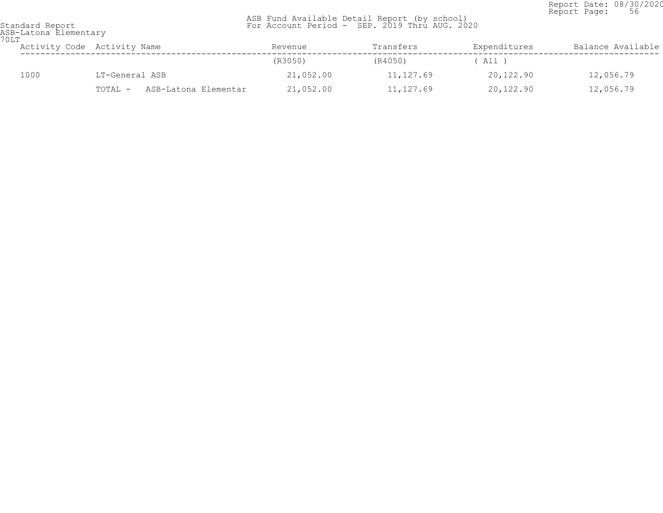Report Date: 08/30/2020<br>Report Page: 56 Report Page: 56

| 70LT | ASB-Latona Elementary           |           |           |              |                   |  |  |  |  |
|------|---------------------------------|-----------|-----------|--------------|-------------------|--|--|--|--|
|      | Activity Code Activity Name     | Revenue   | Transfers | Expenditures | Balance Available |  |  |  |  |
|      |                                 | (R3050)   | (R4050)   | ' All )      |                   |  |  |  |  |
| 1000 | LT-General ASB                  | 21,052.00 | 11,127.69 | 20,122.90    | 12,056.79         |  |  |  |  |
|      | ASB-Latona Elementar<br>TOTAL - | 21,052.00 | 11,127.69 | 20,122.90    | 12,056.79         |  |  |  |  |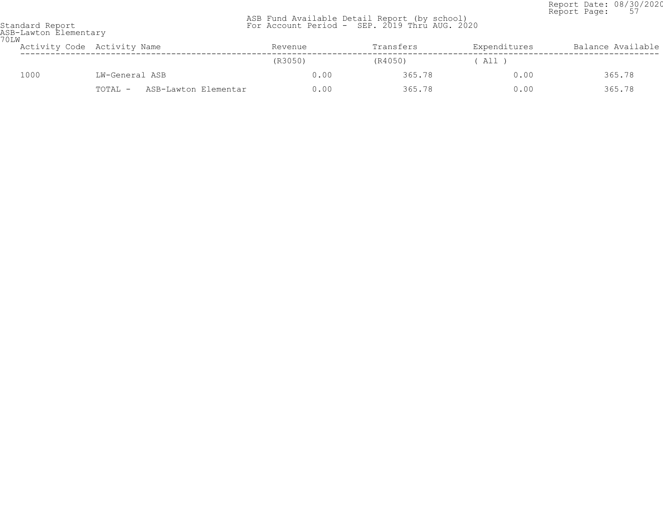Report Date: 08/30/2020<br>Report Page: 57 Report Page: 57

| 70LW | ASB-Lawton Elementary |                                 |         |           |              |                   |  |  |
|------|-----------------------|---------------------------------|---------|-----------|--------------|-------------------|--|--|
|      |                       | Activity Code Activity Name     | Revenue | Transfers | Expenditures | Balance Available |  |  |
|      |                       |                                 | (R3050) | (R4050)   | ' All '      |                   |  |  |
|      | 1000                  | LW-General ASB                  | 0.00    | 365.78    | 0.00         | 365.78            |  |  |
|      |                       | ASB-Lawton Elementar<br>TOTAL - | 0.00    | 365.78    | 0.00         | 365.78            |  |  |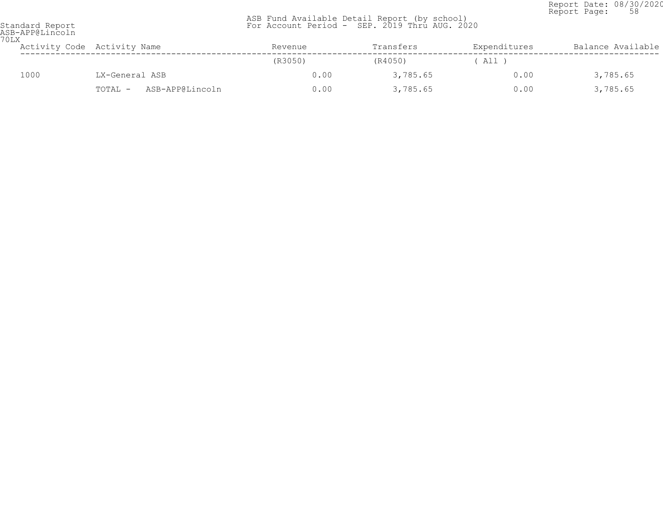Report Date: 08/30/2020<br>Report Page: 58 Report Page: 58

| 70LX                                                                |                   |
|---------------------------------------------------------------------|-------------------|
| Activity Code Activity Name<br>Expenditures<br>Transfers<br>Revenue | Balance Available |
| (R3050)<br>(R4050)<br>All )                                         |                   |
| 1000<br>LX-General ASB<br>0.00<br>3,785.65<br>0.00                  | 3,785.65          |
| 3,785.65<br>ASB-APP@Lincoln<br>0.00<br>0.00<br>TOTAL -              | 3,785.65          |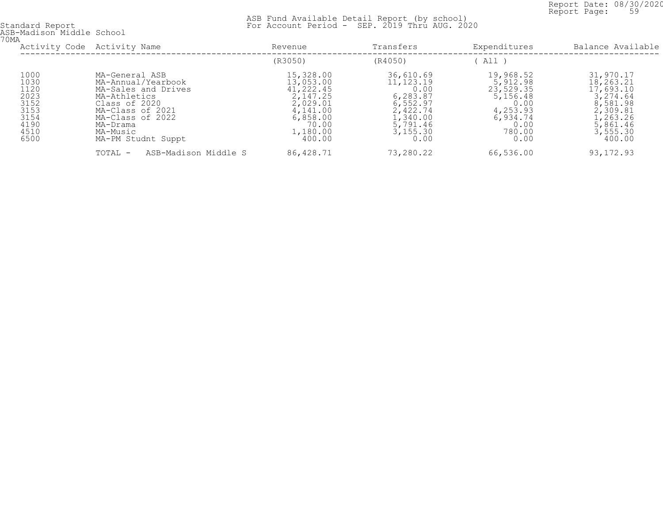Report Date: 08/30/2020<br>Report Page: 59 Report Page: 59

| 70MA | ASB-Madison Middle School                                                    |                                                                                                                                                                                    |                                                                                                                    |                                                                                                                  |                                                                                                          |                                                                                                                       |
|------|------------------------------------------------------------------------------|------------------------------------------------------------------------------------------------------------------------------------------------------------------------------------|--------------------------------------------------------------------------------------------------------------------|------------------------------------------------------------------------------------------------------------------|----------------------------------------------------------------------------------------------------------|-----------------------------------------------------------------------------------------------------------------------|
|      | Activity Code Activity Name                                                  |                                                                                                                                                                                    | Revenue                                                                                                            | Transfers                                                                                                        | Expenditures                                                                                             | Balance Available                                                                                                     |
|      |                                                                              |                                                                                                                                                                                    | (R3050)                                                                                                            | (R4050)                                                                                                          | All                                                                                                      |                                                                                                                       |
|      | 1000<br>1030<br>1120<br>2023<br>3152<br>3153<br>3154<br>4190<br>4510<br>6500 | MA-General ASB<br>MA-Annual/Yearbook<br>MA-Sales and Drives<br>MA-Athletics<br>Class of 2020<br>MA-Class of 2021<br>MA-Class of 2022<br>MA-Drama<br>MA-Music<br>MA-PM Studnt Suppt | 15,328.00<br>13,053.00<br>41,222.45<br>2,147.25<br>2,029.01<br>4,141.00<br>6,858.00<br>70.00<br>1,180.00<br>400.00 | 36,610.69<br>11, 123. 19<br>0.00<br>6,283.87<br>6,552.97<br>2,422.74<br>1,340.00<br>5,791.46<br>3,155.30<br>0.00 | 19,968.52<br>5,912.98<br>23,529.35<br>5,156.48<br>0.00<br>4,253.93<br>6,934.74<br>0.00<br>780.00<br>0.00 | 31,970.17<br>18,263.21<br>17,693.10<br>3,274.64<br>8,581.98<br>2,309.81<br>1,263.26<br>5,861.46<br>3,555.30<br>400.00 |
|      |                                                                              | ASB-Madison Middle S<br>TOTAL -                                                                                                                                                    | 86,428.71                                                                                                          | 73,280.22                                                                                                        | 66,536.00                                                                                                | 93, 172.93                                                                                                            |
|      |                                                                              |                                                                                                                                                                                    |                                                                                                                    |                                                                                                                  |                                                                                                          |                                                                                                                       |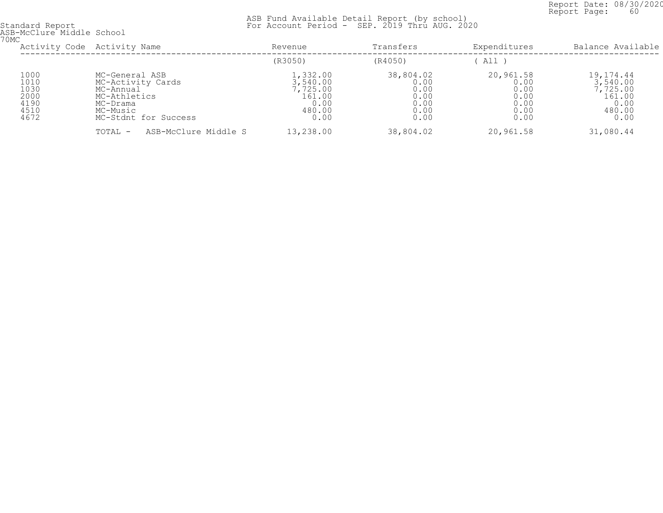Report Date: 08/30/2020<br>Report Page: 60 Report Page: 60

| ASB-McClure Middle School<br>70MC                    |                                                                                                                  |                                                                      |                                                           |                                                           |                                                                       |  |  |  |
|------------------------------------------------------|------------------------------------------------------------------------------------------------------------------|----------------------------------------------------------------------|-----------------------------------------------------------|-----------------------------------------------------------|-----------------------------------------------------------------------|--|--|--|
|                                                      | Activity Code Activity Name                                                                                      | Revenue                                                              | Transfers                                                 | Expenditures                                              | Balance Available                                                     |  |  |  |
|                                                      |                                                                                                                  | (R3050)                                                              | (R4050)                                                   | All                                                       |                                                                       |  |  |  |
| 1000<br>1010<br>1030<br>2000<br>4190<br>4510<br>4672 | MC-General ASB<br>MC-Activity Cards<br>MC-Annual<br>MC-Athletics<br>MC-Drama<br>MC-Music<br>MC-Stdnt for Success | 1,332.00<br>3,540.00<br>7,725.00<br>161.00<br>0.00<br>480.00<br>0.00 | 38,804.02<br>0.00<br>0.00<br>0.00<br>0.00<br>0.00<br>0.00 | 20,961.58<br>0.00<br>0.00<br>0.00<br>0.00<br>0.00<br>0.00 | 19,174.44<br>3,540.00<br>7,725.00<br>161.00<br>0.00<br>480.00<br>0.00 |  |  |  |
|                                                      | ASB-McClure Middle S<br>TOTAL -                                                                                  | 13,238.00                                                            | 38,804.02                                                 | 20,961.58                                                 | 31,080.44                                                             |  |  |  |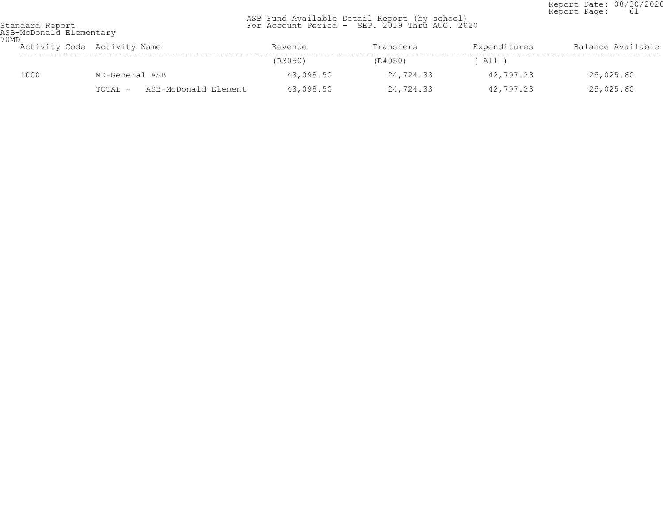Report Date: 08/30/2020<br>Report Page: 61 Report Page: 61

 ASB Fund Available Detail Report (by school) Standard Report For Account Period - SEP. 2019 Thru AUG. 2020

ASB-McDonald Elementary 70MD

| UMD | Activity Code Activity Name |                |                      | Revenue   | Transfers | Expenditures | Balance Available |
|-----|-----------------------------|----------------|----------------------|-----------|-----------|--------------|-------------------|
|     |                             |                |                      | (R3050)   | (R4050)   | All )        |                   |
|     | 1000                        | MD-General ASB |                      | 43,098.50 | 24,724.33 | 42,797.23    | 25,025.60         |
|     |                             | TOTAL -        | ASB-McDonald Element | 43,098.50 | 24,724.33 | 42,797.23    | 25,025.60         |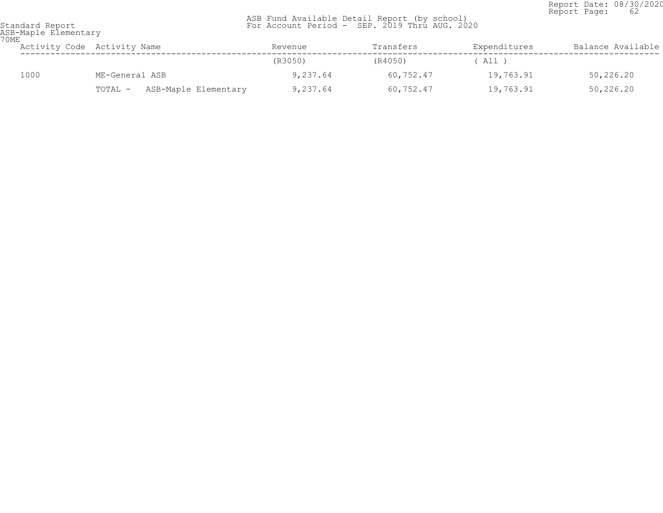Report Date: 08/30/2020<br>Report Page: 62 Report Page: 62

| ASB-Maple Elementary<br>70ME |      |                                 |          |           |              |                   |  |  |
|------------------------------|------|---------------------------------|----------|-----------|--------------|-------------------|--|--|
|                              |      | Activity Code Activity Name     | Revenue  | Transfers | Expenditures | Balance Available |  |  |
|                              |      |                                 | (R3050)  | (R4050)   | ( All )      |                   |  |  |
|                              | 1000 | ME-General ASB                  | 9,237.64 | 60,752.47 | 19,763.91    | 50,226.20         |  |  |
|                              |      | ASB-Maple Elementary<br>TOTAL - | 9,237.64 | 60,752.47 | 19,763.91    | 50,226.20         |  |  |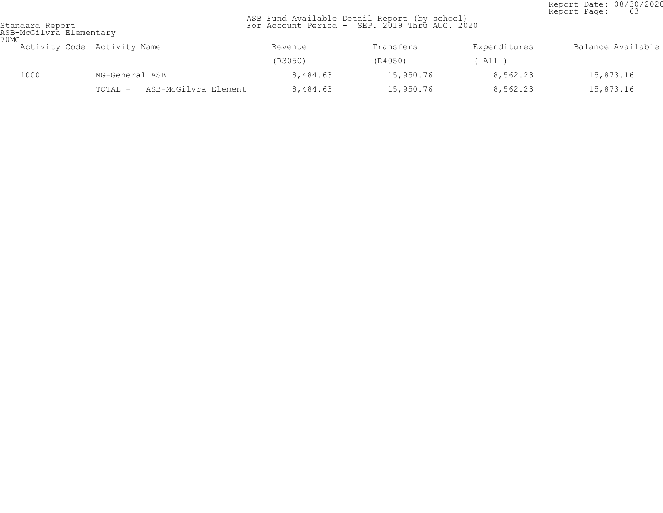Report Date: 08/30/2020<br>Report Page: 63 Report Page: 63

| 70MG | ASB-McGilvra Elementary |                                 |          |           |              |                   |
|------|-------------------------|---------------------------------|----------|-----------|--------------|-------------------|
|      |                         | Activity Code Activity Name     | Revenue  | Transfers | Expenditures | Balance Available |
|      |                         |                                 | (R3050)  | (R4050)   | ( All )      |                   |
|      | 1000                    | MG-General ASB                  | 8,484.63 | 15,950.76 | 8,562.23     | 15,873.16         |
|      |                         | ASB-McGilvra Element<br>TOTAL - | 8,484.63 | 15,950.76 | 8,562.23     | 15,873.16         |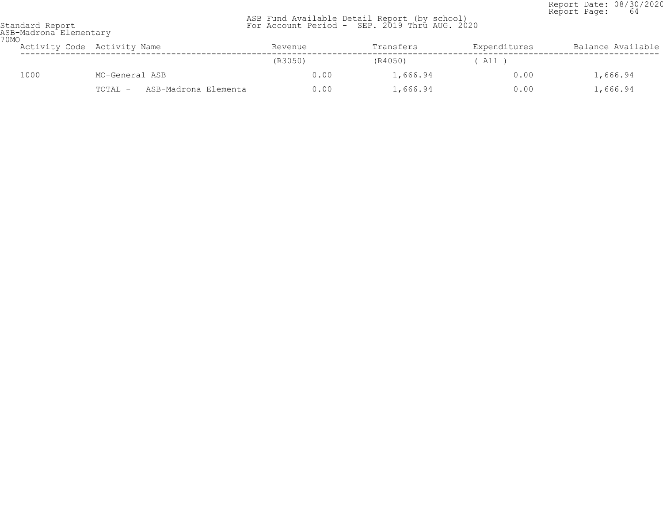Report Date: 08/30/2020<br>Report Page: 64 Report Page: 64

| Standard Report |                        |
|-----------------|------------------------|
|                 | ASR-Madrona Elementary |

| 70MO | ASB-Madrona Elementary |                                 |         |           |              |                   |
|------|------------------------|---------------------------------|---------|-----------|--------------|-------------------|
|      |                        | Activity Code Activity Name     | Revenue | Transfers | Expenditures | Balance Available |
|      |                        |                                 | (R3050) | (R4050)   | All T        |                   |
|      | 1000                   | MO-General ASB                  | 0.00    | 1,666.94  | 0.00         | 1,666.94          |
|      |                        | TOTAL -<br>ASB-Madrona Elementa | 0.00    | 1,666.94  | 0.00         | 1,666.94          |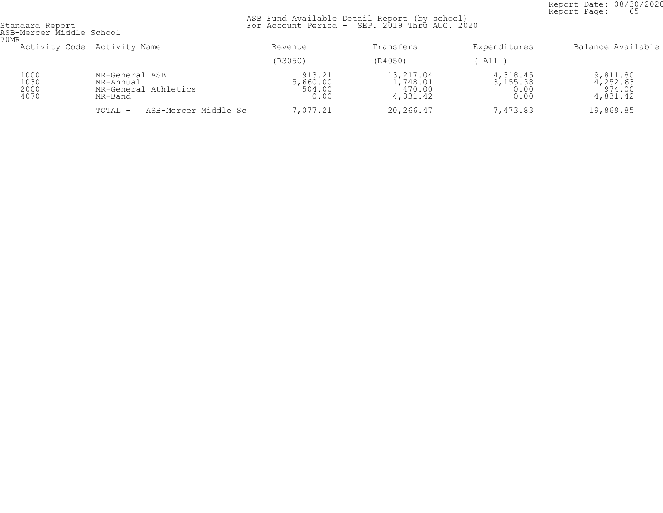Report Date: 08/30/2020<br>Report Page: 65 Report Page: 65

| ASB-Mercer Middle School<br>70MR |                                                                |                                      |                                             |                                        |                                            |  |  |  |
|----------------------------------|----------------------------------------------------------------|--------------------------------------|---------------------------------------------|----------------------------------------|--------------------------------------------|--|--|--|
|                                  | Activity Code Activity Name                                    | Revenue                              | Transfers                                   | Expenditures                           | Balance Available                          |  |  |  |
|                                  |                                                                | (R3050)                              | (R4050)                                     | All                                    |                                            |  |  |  |
| 1000<br>1030<br>2000<br>4070     | MR-General ASB<br>MR-Annual<br>MR-General Athletics<br>MR-Band | 913.21<br>5,660.00<br>504.00<br>0.00 | 13,217.04<br>1,748.01<br>470.00<br>4,831.42 | 4, 318.45<br>3, 155.38<br>0.00<br>0.00 | 9,811.80<br>4,252.63<br>974.00<br>4,831.42 |  |  |  |
|                                  | ASB-Mercer Middle Sc<br>TOTAL -                                | 7,077.21                             | 20,266.47                                   | 7,473.83                               | 19,869.85                                  |  |  |  |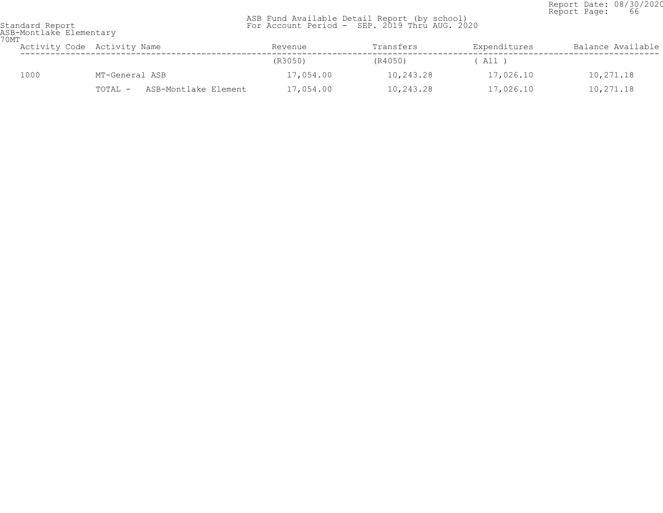Report Date: 08/30/2020<br>Report Page: 66 Report Page: 66

 ASB Fund Available Detail Report (by school) Standard Report For Account Period - SEP. 2019 Thru AUG. 2020

ASB-Montlake Elementary 70MT

| UM L | Activity Code Activity Name |                |                      | Revenue   | Transfers | Expenditures | Balance Available |
|------|-----------------------------|----------------|----------------------|-----------|-----------|--------------|-------------------|
|      |                             |                |                      | (R3050)   | (R4050)   | All )        |                   |
|      | 1000                        | MT-General ASB |                      | 17,054.00 | 10,243.28 | 17,026.10    | 10,271.18         |
|      |                             | TOTAL -        | ASB-Montlake Element | 17,054.00 | 10,243.28 | 17,026.10    | 10,271.18         |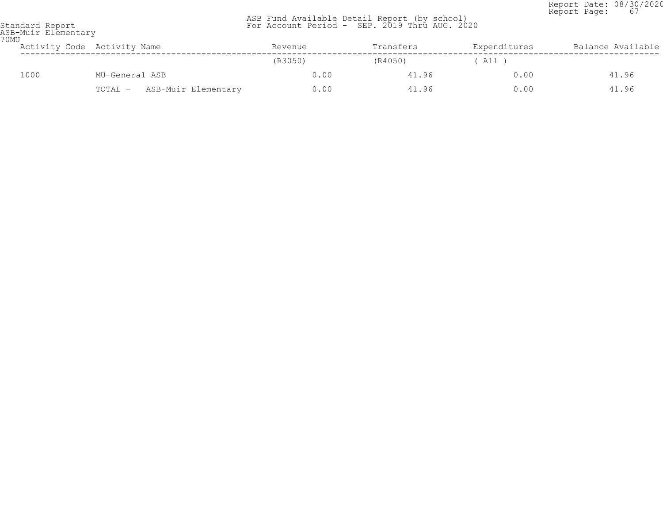Report Date: 08/30/2020 Report Page: 67

|                 |  |  | ASB Fund Available Detail Report (by school)  |  |
|-----------------|--|--|-----------------------------------------------|--|
| Standard Report |  |  | For Account Period - SEP. 2019 Thru AUG. 2020 |  |

| ndard Report     |
|------------------|
| -Muir Elementarv |

| ASB-Muir Elementary<br>70MU |      |                                |         |           |              |                   |  |
|-----------------------------|------|--------------------------------|---------|-----------|--------------|-------------------|--|
|                             |      | Activity Code Activity Name    | Revenue | Transfers | Expenditures | Balance Available |  |
|                             |      |                                | (R3050) | (R4050)   | All )        |                   |  |
|                             | 1000 | MU-General ASB                 | 0.00    | 41.96     | 0.00         | 41.96             |  |
|                             |      | ASB-Muir Elementary<br>TOTAL - | 0.00    | 41.96     | 0.00         | 41.96             |  |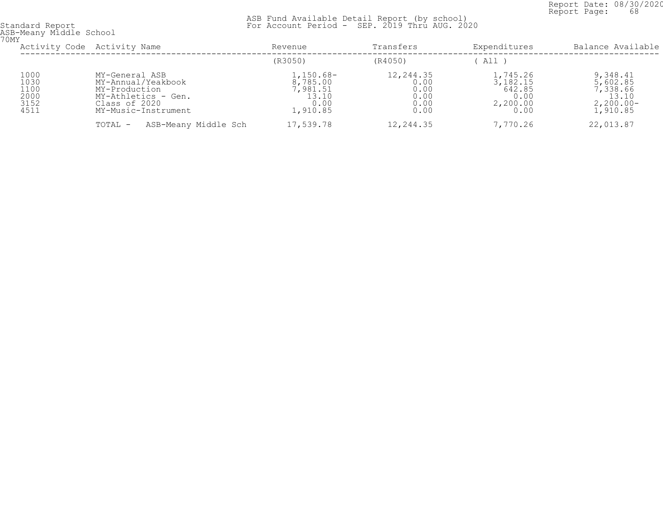Report Date: 08/30/2020<br>Report Page: 68 Report Page: 68

| 70MY                                         | ASB-Meany Middle School                                                                                              |                                                                  |                                                   |                                                                         |                                                                      |  |  |  |
|----------------------------------------------|----------------------------------------------------------------------------------------------------------------------|------------------------------------------------------------------|---------------------------------------------------|-------------------------------------------------------------------------|----------------------------------------------------------------------|--|--|--|
|                                              | Activity Code Activity Name                                                                                          | Revenue                                                          | Transfers                                         | Expenditures                                                            | Balance Available                                                    |  |  |  |
|                                              |                                                                                                                      | (R3050)                                                          | (R4050)                                           | All                                                                     |                                                                      |  |  |  |
| 1000<br>1030<br>1100<br>2000<br>3152<br>4511 | MY-General ASB<br>MY-Annual/Yeakbook<br>MY-Production<br>MY-Athletics - Gen.<br>Class of 2020<br>MY-Music-Instrument | $1,150.68-$<br>8,785.00<br>7,981.51<br>13.10<br>0.00<br>1,910.85 | 12,244.35<br>0.00<br>0.00<br>0.00<br>0.00<br>0.00 | 1,745.26<br>$\overline{3,182.15}$<br>642.85<br>0.00<br>2,200.00<br>0.00 | 9,348.41<br>5,602.85<br>7,338.66<br>13.10<br>$2,200.00-$<br>1,910.85 |  |  |  |
|                                              | ASB-Meany Middle Sch<br>TOTAL -                                                                                      | 17,539.78                                                        | 12,244.35                                         | 7,770.26                                                                | 22,013.87                                                            |  |  |  |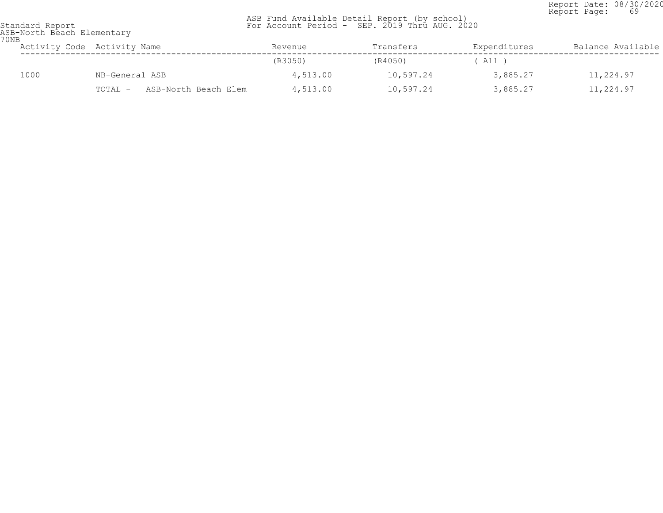Report Date: 08/30/2020<br>Report Page: 69 Report Page: 69

| 70 <sub>NB</sub> | ASB-North Beach Elementary |                                 |          |           |              |                   |  |  |
|------------------|----------------------------|---------------------------------|----------|-----------|--------------|-------------------|--|--|
|                  |                            | Activity Code Activity Name     | Revenue  | Transfers | Expenditures | Balance Available |  |  |
|                  |                            |                                 | (R3050)  | (R4050)   | ( All )      |                   |  |  |
|                  | 1000                       | NB-General ASB                  | 4,513.00 | 10,597.24 | 3,885.27     | 11,224.97         |  |  |
|                  |                            | ASB-North Beach Elem<br>TOTAL - | 4,513.00 | 10,597.24 | 3,885.27     | 11,224.97         |  |  |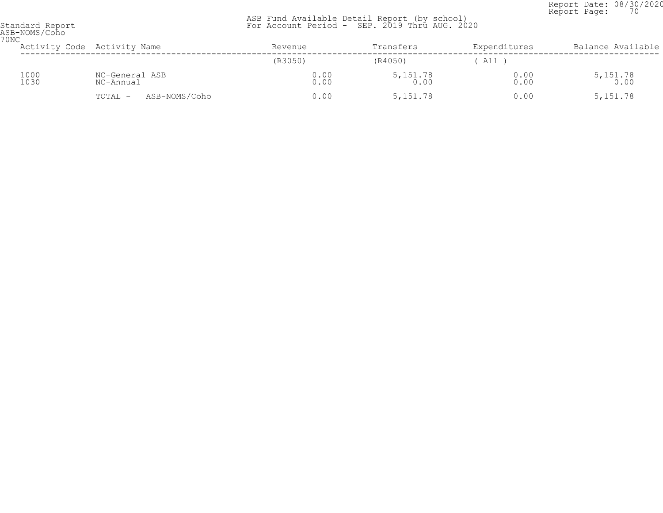Report Date: 08/30/2020<br>Report Page: 70 Report Page: 70

| ASB-NOMS/Coho<br>70NC |              |                             |              |                    |              |                    |
|-----------------------|--------------|-----------------------------|--------------|--------------------|--------------|--------------------|
|                       |              | Activity Code Activity Name | Revenue      | Transfers          | Expenditures | Balance Available  |
|                       |              |                             | (R3050)      | (R4050)            | All          |                    |
|                       | 1000<br>1030 | NC-General ASB<br>NC-Annual | 0.00<br>0.00 | $5,151.78$<br>0.00 | 0.00<br>0.00 | $5,151.78$<br>0.00 |
|                       |              | ASB-NOMS/Coho<br>TOTAL -    | 0.00         | 5, 151.78          | 0.00         | 5, 151.78          |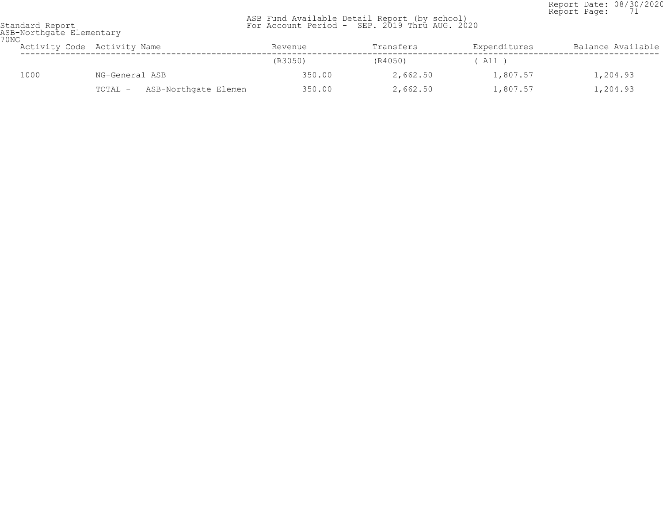Report Date: 08/30/2020<br>Report Page: 71 Report Page: 71

 ASB Fund Available Detail Report (by school) Standard Report For Account Period - SEP. 2019 Thru AUG. 2020

ASB-Northgate Elementary 70NG

| U IN LT | Activity Code Activity Name     | Revenue | Transfers | Expenditures | Balance Available |  |
|---------|---------------------------------|---------|-----------|--------------|-------------------|--|
|         |                                 | (R3050) | (R4050)   | All          |                   |  |
| 1000    | NG-General ASB                  | 350.00  | 2,662.50  | 1,807.57     | 1,204.93          |  |
|         | ASB-Northgate Elemen<br>TOTAL - | 350.00  | 2,662.50  | 1,807.57     | 1,204.93          |  |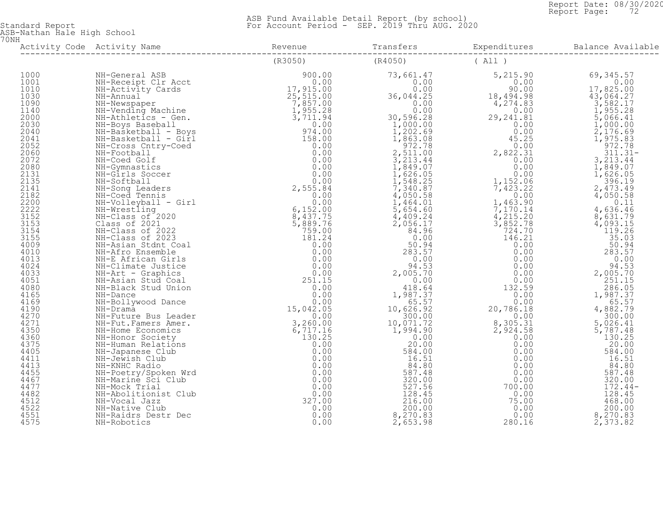Report Date: 08/30/2020<br>Report Page: 72 Report Page: 72

 ASB Fund Available Detail Report (by school) Standard Report For Account Period - SEP. 2019 Thru AUG. 2020

ASB-Nathan Hale High School 70NH

| 1000<br>1001<br>1010<br>1030<br>1080<br>$1030$<br>$1140$<br>$2000$<br>$2030$<br>$2041$<br>$2052$<br>$2060$<br>$2072$<br>2072<br>2072<br>2080<br>2131<br>2135<br>2141<br>2182<br>2200<br>2222<br>3153<br>$3152$<br>$3155$<br>$3155$<br>$4009$<br>$4010$<br>$4024$<br>$4033$<br>$4051$<br>$4080$<br>$4169$<br>$4169$<br>$4271$<br>$4271$<br>$4350$<br>$4375$<br>$4411$<br>$4411$<br>$4411$<br>$4455$<br>$4467$<br>$4477$<br>$4482$<br>$4522$<br>$45521$<br>$45521$<br>$45521$<br>$45521$ |  |  |  |
|----------------------------------------------------------------------------------------------------------------------------------------------------------------------------------------------------------------------------------------------------------------------------------------------------------------------------------------------------------------------------------------------------------------------------------------------------------------------------------------|--|--|--|
|                                                                                                                                                                                                                                                                                                                                                                                                                                                                                        |  |  |  |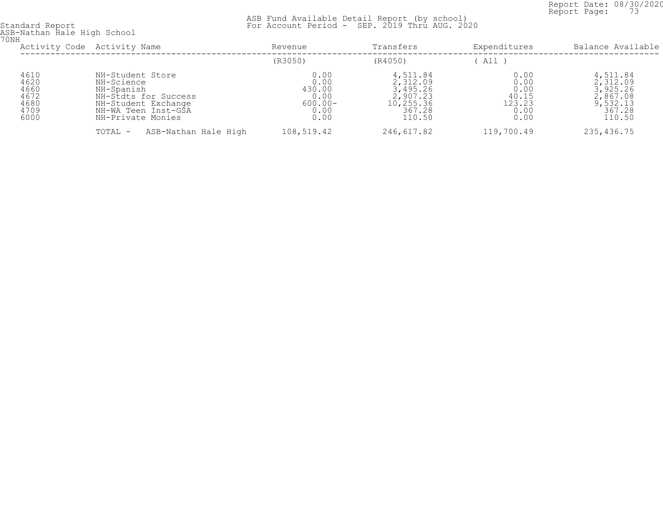Report Date: 08/30/2020<br>Report Page: 73 Report Page: 73

 ASB Fund Available Detail Report (by school) Standard Report For Account Period - SEP. 2019 Thru AUG. 2020

ASB-Nathan Hale High School 70NH

| UNH                                                  | Activity Code Activity Name                                                                                                             | Revenue                                                      | Transfers                                                                     | Expenditures                                            | Balance Available                                                            |
|------------------------------------------------------|-----------------------------------------------------------------------------------------------------------------------------------------|--------------------------------------------------------------|-------------------------------------------------------------------------------|---------------------------------------------------------|------------------------------------------------------------------------------|
|                                                      |                                                                                                                                         | (R3050)                                                      | (R4050)                                                                       | All                                                     |                                                                              |
| 4610<br>4620<br>4660<br>4672<br>4680<br>4709<br>6000 | NH-Student Store<br>NH-Science<br>NH-Spanish<br>NH-Stdts for Success<br>NH-Student Exchange<br>NH-WA Teen Inst-GSA<br>NH-Private Monies | 0.00<br>0.00<br>430.00<br>0.00<br>$600.00 -$<br>0.00<br>0.00 | 4,511.84<br>2,312.09<br>3,495.26<br>2,907.23<br>10,255.36<br>367.28<br>110.50 | 0.00<br>0.00<br>0.00<br>40.15<br>123.23<br>0.00<br>0.00 | 4,511.84<br>2,312.09<br>3,925.26<br>2,867.08<br>9,532.13<br>367.28<br>110.50 |
|                                                      | ASB-Nathan Hale High<br>TOTAL -                                                                                                         | 108,519.42                                                   | 246,617.82                                                                    | 119,700.49                                              | 235,436.75                                                                   |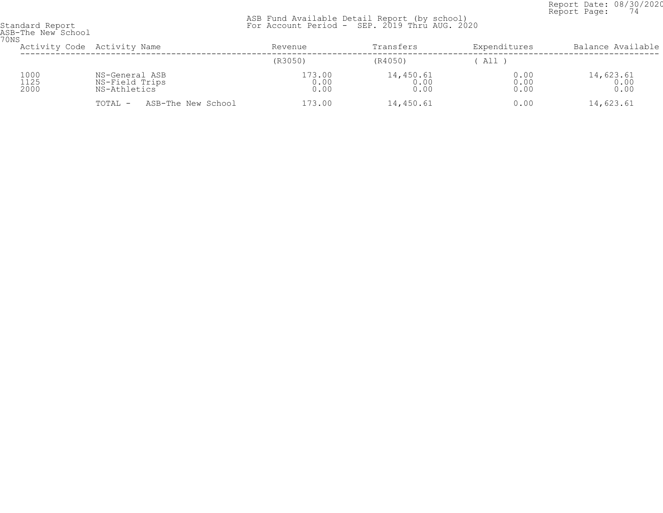Report Date: 08/30/2020<br>Report Page: 74 Report Page: 74

| ASB-The New School<br>70NS |                                                  |                        |                           |                      |                             |
|----------------------------|--------------------------------------------------|------------------------|---------------------------|----------------------|-----------------------------|
|                            | Activity Code Activity Name                      | Revenue                | Transfers                 | Expenditures         | Balance Available           |
|                            |                                                  | (R3050)                | (R4050)                   | All)                 |                             |
| 1000<br>1125<br>2000       | NS-General ASB<br>NS-Field Trips<br>NS-Athletics | 173.00<br>0.00<br>0.00 | 14,450.61<br>0.00<br>0.00 | 0.00<br>0.00<br>0.00 | $14,623.61$<br>0.00<br>0.00 |
|                            | ASB-The New School<br>TOTAL -                    | 173.00                 | 14,450.61                 | 0.00                 | 14,623.61                   |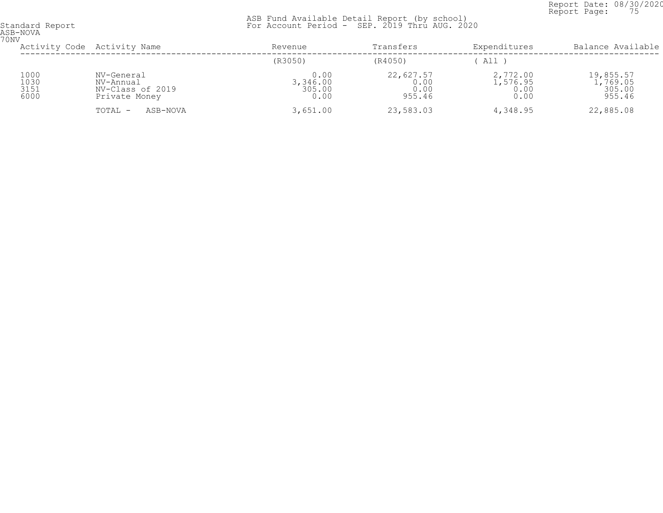Report Date: 08/30/2020<br>Report Page: 75 Report Page: 75

 ASB Fund Available Detail Report (by school) Standard Report For Account Period - SEP. 2019 Thru AUG. 2020

ASB-NOVA 70NV

| UNV                          | Activity Code Activity Name                                  | Revenue                            | Transfers                           | Expenditures                        | Balance Available                         |
|------------------------------|--------------------------------------------------------------|------------------------------------|-------------------------------------|-------------------------------------|-------------------------------------------|
|                              |                                                              | (R3050)                            | (R4050)                             | All                                 |                                           |
| 1000<br>1030<br>3151<br>6000 | NV-General<br>NV-Annual<br>NV-Class of 2019<br>Private Money | 0.00<br>3,346.00<br>305.00<br>0.00 | 22,627.57<br>0.00<br>0.00<br>955.46 | 2,772.00<br>.576.95<br>0.00<br>0.00 | 19,855.57<br>1,769.05<br>305.00<br>955.46 |
|                              | ASB-NOVA<br>TOTAL -                                          | 3,651.00                           | 23,583.03                           | 4,348.95                            | 22,885.08                                 |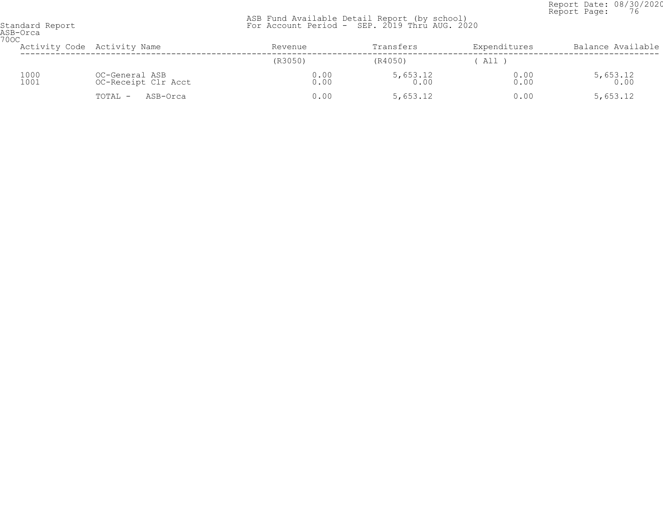Report Date: 08/30/2020<br>Report Page: 76 Report Page: 76

| ASB-Orca<br><b>700C</b> |                                       |                             |                  |              |                    |                   |
|-------------------------|---------------------------------------|-----------------------------|------------------|--------------|--------------------|-------------------|
|                         |                                       | Activity Code Activity Name | Revenue          | Transfers    | Expenditures       | Balance Available |
|                         |                                       |                             | (R3050)          | (R4050)      | ' All              |                   |
| 1000<br>1001            | OC-General ASB<br>OC-Receipt Clr Acct | 0.00<br>0.00                | 5,653.12<br>0.00 | 0.00<br>0.00 | $5,653.12$<br>0.00 |                   |
|                         |                                       | TOTAL -<br>ASB-Orca         | 0.00             | 5,653.12     | 0.00               | 5,653.12          |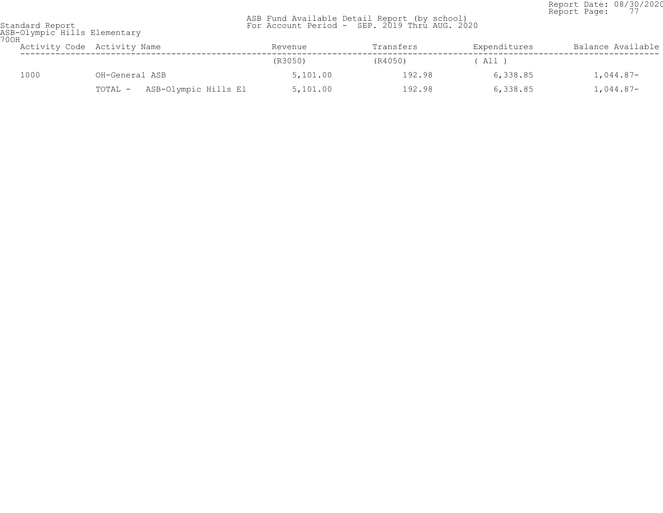Report Date: 08/30/2020<br>Report Page: 77 Report Page: 77

| Standard Report             |  |  |
|-----------------------------|--|--|
| ASB-Olympic Hills Elementar |  |  |

| 700H | ASB-Olympic Hills Elementary |                                 |          |           |              |                   |
|------|------------------------------|---------------------------------|----------|-----------|--------------|-------------------|
|      |                              | Activity Code Activity Name     | Revenue  | Transfers | Expenditures | Balance Available |
|      |                              |                                 | (R3050)  | (R4050)   | All )        |                   |
|      | 1000                         | OH-General ASB                  | 5,101.00 | 192.98    | 6,338.85     | 1,044.87-         |
|      |                              | ASB-Olympic Hills El<br>TOTAL - | 5,101.00 | 192.98    | 6,338.85     | $1,044.87-$       |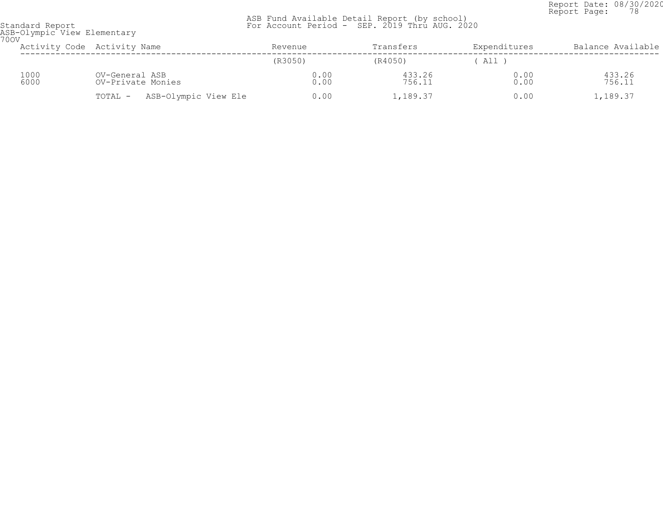Report Date: 08/30/2020<br>Report Page: 78 Report Page: 78

| Standard Report             |  |
|-----------------------------|--|
| ASB-Olympic View Elementary |  |
| 700V                        |  |

| UUV.         | Activity Code Activity Name |                                     |                      | Revenue |              | Transfers |                  | Expenditures |              | Balance Available |
|--------------|-----------------------------|-------------------------------------|----------------------|---------|--------------|-----------|------------------|--------------|--------------|-------------------|
|              |                             |                                     |                      | (R3050) |              | (R4050)   |                  | (A11)        |              |                   |
| 1000<br>6000 |                             | OV-General ASB<br>OV-Private Monies |                      |         | 0.00<br>0.00 |           | 433.26<br>756.11 |              | 0.00<br>0.00 | 433.26<br>756.11  |
|              |                             | TOTAL -                             | ASB-Olympic View Ele |         | 0.00         |           | 1,189.37         |              | 0.00         | 1,189.37          |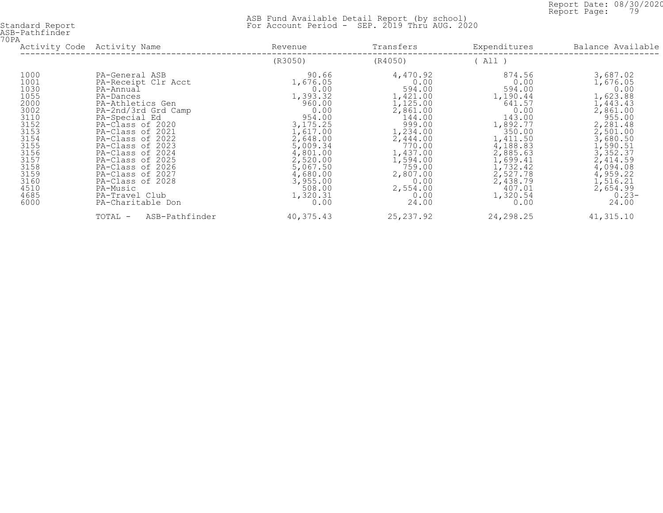Report Date: 08/30/2020<br>Report Page: 79 Report Page: 79

| ASB-Pathfinder |  |
|----------------|--|
| 70PA           |  |

| ◡⊥▱                                                                                                                                                  | Activity Code Activity Name                                                                                                                                                                                                                                                                                                                                        | Revenue                                                                                                                                                                                                       | Transfers                                                                                                                                                                                               | Expenditures                                                                                                                                                                                             | Balance Available                                                                                                                                                                                                      |
|------------------------------------------------------------------------------------------------------------------------------------------------------|--------------------------------------------------------------------------------------------------------------------------------------------------------------------------------------------------------------------------------------------------------------------------------------------------------------------------------------------------------------------|---------------------------------------------------------------------------------------------------------------------------------------------------------------------------------------------------------------|---------------------------------------------------------------------------------------------------------------------------------------------------------------------------------------------------------|----------------------------------------------------------------------------------------------------------------------------------------------------------------------------------------------------------|------------------------------------------------------------------------------------------------------------------------------------------------------------------------------------------------------------------------|
|                                                                                                                                                      |                                                                                                                                                                                                                                                                                                                                                                    | (R3050)                                                                                                                                                                                                       | (R4050)                                                                                                                                                                                                 | ( All )                                                                                                                                                                                                  |                                                                                                                                                                                                                        |
| 1000<br>1001<br>1030<br>1055<br>2000<br>3002<br>3110<br>3152<br>3153<br>3154<br>3155<br>3156<br>3157<br>3158<br>3159<br>3160<br>4510<br>4685<br>6000 | PA-General ASB<br>PA-Receipt Clr Acct<br>PA-Annual<br>PA-Dances<br>PA-Athletics Gen<br>PA-2nd/3rd Grd Camp<br>PA-Special Ed<br>PA-Class of 2020<br>PA-Class of 2021<br>PA-Class of 2022<br>PA-Class of 2023<br>PA-Class of 2024<br>PA-Class of 2025<br>PA-Class of 2026<br>PA-Class of 2027<br>PA-Class of 2028<br>PA-Music<br>PA-Travel Club<br>PA-Charitable Don | 90.66<br>1,676.05<br>0.00<br>1,393.32<br>960.00<br>0.00<br>954.00<br>3, 175. 25<br>1,617.00<br>2,648.00<br>5,009.34<br>4,801.00<br>2,520.00<br>5,067.50<br>4,680.00<br>3,955.00<br>508.00<br>1,320.31<br>0.00 | 4,470.92<br>0.00<br>594.00<br>1,421.00<br>1,125.00<br>2,861.00<br>144.00<br>999.00<br>1,234.00<br>2,444.00<br>770.00<br>1,437.00<br>1,594.00<br>759.00<br>2,807.00<br>0.00<br>2,554.00<br>0.00<br>24.00 | 874.56<br>0.00<br>594.00<br>1,190.44<br>641.57<br>0.00<br>143.00<br>1,892.77<br>350.00<br>1,411.50<br>4,188.83<br>2,885.63<br>1,699.41<br>1,732.42<br>2,527.78<br>2,438.79<br>407.01<br>1,320.54<br>0.00 | 3,687.02<br>1,676.05<br>0.00<br>1,623.88<br>1,443.43<br>2,861.00<br>955.00<br>2,281.48<br>2,501.00<br>3,680.50<br>1,590.51<br>3,352.37<br>2,414.59<br>4,094.08<br>4,959.22<br>1,516.21<br>2,654.99<br>$0.23-$<br>24.00 |
|                                                                                                                                                      | ASB-Pathfinder<br>TOTAL -                                                                                                                                                                                                                                                                                                                                          | 40,375.43                                                                                                                                                                                                     | 25, 237.92                                                                                                                                                                                              | 24,298.25                                                                                                                                                                                                | 41,315.10                                                                                                                                                                                                              |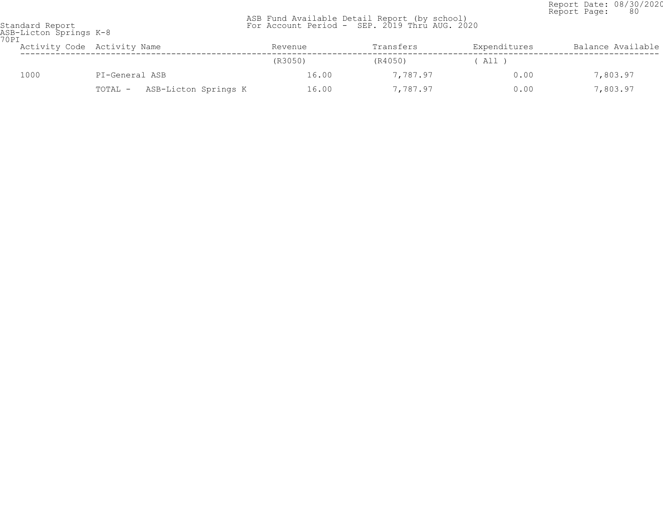Report Date: 08/30/2020<br>Report Page: 80 Report Page: 80

| ASB-Licton Springs K-8<br>70PI |      |                                 |         |           |              |                   |  |
|--------------------------------|------|---------------------------------|---------|-----------|--------------|-------------------|--|
|                                |      | Activity Code Activity Name     | Revenue | Transfers | Expenditures | Balance Available |  |
|                                |      |                                 | (R3050) | (R4050)   | ( All )      |                   |  |
|                                | 1000 | PI-General ASB                  | 16.00   | 7,787.97  | 0.00         | 7,803.97          |  |
|                                |      | ASB-Licton Springs K<br>TOTAL - | 16.00   | 7,787.97  | 0.00         | 7,803.97          |  |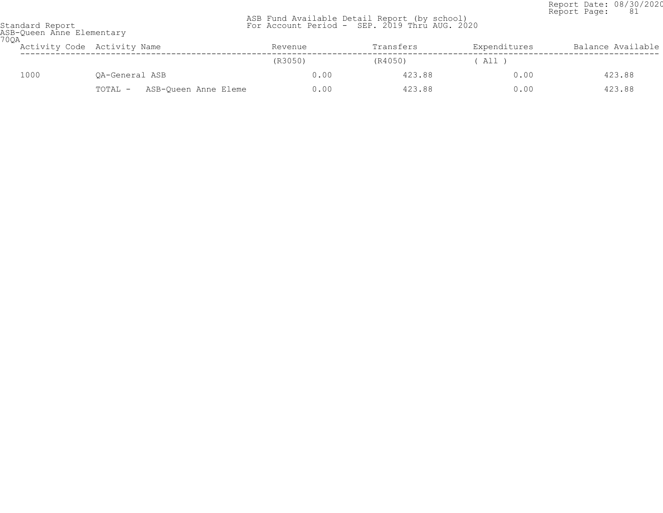Report Date: 08/30/2020 Report Page: 81

|                 |  |  | ASB Fund Available Detail Report (by school)  |  |
|-----------------|--|--|-----------------------------------------------|--|
| Standard Report |  |  | For Account Period - SEP. 2019 Thru AUG. 2020 |  |

| 700A | ASB-Queen Anne Elementary |                                 |         |           |              |                   |  |  |  |
|------|---------------------------|---------------------------------|---------|-----------|--------------|-------------------|--|--|--|
|      |                           | Activity Code Activity Name     | Revenue | Transfers | Expenditures | Balance Available |  |  |  |
|      |                           |                                 | (R3050) | (R4050)   | All 1        |                   |  |  |  |
|      | 1000                      | OA-General ASB                  | 0.00    | 423.88    | 0.00         | 423.88            |  |  |  |
|      |                           | ASB-Oueen Anne Eleme<br>TOTAL - | 0.00    | 423.88    | 0.00         | 423.88            |  |  |  |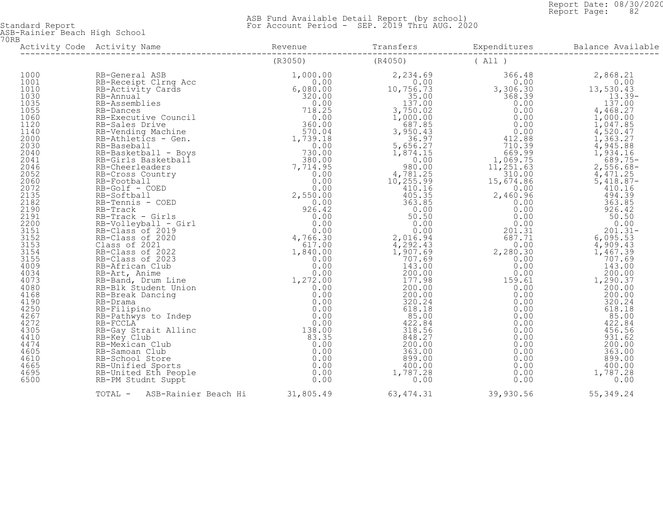Report Date: 08/30/2020<br>Report Page: 82 Report Page: 82

 ASB Fund Available Detail Report (by school) Standard Report For Account Period - SEP. 2019 Thru AUG. 2020

ASB-Rainier Beach High School 70RB

| TOTAL - ASB-Rainier Beach Hi 31,805.49 63,474.31 39,930.56 55,349.24 |  |  |
|----------------------------------------------------------------------|--|--|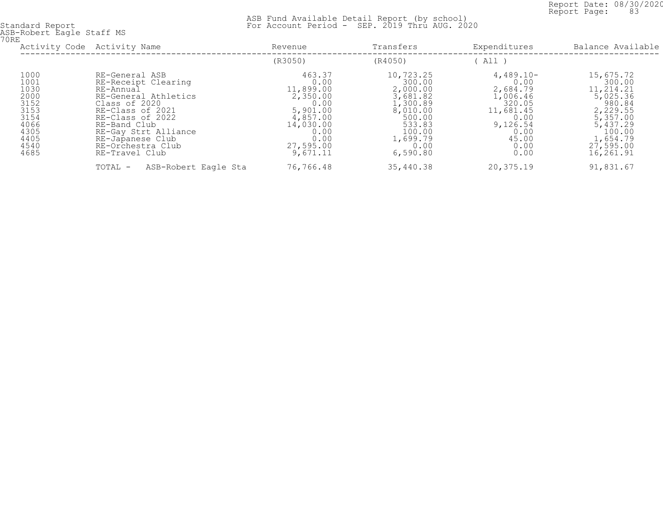Report Date: 08/30/2020<br>Report Page: 83 Report Page: 83

|                                                                                              | Activity Code Activity Name                                                                                                                                                                                                            | Revenue                                                                                                                       | Transfers                                                                                                                         | Expenditures                                                                                                            | Balance Available                                                                                                                          |
|----------------------------------------------------------------------------------------------|----------------------------------------------------------------------------------------------------------------------------------------------------------------------------------------------------------------------------------------|-------------------------------------------------------------------------------------------------------------------------------|-----------------------------------------------------------------------------------------------------------------------------------|-------------------------------------------------------------------------------------------------------------------------|--------------------------------------------------------------------------------------------------------------------------------------------|
|                                                                                              |                                                                                                                                                                                                                                        | (R3050)                                                                                                                       | (R4050)                                                                                                                           | All)                                                                                                                    |                                                                                                                                            |
| 1000<br>1001<br>1030<br>2000<br>3152<br>3153<br>3154<br>4066<br>4305<br>4405<br>4540<br>4685 | RE-General ASB<br>RE-Receipt Clearing<br>RE-Annual<br>RE-General Athletics<br>Class of 2020<br>RE-Class of 2021<br>RE-Class of 2022<br>RE-Band Club<br>RE-Gay Strt Alliance<br>RE-Japanese Club<br>RE-Orchestra Club<br>RE-Travel Club | 463.37<br>0.00<br>11,899.00<br>2,350.00<br>0.00<br>5,901.00<br>4,857.00<br>14,030.00<br>0.00<br>0.00<br>27,595.00<br>9,671.11 | 10,723.25<br>300.00<br>2,000.00<br>3,681.82<br>1,300.89<br>8,010.00<br>500.00<br>533.83<br>100.00<br>1,699.79<br>0.00<br>6,590.80 | $4,489.10-$<br>0.00<br>2,684.79<br>1,006.46<br>320.05<br>11,681.45<br>0.00<br>9,126.54<br>0.00<br>45.00<br>0.00<br>0.00 | 15,675.72<br>300.00<br>11,214.21<br>5,025.36<br>980.84<br>2,229.55<br>5,357.00<br>5,437.29<br>100.00<br>1,654.79<br>27,595.00<br>16,261.91 |
|                                                                                              | ASB-Robert Eagle Sta<br>TOTAL -                                                                                                                                                                                                        | 76,766.48                                                                                                                     | 35,440.38                                                                                                                         | 20,375.19                                                                                                               | 91,831.67                                                                                                                                  |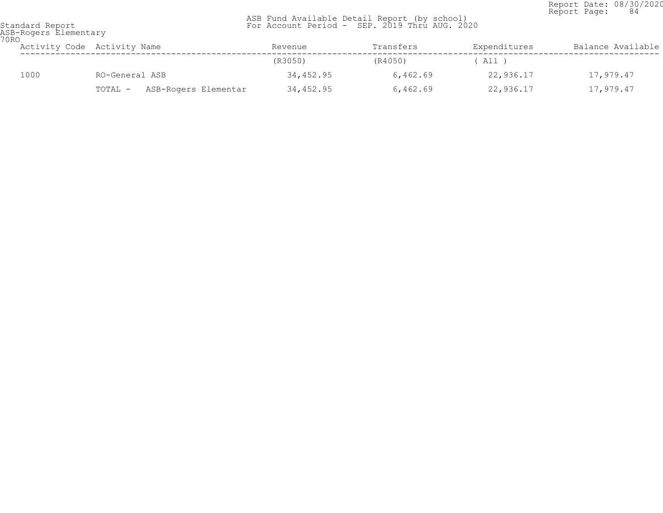Report Date: 08/30/2020<br>Report Page: 84 Report Page: 84

| 70RO | ASB-Rogers Elementary |                                 |           |           |              |                   |  |  |
|------|-----------------------|---------------------------------|-----------|-----------|--------------|-------------------|--|--|
|      |                       | Activity Code Activity Name     | Revenue   | Transfers | Expenditures | Balance Available |  |  |
|      |                       |                                 | (R3050)   | (R4050)   | All )        |                   |  |  |
|      | 1000                  | RO-General ASB                  | 34,452.95 | 6,462.69  | 22,936.17    | 17,979.47         |  |  |
|      |                       | ASB-Rogers Elementar<br>TOTAL - | 34,452.95 | 6,462.69  | 22,936.17    | 17,979.47         |  |  |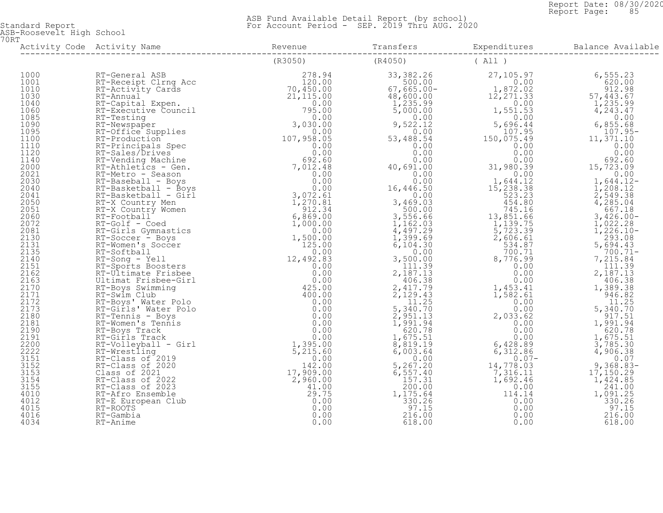Report Date: 08/30/2020<br>Report Page: 85 Report Page: 85

 ASB Fund Available Detail Report (by school) Standard Report For Account Period - SEP. 2019 Thru AUG. 2020

ASB-Roosevelt High School 70RT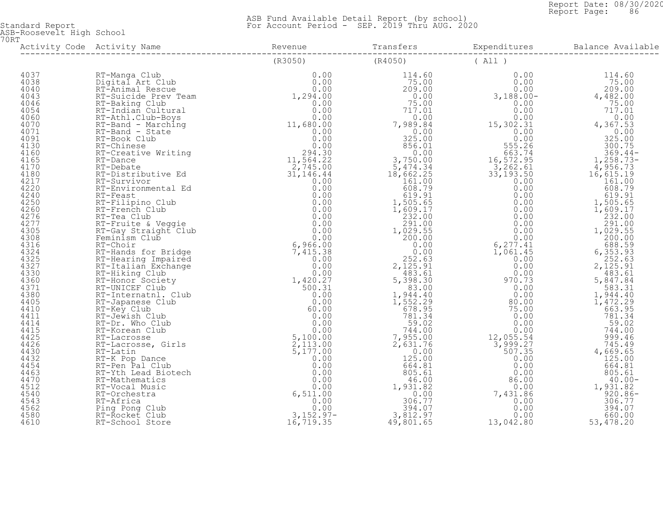Report Date: 08/30/2020<br>Report Page: 86 Report Page: 86

 ASB Fund Available Detail Report (by school) Standard Report For Account Period - SEP. 2019 Thru AUG. 2020

ASB-Roosevelt High School 70RT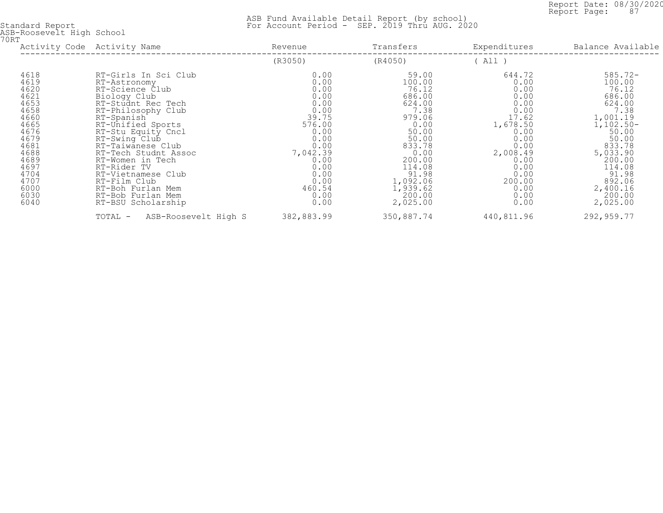Report Date: 08/30/2020<br>Report Page: 87 Report Page: 87

| <b>70RT</b> | ASB-Roosevelt High School                                                                                                                            |                                                                                                                                                                                                                                                                                                                                                                                     |                                                                                                                                                               |                                                                                                                                                                                       |                                                                                                                                                                   |                                                                                                                                                                                                       |
|-------------|------------------------------------------------------------------------------------------------------------------------------------------------------|-------------------------------------------------------------------------------------------------------------------------------------------------------------------------------------------------------------------------------------------------------------------------------------------------------------------------------------------------------------------------------------|---------------------------------------------------------------------------------------------------------------------------------------------------------------|---------------------------------------------------------------------------------------------------------------------------------------------------------------------------------------|-------------------------------------------------------------------------------------------------------------------------------------------------------------------|-------------------------------------------------------------------------------------------------------------------------------------------------------------------------------------------------------|
|             |                                                                                                                                                      | Activity Code Activity Name                                                                                                                                                                                                                                                                                                                                                         | Revenue                                                                                                                                                       | Transfers                                                                                                                                                                             | Expenditures                                                                                                                                                      | Balance Available                                                                                                                                                                                     |
|             |                                                                                                                                                      |                                                                                                                                                                                                                                                                                                                                                                                     | (R3050)                                                                                                                                                       | (R4050)                                                                                                                                                                               | (A11)                                                                                                                                                             |                                                                                                                                                                                                       |
|             | 4618<br>4619<br>4620<br>4621<br>4653<br>4658<br>4660<br>4665<br>4676<br>4679<br>4681<br>4688<br>4689<br>4697<br>4704<br>4707<br>6000<br>6030<br>6040 | RT-Girls In Sci Club<br>RT-Astronomy<br>RT-Science Club<br>Biology Club<br>RT-Studnt Rec Tech<br>RT-Philosophy Club<br>RT-Spanish<br>RT-Unified Sports<br>RT-Stu Equity Cncl<br>RT-Swing Club<br>RT-Taiwanese Club<br>RT-Tech Studnt Assoc<br>RT-Women in Tech<br>RT-Rider TV<br>RT-Vietnamese Club<br>RT-Film Club<br>RT-Boh Furlan Mem<br>RT-Bob Furlan Mem<br>RT-BSU Scholarship | 0.00<br>0.00<br>0.00<br>0.00<br>0.00<br>0.00<br>39.75<br>576.00<br>0.00<br>0.00<br>0.00<br>7,042.39<br>0.00<br>0.00<br>0.00<br>0.00<br>460.54<br>0.00<br>0.00 | 59.00<br>100.00<br>76.12<br>686.00<br>624.00<br>7.38<br>979.06<br>0.00<br>50.00<br>50.00<br>833.78<br>0.00<br>200.00<br>114.08<br>91.98<br>1,092.06<br>1,939.62<br>200.00<br>2,025.00 | 644.72<br>0.00<br>0.00<br>0.00<br>0.00<br>0.00<br>17.62<br>1,678.50<br>0.00<br>0.00<br>0.00<br>2,008.49<br>0.00<br>0.00<br>0.00<br>200.00<br>0.00<br>0.00<br>0.00 | $585.72 -$<br>100.00<br>76.12<br>686.00<br>624.00<br>7.38<br>1,001.19<br>$1,102.50-$<br>50.00<br>50.00<br>833.78<br>5,033.90<br>200.00<br>114.08<br>91.98<br>892.06<br>2,400.16<br>200.00<br>2,025.00 |
|             |                                                                                                                                                      | TOTAL -<br>ASB-Roosevelt High S                                                                                                                                                                                                                                                                                                                                                     | 382,883.99                                                                                                                                                    | 350,887.74                                                                                                                                                                            | 440,811.96                                                                                                                                                        | 292,959.77                                                                                                                                                                                            |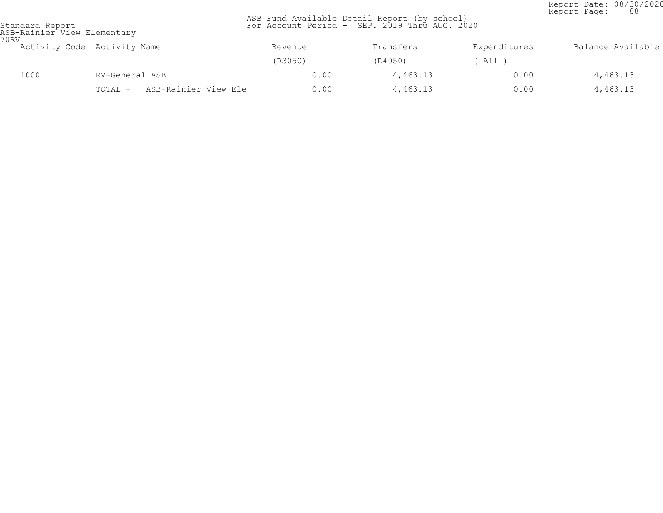Report Date: 08/30/2020<br>Report Page: 88 Report Page: 88

| Standard Report             |  |
|-----------------------------|--|
| ASB-Rainier View Elementarv |  |
| 70 R V                      |  |

| URV  | Activity Code Activity Name     | Revenue | Transfers | Expenditures | Balance Available |
|------|---------------------------------|---------|-----------|--------------|-------------------|
|      |                                 | (R3050) | (R4050)   | ' All )      |                   |
| 1000 | RV-General ASB                  | 0.00    | 4,463.13  | 0.00         | 4,463.13          |
|      | ASB-Rainier View Ele<br>TOTAL - | 0.00    | 4,463.13  | 0.00         | 4,463.13          |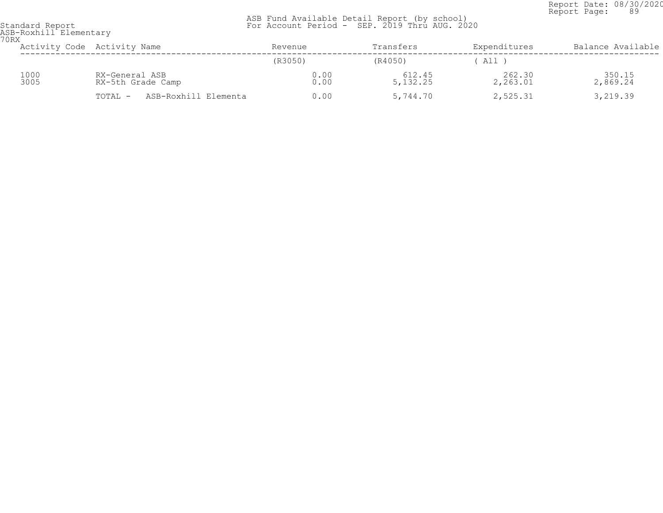Report Date: 08/30/2020<br>Report Page: 89 Report Page: 89

| 70RX | ASB-Roxhill Elementary |                                     |              |                      |                    |                    |  |  |
|------|------------------------|-------------------------------------|--------------|----------------------|--------------------|--------------------|--|--|
|      |                        | Activity Code Activity Name         | Revenue      | Transfers            | Expenditures       | Balance Available  |  |  |
|      |                        |                                     | (R3050)      | (R4050)              | All )              |                    |  |  |
|      | 1000<br>3005           | RX-General ASB<br>RX-5th Grade Camp | 0.00<br>0.00 | 612.45<br>5, 132. 25 | 262.30<br>2,263.01 | 350.15<br>2,869.24 |  |  |
|      |                        | ASB-Roxhill Elementa<br>TOTAL -     | 0.00         | 5,744.70             | 2,525.31           | 3,219.39           |  |  |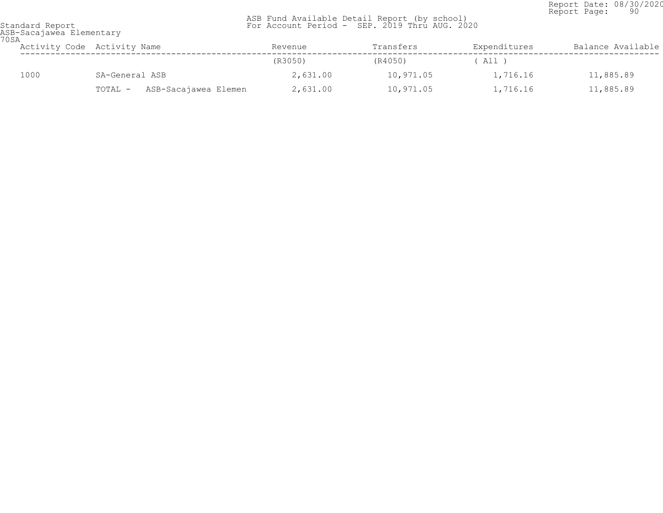Report Date: 08/30/2020<br>Report Page: 90 Report Page: 90

| 70SA | ASB-Sacajawea Elementary |                                 |          |           |              |                   |
|------|--------------------------|---------------------------------|----------|-----------|--------------|-------------------|
|      |                          | Activity Code Activity Name     | Revenue  | Transfers | Expenditures | Balance Available |
|      |                          |                                 | (R3050)  | (R4050)   | $'$ All $)$  |                   |
|      | 1000                     | SA-General ASB                  | 2,631.00 | 10,971.05 | 1,716.16     | 11,885.89         |
|      |                          | ASB-Sacajawea Elemen<br>TOTAL - | 2,631.00 | 10,971.05 | 1,716.16     | 11,885.89         |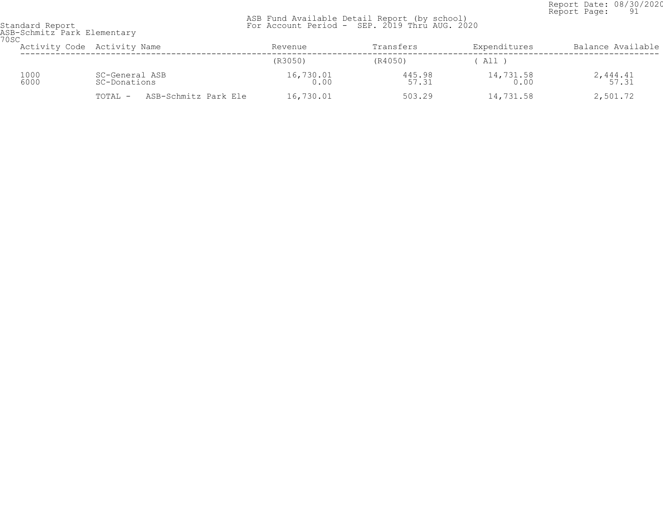Report Date: 08/30/2020<br>Report Page: 91 Report Page: 91

| standard keport                     |  |
|-------------------------------------|--|
| ASB-Schmitz Park Elementary<br>70SC |  |

| いらし | Activity Code Activity Name |                                |                      | Revenue             | Transfers       | Expenditures        | Balance Available   |
|-----|-----------------------------|--------------------------------|----------------------|---------------------|-----------------|---------------------|---------------------|
|     |                             |                                |                      | (R3050)             | (R4050)         | All                 |                     |
|     | 1000<br>6000                | SC-General ASB<br>SC-Donations |                      | $16,730.01$<br>0.00 | 445.98<br>57.31 | $14,731.58$<br>0.00 | $2,444.41$<br>57.31 |
|     |                             | TOTAL -                        | ASB-Schmitz Park Ele | 16,730.01           | 503.29          | 14,731.58           | 2,501.72            |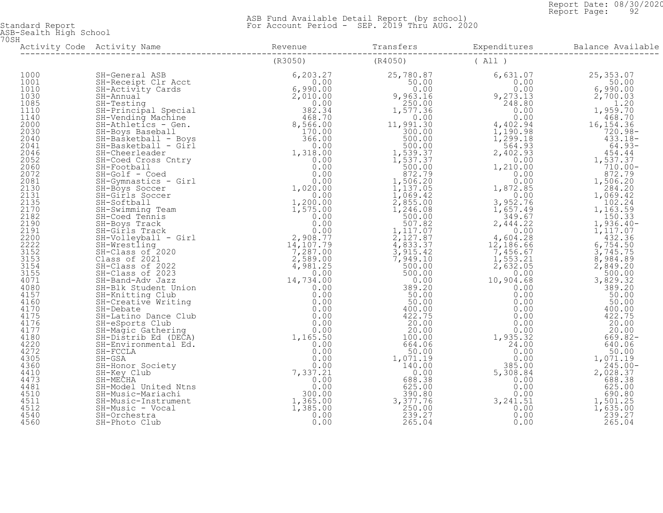Report Date: 08/30/2020<br>Report Page: 92 Report Page: 92

| 70SH |  |  |  |
|------|--|--|--|
|      |  |  |  |
|      |  |  |  |
|      |  |  |  |
|      |  |  |  |
|      |  |  |  |
|      |  |  |  |
|      |  |  |  |
|      |  |  |  |
|      |  |  |  |
|      |  |  |  |
|      |  |  |  |
|      |  |  |  |
|      |  |  |  |
|      |  |  |  |
|      |  |  |  |
|      |  |  |  |
|      |  |  |  |
|      |  |  |  |
|      |  |  |  |
|      |  |  |  |
|      |  |  |  |
|      |  |  |  |
|      |  |  |  |
|      |  |  |  |
|      |  |  |  |
|      |  |  |  |
|      |  |  |  |
|      |  |  |  |
|      |  |  |  |
|      |  |  |  |
|      |  |  |  |
|      |  |  |  |
|      |  |  |  |
|      |  |  |  |
|      |  |  |  |
|      |  |  |  |
|      |  |  |  |
|      |  |  |  |
|      |  |  |  |
|      |  |  |  |
|      |  |  |  |
|      |  |  |  |
|      |  |  |  |
|      |  |  |  |
|      |  |  |  |
|      |  |  |  |
|      |  |  |  |
|      |  |  |  |
|      |  |  |  |
|      |  |  |  |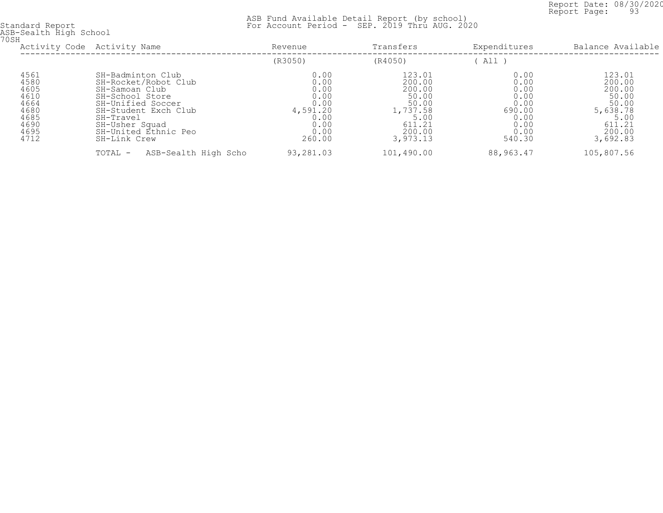Report Date: 08/30/2020<br>Report Page: 93 Report Page: 93

| 70SH | ASB-Sealth High School                                                       |                                                                                                                                                                                                    |                                                                                    |                                                                                                  |                                                                                  |                                                                                                  |
|------|------------------------------------------------------------------------------|----------------------------------------------------------------------------------------------------------------------------------------------------------------------------------------------------|------------------------------------------------------------------------------------|--------------------------------------------------------------------------------------------------|----------------------------------------------------------------------------------|--------------------------------------------------------------------------------------------------|
|      |                                                                              | Activity Code Activity Name                                                                                                                                                                        | Revenue                                                                            | Transfers                                                                                        | Expenditures                                                                     | Balance Available                                                                                |
|      |                                                                              |                                                                                                                                                                                                    | (R3050)                                                                            | (R4050)                                                                                          | All )                                                                            |                                                                                                  |
|      | 4561<br>4580<br>4605<br>4610<br>4664<br>4680<br>4685<br>4690<br>4695<br>4712 | SH-Badminton Club<br>SH-Rocket/Robot Club<br>SH-Samoan Club<br>SH-School Store<br>SH-Unified Soccer<br>SH-Student Exch Club<br>SH-Travel<br>SH-Usher Squad<br>SH-United Ethnic Peo<br>SH-Link Crew | 0.00<br>0.00<br>0.00<br>0.00<br>0.00<br>4,591.20<br>0.00<br>0.00<br>0.00<br>260.00 | 123.01<br>200.00<br>200.00<br>50.00<br>50.00<br>1,737.58<br>5.00<br>611.21<br>200.00<br>3,973.13 | 0.00<br>0.00<br>0.00<br>0.00<br>0.00<br>690.00<br>0.00<br>0.00<br>0.00<br>540.30 | 123.01<br>200.00<br>200.00<br>50.00<br>50.00<br>5,638.78<br>5.00<br>611.21<br>200.00<br>3,692.83 |
|      |                                                                              | ASB-Sealth High Scho<br>TOTAL -                                                                                                                                                                    | 93,281.03                                                                          | 101,490.00                                                                                       | 88,963.47                                                                        | 105,807.56                                                                                       |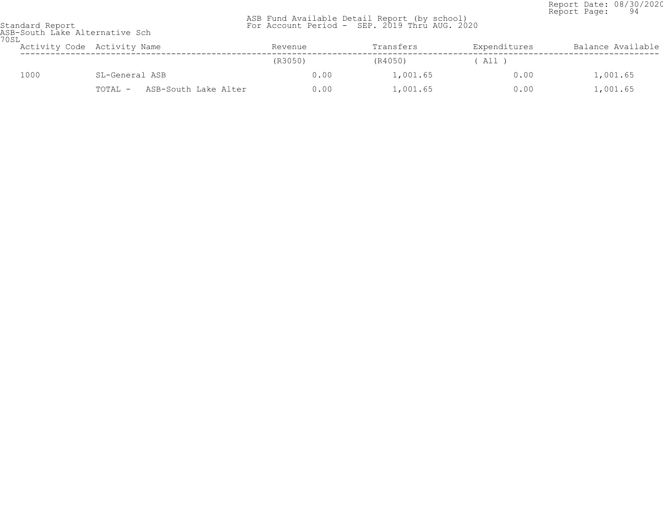Report Date: 08/30/2020 Report Page: 94

| ASB Fund Available Detail Report (by school)  |  |  |  |  |
|-----------------------------------------------|--|--|--|--|
| For Account Period - SEP. 2019 Thru AUG. 2020 |  |  |  |  |

| Standard Report |                                |  |
|-----------------|--------------------------------|--|
|                 | ASR-South Lake Alternative Sch |  |

| Standard Report<br>ASB-South Lake Alternative Sch<br>70SL |                                 |         | For Account Period - SEP. 2019 Thru AUG. 2020 |              |                   |
|-----------------------------------------------------------|---------------------------------|---------|-----------------------------------------------|--------------|-------------------|
|                                                           | Activity Code Activity Name     | Revenue | Transfers                                     | Expenditures | Balance Available |
|                                                           |                                 | (R3050) | (R4050)                                       | ' All '      |                   |
| 1000                                                      | SL-General ASB                  | 0.00    | 1,001.65                                      | 0.00         | 1,001.65          |
|                                                           | ASB-South Lake Alter<br>TOTAL - | 0.00    | 1,001.65                                      | 0.00         | 1,001.65          |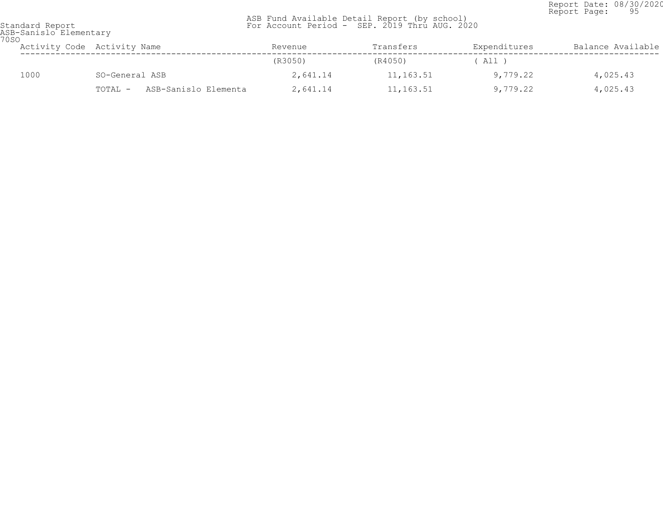Report Date: 08/30/2020<br>Report Page: 95 Report Page: 95

| 70SO | ASB-Sanislo Elementary |                                 |          |           |              |                   |
|------|------------------------|---------------------------------|----------|-----------|--------------|-------------------|
|      |                        | Activity Code Activity Name     | Revenue  | Transfers | Expenditures | Balance Available |
|      |                        |                                 | (R3050)  | (R4050)   | ( All )      |                   |
|      | 1000                   | SO-General ASB                  | 2,641.14 | 11,163.51 | 9,779.22     | 4,025.43          |
|      |                        | ASB-Sanislo Elementa<br>TOTAL - | 2,641.14 | 11,163.51 | 9,779.22     | 4,025.43          |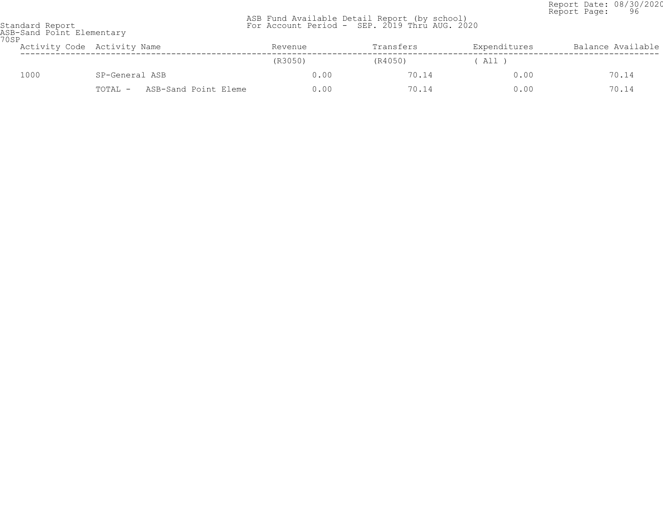Report Date: 08/30/2020 Report Page: 96

| 70SP | Standard Report<br>ASB-Sand Point Elementary |                                 | ASB Fund Available Detail Report (by school)<br>For Account Period - SEP. 2019 Thru AUG. 2020 |           |              |                   |
|------|----------------------------------------------|---------------------------------|-----------------------------------------------------------------------------------------------|-----------|--------------|-------------------|
|      |                                              | Activity Code Activity Name     | Revenue                                                                                       | Transfers | Expenditures | Balance Available |
|      |                                              |                                 | (R3050)                                                                                       | (R4050)   | All )        |                   |
|      | 1000                                         | SP-General ASB                  | 0.00                                                                                          | 70.14     | 0.00         | 70.14             |
|      |                                              | ASB-Sand Point Eleme<br>TOTAL - | 0.00                                                                                          | 70.14     | 0.00         | 70.14             |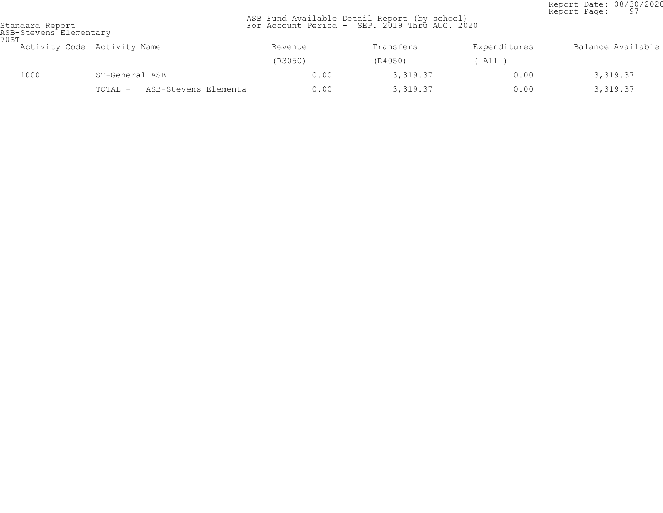Report Date: 08/30/2020<br>Report Page: 97 Report Page: 97

|  | Standard Report |  |                        |  |
|--|-----------------|--|------------------------|--|
|  |                 |  | ASR-Stavane Flamantery |  |

| 70ST | ASB-Stevens Elementary |                                 |         |           |              |                   |
|------|------------------------|---------------------------------|---------|-----------|--------------|-------------------|
|      |                        | Activity Code Activity Name     | Revenue | Transfers | Expenditures | Balance Available |
|      |                        |                                 | (R3050) | (R4050)   | All T        |                   |
|      | 1000                   | ST-General ASB                  | 0.00    | 3,319.37  | 0.00         | 3,319.37          |
|      |                        | TOTAL -<br>ASB-Stevens Elementa | 0.00    | 3,319.37  | 0.00         | 3,319.37          |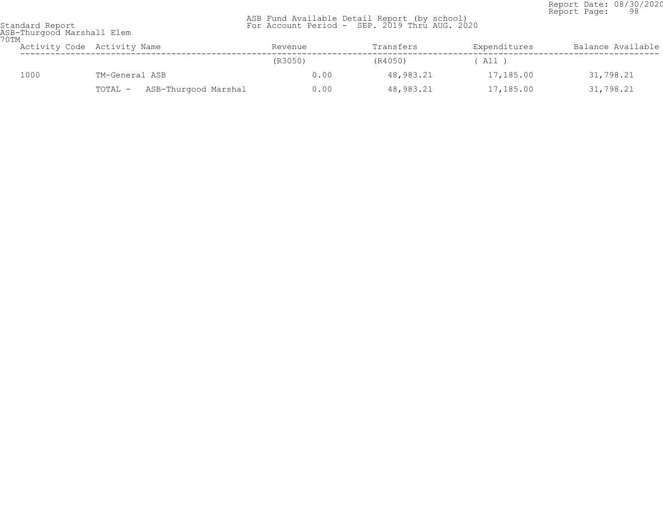Report Date: 08/30/2020<br>Report Page: 98 Report Page: 98

| 70TM | ASB-Thurgood Marshall Elem |                                 |         |           |              |                   |
|------|----------------------------|---------------------------------|---------|-----------|--------------|-------------------|
|      |                            | Activity Code Activity Name     | Revenue | Transfers | Expenditures | Balance Available |
|      |                            |                                 | (R3050) | (R4050)   | A11 )        |                   |
|      | 1000                       | TM-General ASB                  | 0.00    | 48,983.21 | 17,185.00    | 31,798.21         |
|      |                            | ASB-Thurgood Marshal<br>TOTAL - | 0.00    | 48,983.21 | 17,185.00    | 31,798.21         |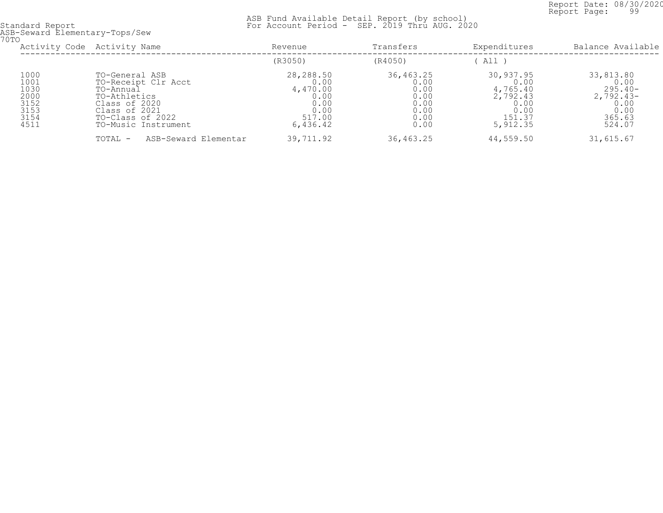Report Date: 08/30/2020<br>Report Page: 99 Report Page: 99

 ASB Fund Available Detail Report (by school) Standard Report For Account Period - SEP. 2019 Thru AUG. 2020

ASB-Seward Elementary-Tops/Sew 70TO

| UTU                                                          | Activity Code Activity Name                                                                                                                     | Revenue                                                                     | Transfers                                                         | Expenditures                                                                    | Balance Available                                                                 |
|--------------------------------------------------------------|-------------------------------------------------------------------------------------------------------------------------------------------------|-----------------------------------------------------------------------------|-------------------------------------------------------------------|---------------------------------------------------------------------------------|-----------------------------------------------------------------------------------|
|                                                              |                                                                                                                                                 | (R3050)                                                                     | (R4050)                                                           | All I                                                                           |                                                                                   |
| 1000<br>1001<br>1030<br>2000<br>3152<br>3153<br>3154<br>4511 | TO-General ASB<br>TO-Receipt Clr Acct<br>TO-Annual<br>TO-Athletics<br>Class of 2020<br>Class of 2021<br>TO-Class of 2022<br>TO-Music Instrument | 28,288.50<br>0.00<br>4,470.00<br>0.00<br>0.00<br>0.00<br>517.00<br>6,436.42 | 36,463.25<br>0.00<br>0.00<br>0.00<br>0.00<br>0.00<br>0.00<br>0.00 | 30,937.95<br>0.00<br>4,765.40<br>2,792.43<br>0.00<br>0.00<br>151.37<br>5,912.35 | 33,813.80<br>0.00<br>$295.40-$<br>$2,792.43-$<br>0.00<br>0.00<br>365.63<br>524.07 |
|                                                              | ASB-Seward Elementar<br>TOTAL -                                                                                                                 | 39,711.92                                                                   | 36,463.25                                                         | 44,559.50                                                                       | 31,615.67                                                                         |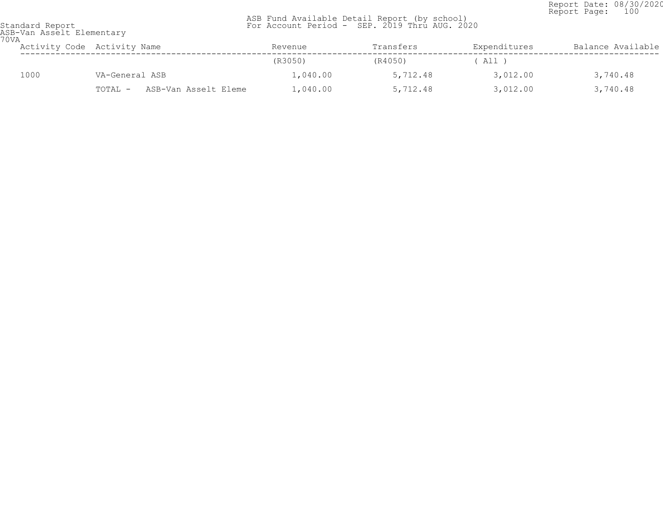Report Date: 08/30/2020<br>Report Page: 100 Report Page: 100

 ASB Fund Available Detail Report (by school) Standard Report For Account Period - SEP. 2019 Thru AUG. 2020

ASB-Van Asselt Elementary 70VA

| UVA | Activity Code Activity Name |                |                      | Revenue  | Transfers | Expenditures | Balance Available |
|-----|-----------------------------|----------------|----------------------|----------|-----------|--------------|-------------------|
|     |                             |                |                      | (R3050)  | (R4050)   | All )        |                   |
|     | 1000                        | VA-General ASB |                      | 1,040.00 | 5,712.48  | 3,012.00     | 3,740.48          |
|     |                             | TOTAL -        | ASB-Van Asselt Eleme | 1,040.00 | 5,712.48  | 3,012.00     | 3,740.48          |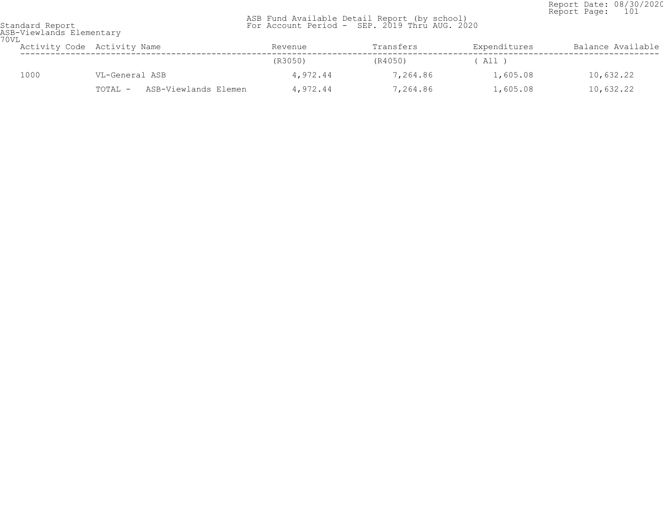Report Date: 08/30/2020<br>Report Page: 101 Report Page: 101

| ASB-Viewlands Elementary<br>70VL |                                 |          |           |              |                   |  |  |  |
|----------------------------------|---------------------------------|----------|-----------|--------------|-------------------|--|--|--|
|                                  | Activity Code Activity Name     | Revenue  | Transfers | Expenditures | Balance Available |  |  |  |
|                                  |                                 | (R3050)  | (R4050)   | All )        |                   |  |  |  |
| 1000                             | VL-General ASB                  | 4,972.44 | 7,264.86  | 1,605.08     | 10,632.22         |  |  |  |
|                                  | ASB-Viewlands Elemen<br>TOTAL - | 4,972.44 | 7,264.86  | 1,605.08     | 10,632.22         |  |  |  |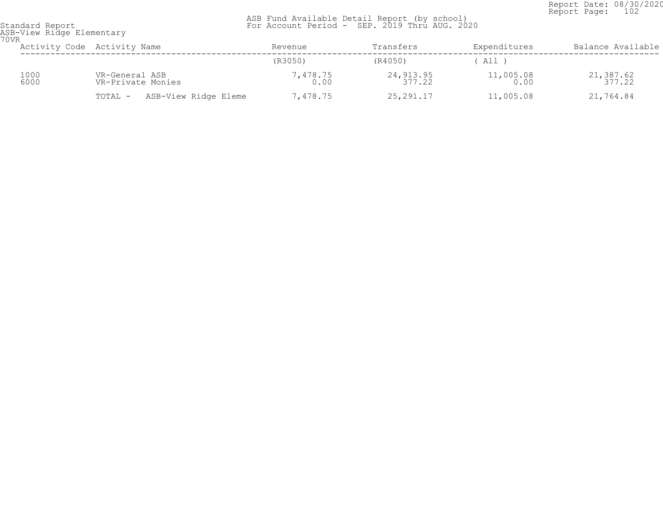Report Date: 08/30/2020<br>Report Page: 102 Report Page: 102

| 70VR | ASB-View Ridge Elementary |                                     |                  |                      |                     |                      |  |  |
|------|---------------------------|-------------------------------------|------------------|----------------------|---------------------|----------------------|--|--|
|      |                           | Activity Code Activity Name         | Revenue          | Transfers            | Expenditures        | Balance Available    |  |  |
|      |                           |                                     | (R3050)          | (R4050)              | ' All '             |                      |  |  |
|      | 1000<br>6000              | VR-General ASB<br>VR-Private Monies | 7,478.75<br>0.00 | 24, 913.95<br>377.22 | $11,005.08$<br>0.00 | 21, 387.62<br>377.22 |  |  |
|      |                           | ASB-View Ridge Eleme<br>TOTAL -     | 7,478.75         | 25,291.17            | 11,005.08           | 21,764.84            |  |  |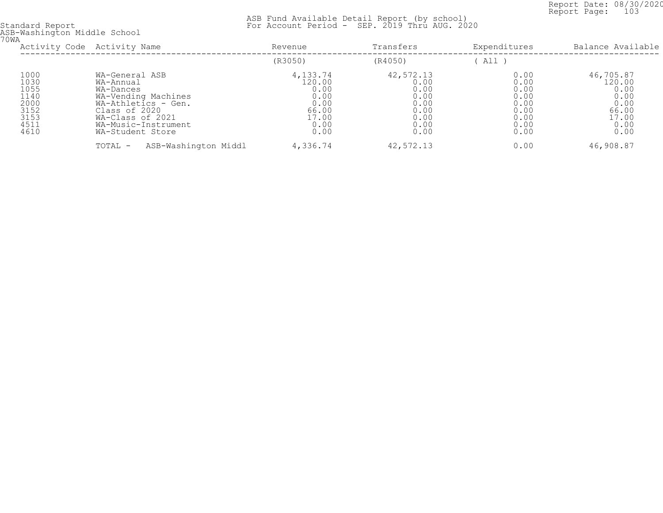Report Date: 08/30/2020<br>Report Page: 103 Report Page: 103

|                                                                      | Activity Code Activity Name                                                                                                                                            | Revenue                                                                      | Transfers                                                                 | Expenditures                                                         | Balance Available                                                             |
|----------------------------------------------------------------------|------------------------------------------------------------------------------------------------------------------------------------------------------------------------|------------------------------------------------------------------------------|---------------------------------------------------------------------------|----------------------------------------------------------------------|-------------------------------------------------------------------------------|
|                                                                      |                                                                                                                                                                        | (R3050)                                                                      | (R4050)                                                                   | All)                                                                 |                                                                               |
| 1000<br>1030<br>1055<br>1140<br>2000<br>3152<br>3153<br>4511<br>4610 | WA-General ASB<br>WA-Annual<br>WA-Dances<br>WA-Vending Machines<br>WA-Athletics - Gen.<br>Class of 2020<br>WA-Class of 2021<br>WA-Music-Instrument<br>WA-Student Store | 4,133.74<br>120.00<br>0.00<br>0.00<br>0.00<br>66.00<br>17.00<br>0.00<br>0.00 | 42,572.13<br>0.00<br>0.00<br>0.00<br>0.00<br>0.00<br>0.00<br>0.00<br>0.00 | 0.00<br>0.00<br>0.00<br>0.00<br>0.00<br>0.00<br>0.00<br>0.00<br>0.00 | 46,705.87<br>120.00<br>0.00<br>0.00<br>0.00<br>66.00<br>17.00<br>0.00<br>0.00 |
|                                                                      | ASB-Washington Middl<br>TOTAL -                                                                                                                                        | 4,336.74                                                                     | 42,572.13                                                                 | 0.00                                                                 | 46,908.87                                                                     |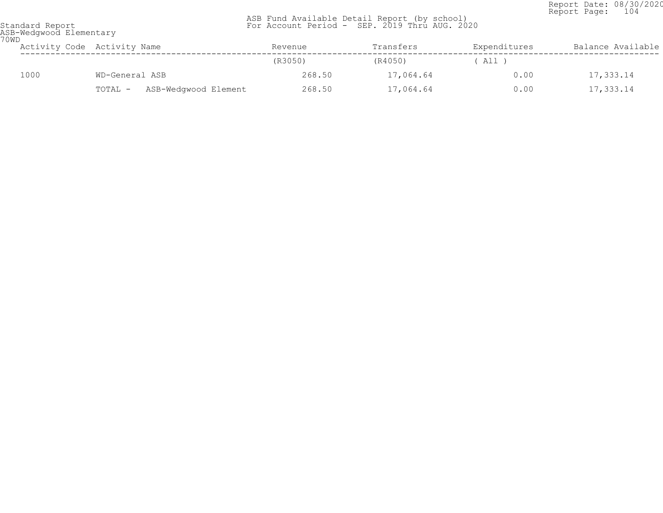Report Date: 08/30/2020<br>Report Page: 104 Report Page: 104

| 70WD | ASB-Wedgwood Elementary |                                 |         |           |              |                   |
|------|-------------------------|---------------------------------|---------|-----------|--------------|-------------------|
|      |                         | Activity Code Activity Name     | Revenue | Transfers | Expenditures | Balance Available |
|      |                         |                                 | (R3050) | (R4050)   | All )        |                   |
|      | 1000                    | WD-General ASB                  | 268.50  | 17,064.64 | 0.00         | 17,333.14         |
|      |                         | ASB-Wedgwood Element<br>TOTAL - | 268.50  | 17,064.64 | 0.00         | 17,333.14         |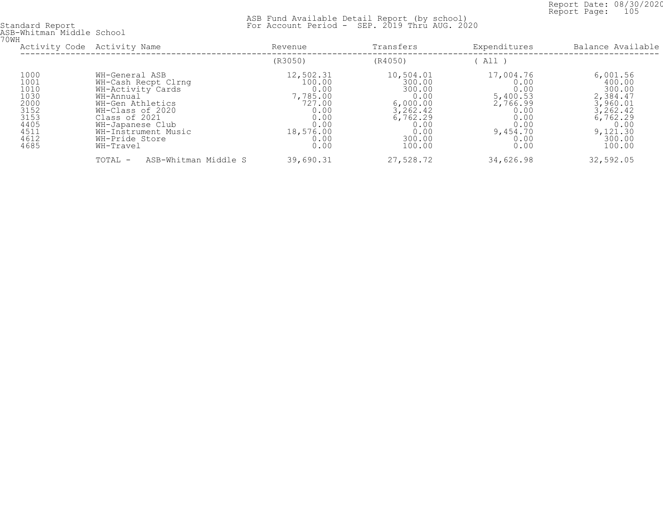Report Date: 08/30/2020<br>Report Page: 105 Report Page: 105

| ASB-Whitman Middle School<br>70WH                                                    |                                                                                                                                                                                                            |                                                                                                        |                                                                                                               |                                                                                                       |                                                                                                                       |
|--------------------------------------------------------------------------------------|------------------------------------------------------------------------------------------------------------------------------------------------------------------------------------------------------------|--------------------------------------------------------------------------------------------------------|---------------------------------------------------------------------------------------------------------------|-------------------------------------------------------------------------------------------------------|-----------------------------------------------------------------------------------------------------------------------|
| Activity Code Activity Name                                                          |                                                                                                                                                                                                            | Revenue                                                                                                | Transfers                                                                                                     | Expenditures                                                                                          | Balance Available                                                                                                     |
|                                                                                      |                                                                                                                                                                                                            | (R3050)                                                                                                | (R4050)                                                                                                       | All )                                                                                                 |                                                                                                                       |
| 1000<br>1001<br>1010<br>1030<br>2000<br>3152<br>3153<br>4405<br>4511<br>4612<br>4685 | WH-General ASB<br>WH-Cash Recpt Clrnq<br>WH-Activity Cards<br>WH-Annual<br>WH-Gen Athletics<br>WH-Class of 2020<br>Class of 2021<br>WH-Japanese Club<br>WH-Instrument Music<br>WH-Pride Store<br>WH-Travel | 12,502.31<br>100.00<br>0.00<br>7,785.00<br>727.00<br>0.00<br>0.00<br>0.00<br>18,576.00<br>0.00<br>0.00 | 10,504.01<br>300.00<br>300.00<br>0.00<br>6,000.00<br>3,262.42<br>6,762.29<br>0.00<br>0.00<br>300.00<br>100.00 | 17,004.76<br>0.00<br>0.00<br>5,400.53<br>2,766.99<br>0.00<br>0.00<br>0.00<br>9,454.70<br>0.00<br>0.00 | 6,001.56<br>400.00<br>300.00<br>2,384.47<br>3,960.01<br>3, 262.42<br>6,762.29<br>0.00<br>9,121.30<br>300.00<br>100.00 |
|                                                                                      | ASB-Whitman Middle S<br>TOTAL -                                                                                                                                                                            | 39,690.31                                                                                              | 27,528.72                                                                                                     | 34,626.98                                                                                             | 32,592.05                                                                                                             |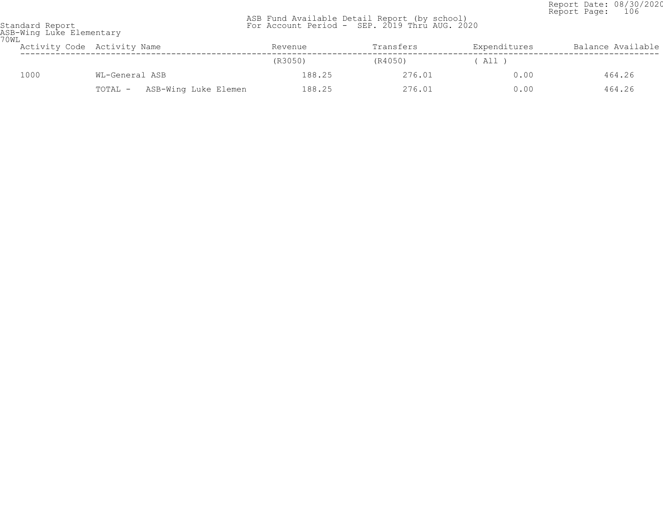Report Date: 08/30/2020<br>Report Page: 106 Report Page: 106

 ASB Fund Available Detail Report (by school) Standard Report For Account Period - SEP. 2019 Thru AUG. 2020

ASB-Wing Luke Elementary 70WL

| UWL | Activity Code Activity Name |                |                      | Revenue | Transfers | Expenditures | Balance Available |
|-----|-----------------------------|----------------|----------------------|---------|-----------|--------------|-------------------|
|     |                             |                |                      | (R3050) | (R4050)   | All          |                   |
|     | 1000                        | WL-General ASB |                      | 188.25  | 276.01    | 0.00         | 464.26            |
|     |                             | TOTAL -        | ASB-Wing Luke Elemen | 188.25  | 276.01    | 0.00         | 464.26            |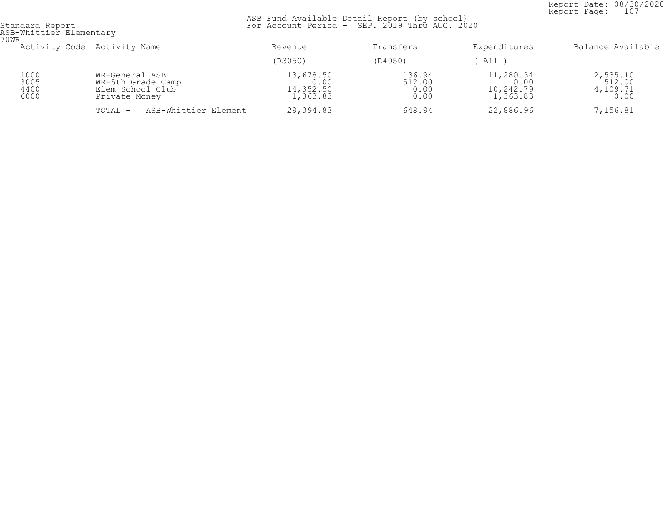Report Date: 08/30/2020<br>Report Page: 107 Report Page: 107

| ASB-Whittier Elementary<br>70WR |                                                                          |                                            |                                  |                                            |                                        |
|---------------------------------|--------------------------------------------------------------------------|--------------------------------------------|----------------------------------|--------------------------------------------|----------------------------------------|
|                                 | Activity Code Activity Name                                              | Revenue                                    | Transfers                        | Expenditures                               | Balance Available                      |
|                                 |                                                                          | (R3050)                                    | (R4050)                          | All                                        |                                        |
| 1000<br>3005<br>4400<br>6000    | WR-General ASB<br>WR-5th Grade Camp<br>Elem School Club<br>Private Money | 13,678.50<br>0.00<br>14,352.50<br>1,363.83 | 136.94<br>512.00<br>0.00<br>0.00 | 11,280.34<br>0.00<br>10,242.79<br>1,363.83 | 2,535.10<br>512.00<br>4,109.71<br>0.00 |
|                                 | ASB-Whittier Element<br>TOTAL -                                          | 29,394.83                                  | 648.94                           | 22,886.96                                  | 7,156.81                               |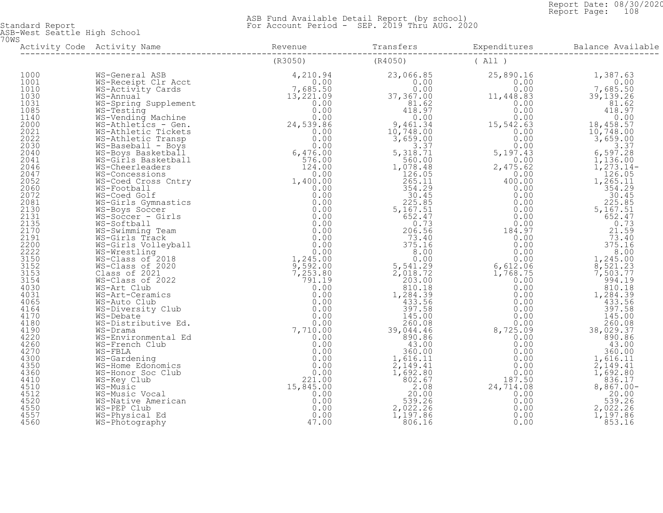Report Date: 08/30/2020<br>Report Page: 108 Report Page: 108

 ASB Fund Available Detail Report (by school) Standard Report For Account Period - SEP. 2019 Thru AUG. 2020

ASB-West Seattle High School 70WS

| WS-Music<br>WS-Music Vocal<br>WS-Native Ameri<br>WS-PEP Club<br>WS-Physical Ed<br>WS-Photography |  |  |
|--------------------------------------------------------------------------------------------------|--|--|
|                                                                                                  |  |  |
|                                                                                                  |  |  |
|                                                                                                  |  |  |
|                                                                                                  |  |  |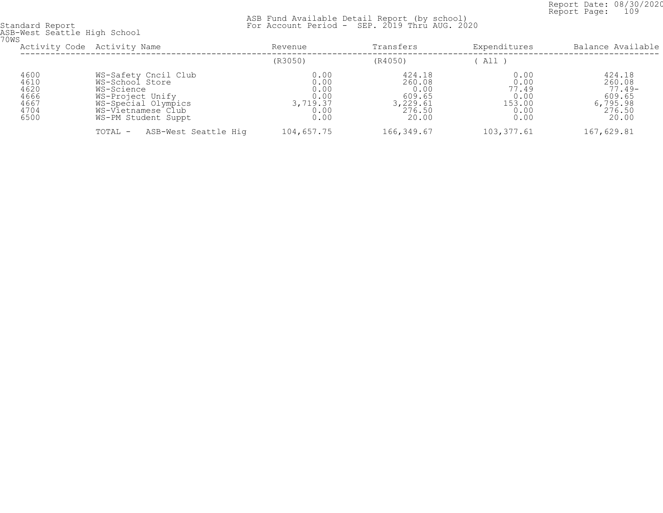Report Date: 08/30/2020<br>Report Page: 109 Report Page: 109

 ASB Fund Available Detail Report (by school) Standard Report For Account Period - SEP. 2019 Thru AUG. 2020

ASB-West Seattle High School 70WS

| UWS                                                  | Activity Code Activity Name                                                                                                                   | Revenue                                                  | Transfers                                                         | Expenditures                                            | Balance Available                                                     |
|------------------------------------------------------|-----------------------------------------------------------------------------------------------------------------------------------------------|----------------------------------------------------------|-------------------------------------------------------------------|---------------------------------------------------------|-----------------------------------------------------------------------|
|                                                      |                                                                                                                                               | (R3050)                                                  | (R4050)                                                           | All                                                     |                                                                       |
| 4600<br>4610<br>4620<br>4666<br>4667<br>4704<br>6500 | WS-Safety Cncil Club<br>WS-School Store<br>WS-Science<br>WS-Project Unify<br>WS-Special Olympics<br>WS-Vietnamese Club<br>WS-PM Student Suppt | 0.00<br>0.00<br>0.00<br>0.00<br>3,719.37<br>0.00<br>0.00 | 424.18<br>260.08<br>0.00<br>609.65<br>3,229.61<br>276.50<br>20.00 | 0.00<br>0.00<br>77.49<br>0.00<br>153.00<br>0.00<br>0.00 | 424.18<br>260.08<br>$77.49-$<br>609.65<br>6,795.98<br>276.50<br>20.00 |
|                                                      | ASB-West Seattle Hig<br>TOTAL -                                                                                                               | 104,657.75                                               | 166,349.67                                                        | 103, 377.61                                             | 167,629.81                                                            |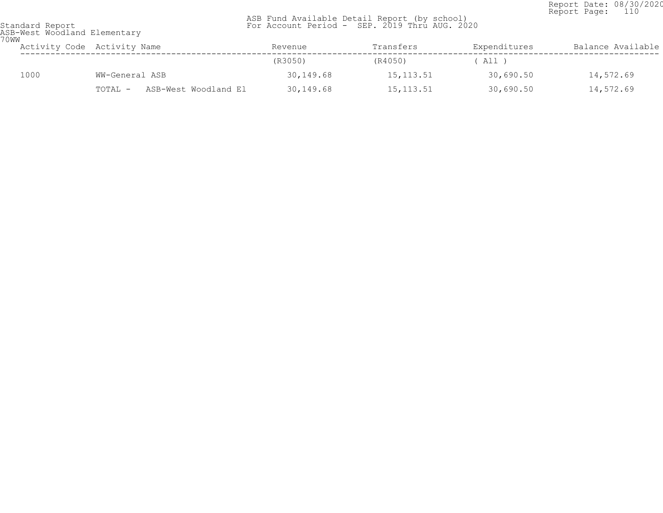Report Date: 08/30/2020<br>Report Page: 110 Report Page: 110

 ASB Fund Available Detail Report (by school) Standard Report For Account Period - SEP. 2019 Thru AUG. 2020

ASB-West Woodland Elementary 70WW

| U W W | Activity Code Activity Name     | Revenue   | Transfers  | Expenditures | Balance Available |
|-------|---------------------------------|-----------|------------|--------------|-------------------|
|       |                                 | (R3050)   | (R4050)    | All )        |                   |
| 1000  | WW-General ASB                  | 30,149.68 | 15, 113.51 | 30,690.50    | 14,572.69         |
|       | ASB-West Woodland El<br>TOTAL - | 30,149.68 | 15, 113.51 | 30,690.50    | 14,572.69         |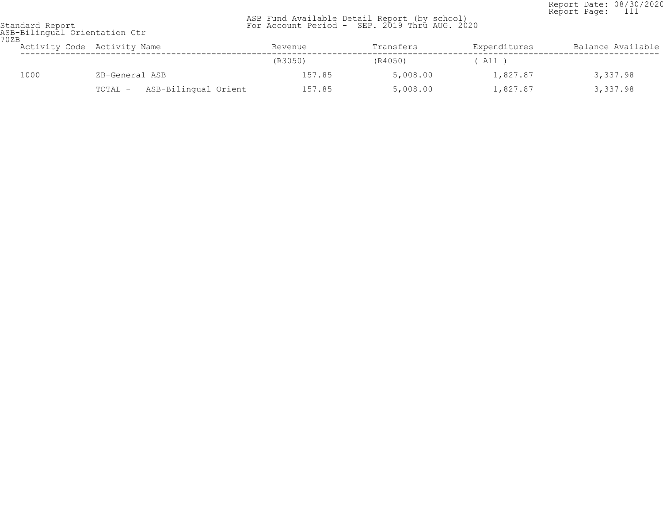Report Date: 08/30/2020<br>Report Page: 111 Report Page: 111

 ASB Fund Available Detail Report (by school) Standard Report For Account Period - SEP. 2019 Thru AUG. 2020

## ASB-Bilingual Orientation Ctr 70ZB

| UZB | Activity Code Activity Name |                |                      | Revenue | Transfers | Expenditures | Balance Available |
|-----|-----------------------------|----------------|----------------------|---------|-----------|--------------|-------------------|
|     |                             |                |                      | (R3050) | (R4050)   | ( All )      |                   |
|     | 1000                        | ZB-General ASB |                      | 157.85  | 5,008.00  | 1,827.87     | 3,337.98          |
|     |                             | TOTAL -        | ASB-Bilingual Orient | 157.85  | 5,008.00  | 1,827.87     | 3,337.98          |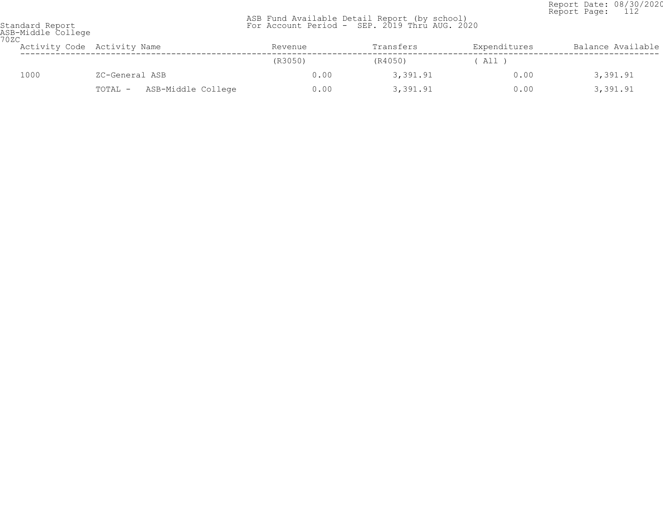Report Date: 08/30/2020<br>Report Page: 112 Report Page: 112

| Standard Report    |  |
|--------------------|--|
| ASB-Middle College |  |
| 70ZC               |  |

| UZU  | Activity Code Activity Name   | Revenue | Transfers | Expenditures | Balance Available |
|------|-------------------------------|---------|-----------|--------------|-------------------|
|      |                               | (R3050) | (R4050)   | ' All '      |                   |
| 1000 | ZC-General ASB                | 0.00    | 3,391.91  | 0.00         | 3,391.91          |
|      | ASB-Middle College<br>TOTAL - | 0.00    | 3,391.91  | 0.00         | 3,391.91          |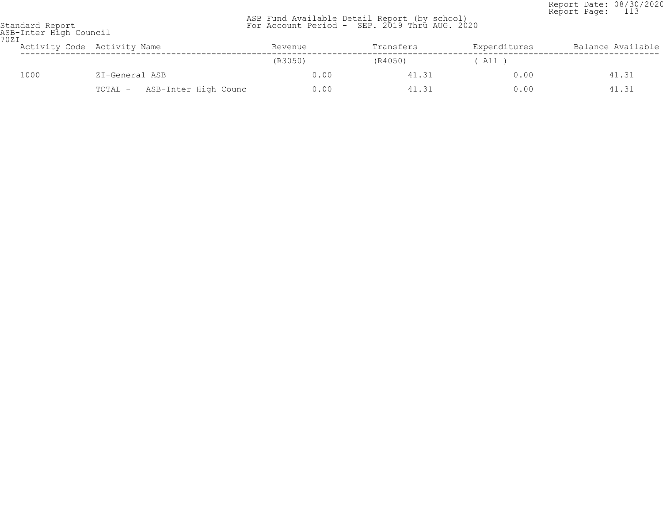Report Date: 08/30/2020<br>Report Page: 113 Report Page: 113

| 70ZI | ASB-Inter High Council          |         |           |              |                   |  |  |  |  |
|------|---------------------------------|---------|-----------|--------------|-------------------|--|--|--|--|
|      | Activity Code Activity Name     | Revenue | Transfers | Expenditures | Balance Available |  |  |  |  |
|      |                                 | (R3050) | (R4050)   | ( All        |                   |  |  |  |  |
| 1000 | ZI-General ASB                  | 0.00    | 41.31     | 0.00         | 41.31             |  |  |  |  |
|      | ASB-Inter High Counc<br>TOTAL - | 0.00    | 41.31     | 0.00         | 41.31             |  |  |  |  |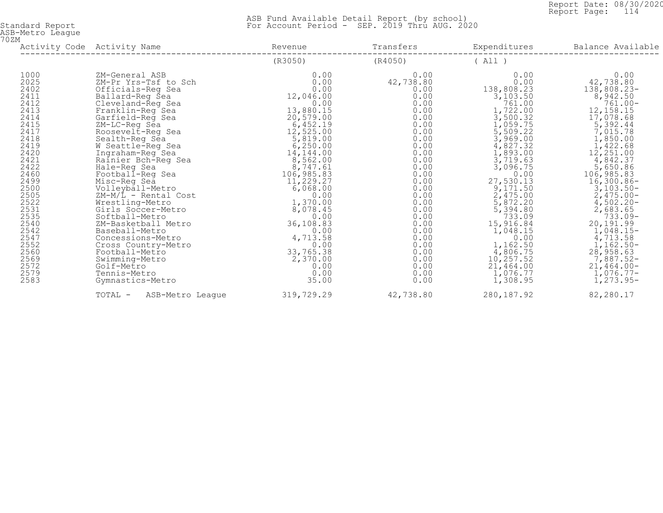Report Date: 08/30/2020<br>Report Page: 114 Report Page: 114

| ASB-Metro League<br>70ZM                                                                                                                                                                                       |                                                                                                                                                                                                                                                                                                                                                                                                                                                                                                                                                                                                             |                                                                                                                                                                                                                                                                                                                                      |                                                                                                                                                                                                                                                   |                                                                                                                                                                                                                                                                                                                                                                  |                                                                                                                                                                                                                                                                                                                                                                                                                       |
|----------------------------------------------------------------------------------------------------------------------------------------------------------------------------------------------------------------|-------------------------------------------------------------------------------------------------------------------------------------------------------------------------------------------------------------------------------------------------------------------------------------------------------------------------------------------------------------------------------------------------------------------------------------------------------------------------------------------------------------------------------------------------------------------------------------------------------------|--------------------------------------------------------------------------------------------------------------------------------------------------------------------------------------------------------------------------------------------------------------------------------------------------------------------------------------|---------------------------------------------------------------------------------------------------------------------------------------------------------------------------------------------------------------------------------------------------|------------------------------------------------------------------------------------------------------------------------------------------------------------------------------------------------------------------------------------------------------------------------------------------------------------------------------------------------------------------|-----------------------------------------------------------------------------------------------------------------------------------------------------------------------------------------------------------------------------------------------------------------------------------------------------------------------------------------------------------------------------------------------------------------------|
|                                                                                                                                                                                                                | Activity Code Activity Name                                                                                                                                                                                                                                                                                                                                                                                                                                                                                                                                                                                 | Revenue                                                                                                                                                                                                                                                                                                                              | Transfers                                                                                                                                                                                                                                         | Expenditures                                                                                                                                                                                                                                                                                                                                                     | Balance Available                                                                                                                                                                                                                                                                                                                                                                                                     |
|                                                                                                                                                                                                                |                                                                                                                                                                                                                                                                                                                                                                                                                                                                                                                                                                                                             | (R3050)                                                                                                                                                                                                                                                                                                                              | (R4050)                                                                                                                                                                                                                                           | (A11)                                                                                                                                                                                                                                                                                                                                                            |                                                                                                                                                                                                                                                                                                                                                                                                                       |
| 1000<br>2025<br>2402<br>2411<br>2412<br>2413<br>2414<br>2415<br>2417<br>2418<br>2419<br>2420<br>2421<br>2422<br>2460<br>24990522335333<br>2540<br>2542<br>2547<br>2552<br>2560<br>2569<br>2572<br>2579<br>2583 | ZM-General ASB<br>ZM-Pr Yrs-Tsf to Sch<br>Officials-Reg Sea<br>Ballard-Reg Sea<br>Cleveland-Reg Sea<br>Franklin-Reg Sea<br>Garfield-Req Sea<br>ZM-LC-Req Sea<br>Roosevelt-Req Sea<br>Sealth-Req Sea<br>W Seattle-Reg Sea<br>Ingraham-Reg Sea<br>Rainier Bch-Req Sea<br>Hale-Reg Sea<br>Football-Reg Sea<br>Misc-Reg Sea<br>Volleyball-Metro<br>$ZM-M/L$ - Rental Cost<br>Wrestling-Metro<br>Girls Soccer-Metro<br>Softball-Metro<br>ZM-Basketball Metro<br>Baseball-Metro<br>Concessions-Metro<br>Cross Country-Metro<br>Football-Metro<br>Swimming-Metro<br>Golf-Metro<br>Tennis-Metro<br>Gymnastics-Metro | 0.00<br>0.00<br>0.00<br>12,046.00<br>0.00<br>13,880.15<br>20,579.00<br>6,452.19<br>12,525.00<br>5,819.00<br>6, 250.00<br>14,144.00<br>8,562.00<br>8,747.61<br>106,985.83<br>11,229.27<br>6,068.00<br>0.00<br>1,370.00<br>8,078.45<br>0.00<br>36,108.83<br>0.00<br>4,713.58<br>0.00<br>33,765.38<br>2,370.00<br>0.00<br>0.00<br>35.00 | 0.00<br>42,738.80<br>0.00<br>0.00<br>0.00<br>0.00<br>0.00<br>0.00<br>0.00<br>0.00<br>0.00<br>0.00<br>0.00<br>0.00<br>0.00<br>0.00<br>0.00<br>0.00<br>0.00<br>0.00<br>0.00<br>0.00<br>0.00<br>0.00<br>0.00<br>0.00<br>0.00<br>0.00<br>0.00<br>0.00 | 0.00<br>0.00<br>138,808.23<br>$3,103.50$<br>761.00<br>1,722.00<br>3,500.32<br>1,059.75<br>5,509.22<br>3,969.00<br>4,827.32<br>1,893.00<br>3,719.63<br>3,096.75<br>0.00<br>27, 530.13<br>9, 171.50<br>2, 475.00<br>5, 872.20<br>5, 394.80<br>733.09<br>$15,916.84$<br>1,048.15<br>0.00<br>1,162.50<br>4,806.75<br>10, 257.52<br>21,464.00<br>1,076.77<br>1,308.95 | 0.00<br>42,738.80<br>$138,808.23-$<br>8,942.50<br>$761.00 -$<br>12, 158. 15<br>17,078.68<br>5,392.44<br>7,015.78<br>1,850.00<br>1,422.68<br>12,251.00<br>4,842.37<br>5,650.86<br>106, 985.83<br>16, 300.86-<br>$\frac{3}{103.50}$ -<br>2,475.00-<br>$4,502.20 - 2,683.65$<br>733.09-<br>20, 191.99<br>1, 048.15-<br>4, 713.58<br>1, 162.50-<br>$28,958.63$<br>7,887.52-<br>$21,464.00-$<br>$1,076.77-$<br>$1,273.95-$ |
|                                                                                                                                                                                                                | TOTAL -<br>ASB-Metro Leaque                                                                                                                                                                                                                                                                                                                                                                                                                                                                                                                                                                                 | 319,729.29                                                                                                                                                                                                                                                                                                                           | 42,738.80                                                                                                                                                                                                                                         | 280, 187.92                                                                                                                                                                                                                                                                                                                                                      | 82,280.17                                                                                                                                                                                                                                                                                                                                                                                                             |